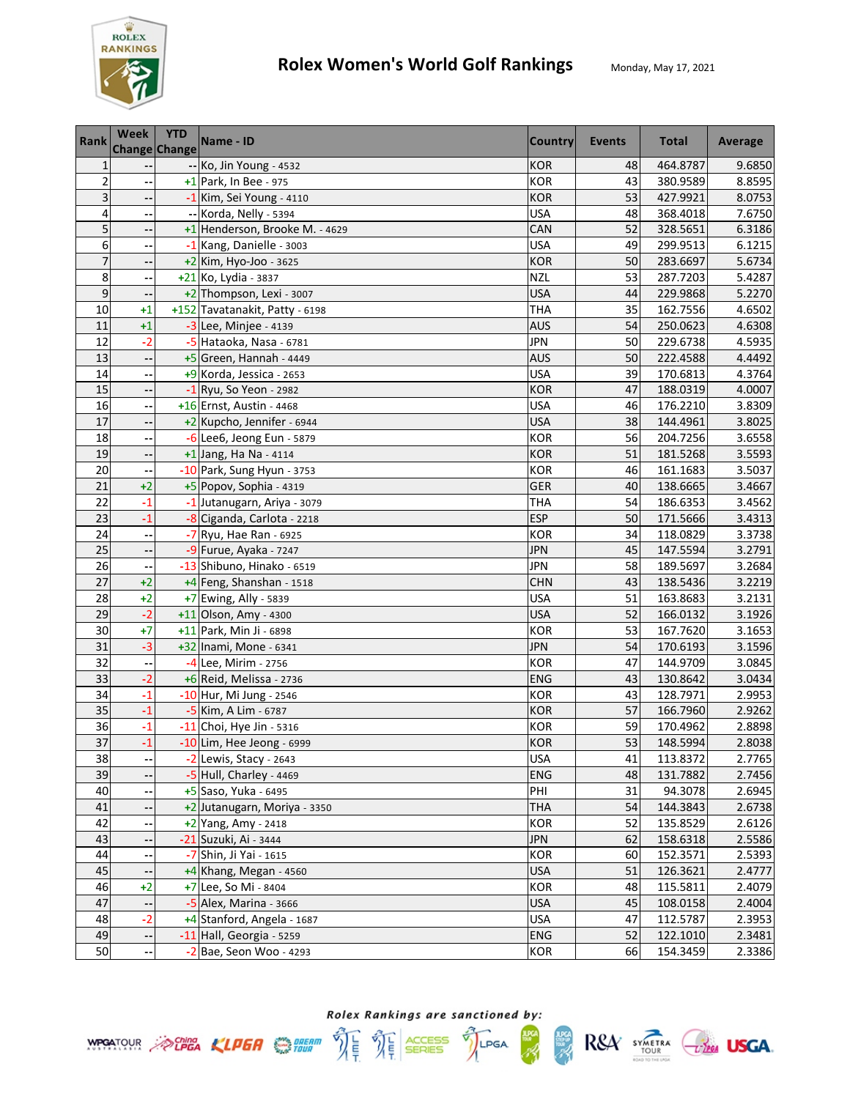

| <b>Rank</b>     | Week<br><b>Change Change</b> | <b>YTD</b> | Name - ID                      | Country    | Events | <b>Total</b> | Average |
|-----------------|------------------------------|------------|--------------------------------|------------|--------|--------------|---------|
| $\mathbf{1}$    |                              |            | -- Ko, Jin Young - 4532        | <b>KOR</b> | 48     | 464.8787     | 9.6850  |
| $\overline{c}$  |                              |            | +1 Park, In Bee - 975          | <b>KOR</b> | 43     | 380.9589     | 8.8595  |
| 3               |                              |            | -1 Kim, Sei Young - 4110       | <b>KOR</b> | 53     | 427.9921     | 8.0753  |
| 4               |                              |            | -- Korda, Nelly - 5394         | <b>USA</b> | 48     | 368.4018     | 7.6750  |
| 5               |                              |            | +1 Henderson, Brooke M. - 4629 | CAN        | 52     | 328.5651     | 6.3186  |
| 6               | $\overline{\phantom{a}}$     |            | -1 Kang, Danielle - 3003       | <b>USA</b> | 49     | 299.9513     | 6.1215  |
| 7               | --                           |            | +2 Kim, Hyo-Joo - 3625         | <b>KOR</b> | 50     | 283.6697     | 5.6734  |
| 8               | $\overline{\phantom{a}}$     |            | +21 Ko, Lydia - 3837           | <b>NZL</b> | 53     | 287.7203     | 5.4287  |
| $\overline{9}$  |                              |            | +2 Thompson, Lexi - 3007       | <b>USA</b> | 44     | 229.9868     | 5.2270  |
| 10              | $+1$                         |            | +152 Tavatanakit, Patty - 6198 | <b>THA</b> | 35     | 162.7556     | 4.6502  |
| 11              | $+1$                         |            | -3 Lee, Minjee - 4139          | <b>AUS</b> | 54     | 250.0623     | 4.6308  |
| 12              | $-2$                         |            | -5 Hataoka, Nasa - 6781        | <b>JPN</b> | 50     | 229.6738     | 4.5935  |
| 13              |                              |            | $+5$ Green, Hannah - 4449      | <b>AUS</b> | 50     | 222.4588     | 4.4492  |
| 14              |                              |            | +9 Korda, Jessica - 2653       | <b>USA</b> | 39     | 170.6813     | 4.3764  |
| 15              |                              |            | $-1$ Ryu, So Yeon - 2982       | <b>KOR</b> | 47     | 188.0319     | 4.0007  |
| 16              |                              |            | +16 Ernst, Austin - 4468       | <b>USA</b> | 46     | 176.2210     | 3.8309  |
| 17              |                              |            | +2 Kupcho, Jennifer - 6944     | <b>USA</b> | 38     | 144.4961     | 3.8025  |
| 18              |                              |            | $-6$ Lee6, Jeong Eun - 5879    | <b>KOR</b> | 56     | 204.7256     | 3.6558  |
| 19              |                              |            | $+1$ Jang, Ha Na - 4114        | <b>KOR</b> | 51     | 181.5268     | 3.5593  |
| 20              |                              |            | -10 Park, Sung Hyun - 3753     | KOR        | 46     | 161.1683     | 3.5037  |
| 21              | $+2$                         |            | +5 Popov, Sophia - 4319        | GER        | 40     | 138.6665     | 3.4667  |
| 22              | $-1$                         |            | -1 Jutanugarn, Ariya - 3079    | THA        | 54     | 186.6353     | 3.4562  |
| 23              | $-1$                         |            | -8 Ciganda, Carlota - 2218     | <b>ESP</b> | 50     | 171.5666     | 3.4313  |
| 24              |                              |            | $-7$ Ryu, Hae Ran - 6925       | <b>KOR</b> | 34     | 118.0829     | 3.3738  |
| 25              |                              |            | -9 Furue, Ayaka - 7247         | <b>JPN</b> | 45     | 147.5594     | 3.2791  |
| 26              |                              |            | -13 Shibuno, Hinako - 6519     | <b>JPN</b> | 58     | 189.5697     | 3.2684  |
| $\overline{27}$ | $+2$                         |            | +4 Feng, Shanshan - 1518       | <b>CHN</b> | 43     | 138.5436     | 3.2219  |
| 28              | $+2$                         |            | +7 Ewing, Ally - 5839          | <b>USA</b> | 51     | 163.8683     | 3.2131  |
| 29              | $-2$                         |            | +11 Olson, Amy - 4300          | <b>USA</b> | 52     | 166.0132     | 3.1926  |
| 30              | $+7$                         |            | +11 Park, Min Ji - 6898        | <b>KOR</b> | 53     | 167.7620     | 3.1653  |
| 31              | $-3$                         |            | +32 Inami, Mone - 6341         | <b>JPN</b> | 54     | 170.6193     | 3.1596  |
| 32              |                              |            | -4 Lee, Mirim - 2756           | <b>KOR</b> | 47     | 144.9709     | 3.0845  |
| 33              | $-2$                         |            | +6 Reid, Melissa - 2736        | <b>ENG</b> | 43     | 130.8642     | 3.0434  |
| 34              | $-1$                         |            | $-10$ Hur, Mi Jung - 2546      | <b>KOR</b> | 43     | 128.7971     | 2.9953  |
| 35              | $-1$                         |            | $-5$ Kim, A Lim - 6787         | <b>KOR</b> | 57     | 166.7960     | 2.9262  |
| 36              | $-1$                         |            | $-11$ Choi, Hye Jin - 5316     | <b>KOR</b> | 59     | 170.4962     | 2.8898  |
| 37              | $-1$                         |            | -10 Lim, Hee Jeong - 6999      | <b>KOR</b> | 53     | 148.5994     | 2.8038  |
| 38              |                              |            | -2 Lewis, Stacy - 2643         | <b>USA</b> | 41     | 113.8372     | 2.7765  |
| 39              |                              |            | -5 Hull, Charley - 4469        | ENG        | 48     | 131.7882     | 2.7456  |
| 40              |                              |            | +5 Saso, Yuka - 6495           | PHI        | 31     | 94.3078      | 2.6945  |
| 41              |                              |            | +2 Jutanugarn, Moriya - 3350   | <b>THA</b> | 54     | 144.3843     | 2.6738  |
| 42              |                              |            | +2 Yang, Amy - 2418            | <b>KOR</b> | 52     | 135.8529     | 2.6126  |
| 43              |                              |            | -21 Suzuki, Ai - 3444          | <b>JPN</b> | 62     | 158.6318     | 2.5586  |
| 44              |                              |            | -7 Shin, Ji Yai - 1615         | <b>KOR</b> | 60     | 152.3571     | 2.5393  |
| 45              |                              |            | $+4$ Khang, Megan - 4560       | <b>USA</b> | 51     | 126.3621     | 2.4777  |
| 46              | $+2$                         |            | +7 Lee, So Mi - 8404           | KOR        | 48     | 115.5811     | 2.4079  |
| 47              |                              |            | $-5$ Alex, Marina - 3666       | <b>USA</b> | 45     | 108.0158     | 2.4004  |
| 48              | $-2$                         |            | +4 Stanford, Angela - 1687     | <b>USA</b> | 47     | 112.5787     | 2.3953  |
| 49              | ٠.                           |            | -11 Hall, Georgia - 5259       | ENG        | 52     | 122.1010     | 2.3481  |
| 50              |                              |            | $-2$ Bae, Seon Woo - 4293      | KOR        | 66     | 154.3459     | 2.3386  |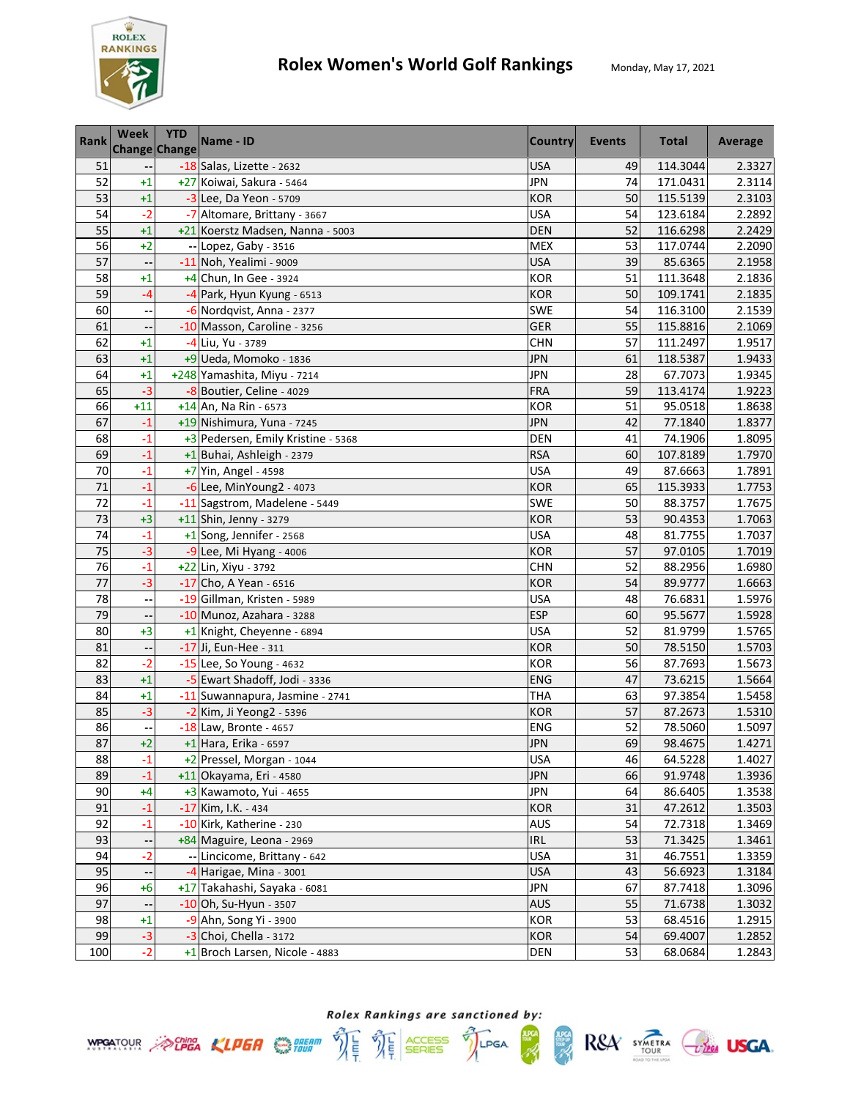

| Rank            | Week  | <b>YTD</b><br><b>Change Change</b> | Name - ID                          | <b>Country</b> | <b>Events</b> | <b>Total</b> | Average |
|-----------------|-------|------------------------------------|------------------------------------|----------------|---------------|--------------|---------|
| 51              |       |                                    | -18 Salas, Lizette - 2632          | <b>USA</b>     | 49            | 114.3044     | 2.3327  |
| 52              | $+1$  |                                    | +27 Koiwai, Sakura - 5464          | <b>JPN</b>     | 74            | 171.0431     | 2.3114  |
| 53              | $+1$  |                                    | -3 Lee, Da Yeon - 5709             | <b>KOR</b>     | 50            | 115.5139     | 2.3103  |
| 54              | $-2$  |                                    | -7 Altomare, Brittany - 3667       | <b>USA</b>     | 54            | 123.6184     | 2.2892  |
| 55              | $+1$  |                                    | +21 Koerstz Madsen, Nanna - 5003   | <b>DEN</b>     | 52            | 116.6298     | 2.2429  |
| 56              | $+2$  |                                    | -- Lopez, Gaby - 3516              | <b>MEX</b>     | 53            | 117.0744     | 2.2090  |
| 57              | --    |                                    | -11 Noh, Yealimi - 9009            | <b>USA</b>     | 39            | 85.6365      | 2.1958  |
| 58              | $+1$  |                                    | +4 Chun, In Gee - 3924             | <b>KOR</b>     | 51            | 111.3648     | 2.1836  |
| 59              | -4    |                                    | -4 Park, Hyun Kyung - 6513         | <b>KOR</b>     | 50            | 109.1741     | 2.1835  |
| 60              |       |                                    | -6 Nordqvist, Anna - 2377          | SWE            | 54            | 116.3100     | 2.1539  |
| 61              |       |                                    | -10 Masson, Caroline - 3256        | GER            | 55            | 115.8816     | 2.1069  |
| 62              | $+1$  |                                    | -4 Liu, Yu - 3789                  | <b>CHN</b>     | 57            | 111.2497     | 1.9517  |
| 63              | $+1$  |                                    | +9 Ueda, Momoko - 1836             | <b>JPN</b>     | 61            | 118.5387     | 1.9433  |
| 64              | $+1$  |                                    | +248 Yamashita, Miyu - 7214        | <b>JPN</b>     | 28            | 67.7073      | 1.9345  |
| 65              | $-3$  |                                    | -8 Boutier, Celine - 4029          | FRA            | 59            | 113.4174     | 1.9223  |
| 66              | $+11$ |                                    | $+14$ An, Na Rin - 6573            | <b>KOR</b>     | 51            | 95.0518      | 1.8638  |
| 67              | $-1$  |                                    | +19 Nishimura, Yuna - 7245         | <b>JPN</b>     | 42            | 77.1840      | 1.8377  |
| 68              | $-1$  |                                    | +3 Pedersen, Emily Kristine - 5368 | <b>DEN</b>     | 41            | 74.1906      | 1.8095  |
| 69              | $-1$  |                                    | +1 Buhai, Ashleigh - 2379          | <b>RSA</b>     | 60            | 107.8189     | 1.7970  |
| 70              | $-1$  |                                    | +7 Yin, Angel - 4598               | <b>USA</b>     | 49            | 87.6663      | 1.7891  |
| 71              | $-1$  |                                    | $-6$ Lee, MinYoung2 - 4073         | <b>KOR</b>     | 65            | 115.3933     | 1.7753  |
| 72              | $-1$  |                                    | -11 Sagstrom, Madelene - 5449      | SWE            | 50            | 88.3757      | 1.7675  |
| 73              | $+3$  |                                    | $+11$ Shin, Jenny - 3279           | <b>KOR</b>     | 53            | 90.4353      | 1.7063  |
| 74              | $-1$  |                                    | +1 Song, Jennifer - 2568           | <b>USA</b>     | 48            | 81.7755      | 1.7037  |
| 75              | $-3$  |                                    | -9 Lee, Mi Hyang - 4006            | <b>KOR</b>     | 57            | 97.0105      | 1.7019  |
| $\overline{76}$ | $-1$  |                                    | +22 Lin, Xiyu - 3792               | <b>CHN</b>     | 52            | 88.2956      | 1.6980  |
| 77              | $-3$  |                                    | -17 Cho, A Yean - 6516             | <b>KOR</b>     | 54            | 89.9777      | 1.6663  |
| 78              |       |                                    | -19 Gillman, Kristen - 5989        | <b>USA</b>     | 48            | 76.6831      | 1.5976  |
| 79              |       |                                    | -10 Munoz, Azahara - 3288          | <b>ESP</b>     | 60            | 95.5677      | 1.5928  |
| 80              | $+3$  |                                    | +1 Knight, Cheyenne - 6894         | <b>USA</b>     | 52            | 81.9799      | 1.5765  |
| 81              |       |                                    | -17 Ji, Eun-Hee - 311              | <b>KOR</b>     | 50            | 78.5150      | 1.5703  |
| 82              | $-2$  |                                    | -15 Lee, So Young - 4632           | <b>KOR</b>     | 56            | 87.7693      | 1.5673  |
| 83              | $+1$  |                                    | -5 Ewart Shadoff, Jodi - 3336      | <b>ENG</b>     | 47            | 73.6215      | 1.5664  |
| 84              | $+1$  |                                    | -11 Suwannapura, Jasmine - 2741    | <b>THA</b>     | 63            | 97.3854      | 1.5458  |
| 85              | $-3$  |                                    | -2 Kim, Ji Yeong2 - 5396           | <b>KOR</b>     | 57            | 87.2673      | 1.5310  |
| 86              |       |                                    | $-18$ Law, Bronte - 4657           | ENG            | 52            | 78.5060      | 1.5097  |
| 87              | $+2$  |                                    | +1 Hara, Erika - 6597              | <b>JPN</b>     | 69            | 98.4675      | 1.4271  |
| 88              | $-1$  |                                    | +2 Pressel, Morgan - 1044          | <b>USA</b>     | 46            | 64.5228      | 1.4027  |
| 89              | $-1$  |                                    | +11 Okayama, Eri - 4580            | <b>JPN</b>     | 66            | 91.9748      | 1.3936  |
| 90              | +4    |                                    | +3 Kawamoto, Yui - 4655            | <b>JPN</b>     | 64            | 86.6405      | 1.3538  |
| 91              | $-1$  |                                    | -17 Kim, I.K. - 434                | <b>KOR</b>     | 31            | 47.2612      | 1.3503  |
| 92              | $-1$  |                                    | -10 Kirk, Katherine - 230          | AUS            | 54            | 72.7318      | 1.3469  |
| 93              |       |                                    | +84 Maguire, Leona - 2969          | <b>IRL</b>     | 53            | 71.3425      | 1.3461  |
| 94              | $-2$  |                                    | -- Lincicome, Brittany - 642       | <b>USA</b>     | 31            | 46.7551      | 1.3359  |
| 95              |       |                                    | $-4$ Harigae, Mina - 3001          | <b>USA</b>     | 43            | 56.6923      | 1.3184  |
| 96              | $+6$  |                                    | +17 Takahashi, Sayaka - 6081       | <b>JPN</b>     | 67            | 87.7418      | 1.3096  |
| 97              |       |                                    | $-10$ Oh, Su-Hyun - 3507           | <b>AUS</b>     | 55            | 71.6738      | 1.3032  |
| 98              | $+1$  |                                    | -9 Ahn, Song Yi - 3900             | <b>KOR</b>     | 53            | 68.4516      | 1.2915  |
| 99              | $-3$  |                                    | $-3$ Choi, Chella - 3172           | <b>KOR</b>     | 54            | 69.4007      | 1.2852  |
| 100             | $-2$  |                                    | +1 Broch Larsen, Nicole - 4883     | DEN            | 53            | 68.0684      | 1.2843  |



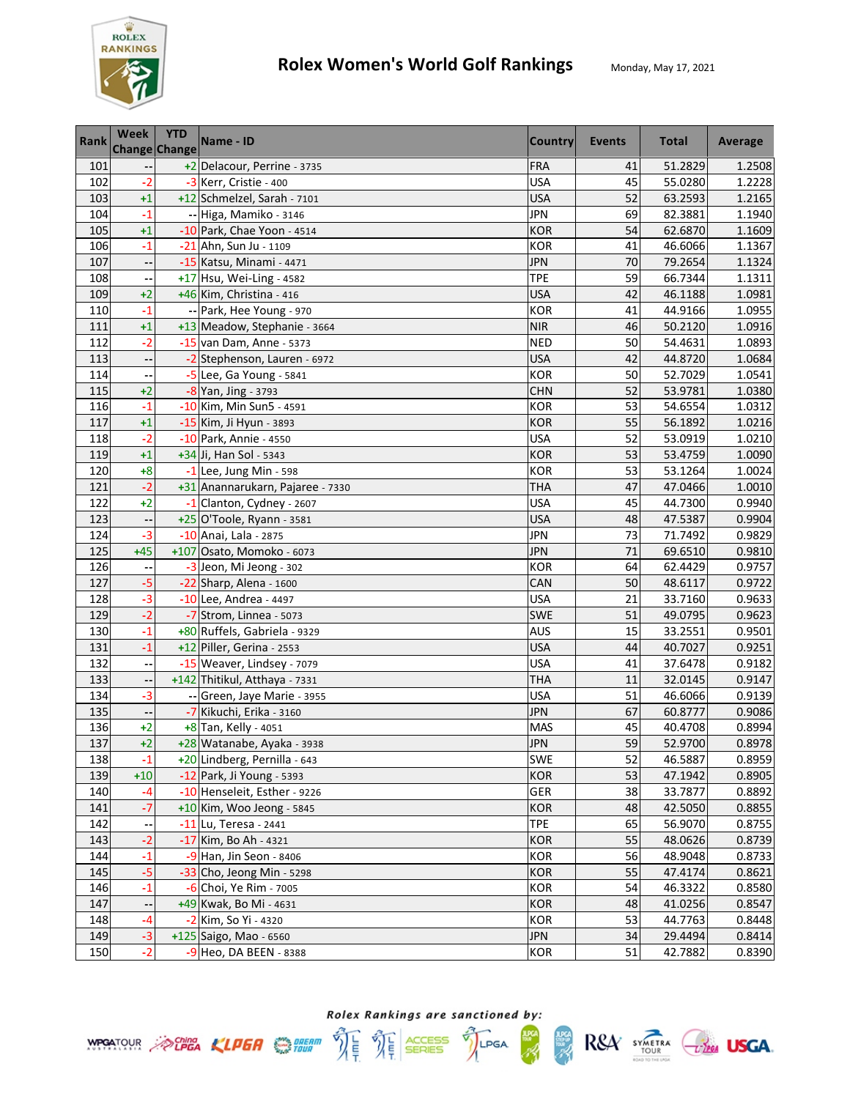

| Rank | Week                     | <b>YTD</b><br><b>Change Change</b> | Name - ID                        | <b>Country</b> | <b>Events</b> | <b>Total</b> | Average |
|------|--------------------------|------------------------------------|----------------------------------|----------------|---------------|--------------|---------|
| 101  |                          |                                    | +2 Delacour, Perrine - 3735      | <b>FRA</b>     | 41            | 51.2829      | 1.2508  |
| 102  | $-2$                     |                                    | -3 Kerr, Cristie - 400           | <b>USA</b>     | 45            | 55.0280      | 1.2228  |
| 103  | $+1$                     |                                    | +12 Schmelzel, Sarah - 7101      | <b>USA</b>     | 52            | 63.2593      | 1.2165  |
| 104  | $-1$                     |                                    | -- Higa, Mamiko - 3146           | <b>JPN</b>     | 69            | 82.3881      | 1.1940  |
| 105  | $+1$                     |                                    | -10 Park, Chae Yoon - 4514       | <b>KOR</b>     | 54            | 62.6870      | 1.1609  |
| 106  | $-1$                     |                                    | -21 Ahn, Sun Ju - 1109           | <b>KOR</b>     | 41            | 46.6066      | 1.1367  |
| 107  | --                       |                                    | -15 Katsu, Minami - 4471         | <b>JPN</b>     | 70            | 79.2654      | 1.1324  |
| 108  |                          |                                    | +17 Hsu, Wei-Ling - 4582         | <b>TPE</b>     | 59            | 66.7344      | 1.1311  |
| 109  | $+2$                     |                                    | +46 Kim, Christina - 416         | <b>USA</b>     | 42            | 46.1188      | 1.0981  |
| 110  | -1                       |                                    | -- Park, Hee Young - 970         | <b>KOR</b>     | 41            | 44.9166      | 1.0955  |
| 111  | $+1$                     |                                    | +13 Meadow, Stephanie - 3664     | <b>NIR</b>     | 46            | 50.2120      | 1.0916  |
| 112  | $-2$                     |                                    | $-15$ van Dam, Anne - 5373       | <b>NED</b>     | 50            | 54.4631      | 1.0893  |
| 113  | $\overline{\phantom{a}}$ |                                    | -2 Stephenson, Lauren - 6972     | <b>USA</b>     | 42            | 44.8720      | 1.0684  |
| 114  |                          |                                    | -5 Lee, Ga Young - 5841          | <b>KOR</b>     | 50            | 52.7029      | 1.0541  |
| 115  | $+2$                     |                                    | -8 Yan, Jing - 3793              | <b>CHN</b>     | 52            | 53.9781      | 1.0380  |
| 116  | $-1$                     |                                    | -10 Kim, Min Sun5 - 4591         | <b>KOR</b>     | 53            | 54.6554      | 1.0312  |
| 117  | $+1$                     |                                    | -15 Kim, Ji Hyun - 3893          | <b>KOR</b>     | 55            | 56.1892      | 1.0216  |
| 118  | $-2$                     |                                    | -10 Park, Annie - 4550           | <b>USA</b>     | 52            | 53.0919      | 1.0210  |
| 119  | $+1$                     |                                    | +34 Ji, Han Sol - 5343           | <b>KOR</b>     | 53            | 53.4759      | 1.0090  |
| 120  | $+8$                     |                                    | $-1$ Lee, Jung Min - 598         | <b>KOR</b>     | 53            | 53.1264      | 1.0024  |
| 121  | $-2$                     |                                    | +31 Anannarukarn, Pajaree - 7330 | THA            | 47            | 47.0466      | 1.0010  |
| 122  | $+2$                     |                                    | -1 Clanton, Cydney - 2607        | <b>USA</b>     | 45            | 44.7300      | 0.9940  |
| 123  |                          |                                    | +25 O'Toole, Ryann - 3581        | <b>USA</b>     | 48            | 47.5387      | 0.9904  |
| 124  | $-3$                     |                                    | -10 Anai, Lala - 2875            | <b>JPN</b>     | 73            | 71.7492      | 0.9829  |
| 125  | $+45$                    |                                    | +107 Osato, Momoko - 6073        | <b>JPN</b>     | 71            | 69.6510      | 0.9810  |
| 126  |                          |                                    | -3 Jeon, Mi Jeong - 302          | <b>KOR</b>     | 64            | 62.4429      | 0.9757  |
| 127  | $-5$                     |                                    | -22 Sharp, Alena - 1600          | CAN            | 50            | 48.6117      | 0.9722  |
| 128  | $-3$                     |                                    | -10 Lee, Andrea - 4497           | <b>USA</b>     | 21            | 33.7160      | 0.9633  |
| 129  | $-2$                     |                                    | -7 Strom, Linnea - 5073          | <b>SWE</b>     | 51            | 49.0795      | 0.9623  |
| 130  | $-1$                     |                                    | +80 Ruffels, Gabriela - 9329     | <b>AUS</b>     | 15            | 33.2551      | 0.9501  |
| 131  | $-1$                     |                                    | +12 Piller, Gerina - 2553        | <b>USA</b>     | 44            | 40.7027      | 0.9251  |
| 132  | --                       |                                    | -15 Weaver, Lindsey - 7079       | <b>USA</b>     | 41            | 37.6478      | 0.9182  |
| 133  | --                       |                                    | +142 Thitikul, Atthaya - 7331    | <b>THA</b>     | 11            | 32.0145      | 0.9147  |
| 134  | $-3$                     |                                    | -- Green, Jaye Marie - 3955      | <b>USA</b>     | 51            | 46.6066      | 0.9139  |
| 135  | --                       |                                    | -7 Kikuchi, Erika - 3160         | <b>JPN</b>     | 67            | 60.8777      | 0.9086  |
| 136  | +2                       |                                    | +8 Tan, Kelly - 4051             | <b>MAS</b>     | 45            | 40.4708      | 0.8994  |
| 137  | $+2$                     |                                    | +28 Watanabe, Ayaka - 3938       | <b>JPN</b>     | 59            | 52.9700      | 0.8978  |
| 138  | $-1$                     |                                    | +20 Lindberg, Pernilla - 643     | SWE            | 52            | 46.5887      | 0.8959  |
| 139  | $+10$                    |                                    | -12 Park, Ji Young - 5393        | <b>KOR</b>     | 53            | 47.1942      | 0.8905  |
| 140  | -4                       |                                    | -10 Henseleit, Esther - 9226     | GER            | 38            | 33.7877      | 0.8892  |
| 141  | $-7$                     |                                    | +10 Kim, Woo Jeong - 5845        | <b>KOR</b>     | 48            | 42.5050      | 0.8855  |
| 142  |                          |                                    | -11 Lu, Teresa - 2441            | <b>TPE</b>     | 65            | 56.9070      | 0.8755  |
| 143  | $-2$                     |                                    | -17 Kim, Bo Ah - 4321            | <b>KOR</b>     | 55            | 48.0626      | 0.8739  |
| 144  | $-1$                     |                                    | -9 Han, Jin Seon - 8406          | <b>KOR</b>     | 56            | 48.9048      | 0.8733  |
| 145  | $-5$                     |                                    | -33 Cho, Jeong Min - 5298        | <b>KOR</b>     | 55            | 47.4174      | 0.8621  |
| 146  | $-1$                     |                                    | -6 Choi, Ye Rim - 7005           | <b>KOR</b>     | 54            | 46.3322      | 0.8580  |
| 147  | --                       |                                    | +49 Kwak, Bo Mi - 4631           | <b>KOR</b>     | 48            | 41.0256      | 0.8547  |
| 148  | -4                       |                                    | -2 Kim, So Yi - 4320             | <b>KOR</b>     | 53            | 44.7763      | 0.8448  |
| 149  | $-3$                     |                                    | +125 Saigo, Mao - 6560           | JPN            | 34            | 29.4494      | 0.8414  |
| 150  | $-2$                     |                                    | -9 Heo, DA BEEN - 8388           | KOR            | 51            | 42.7882      | 0.8390  |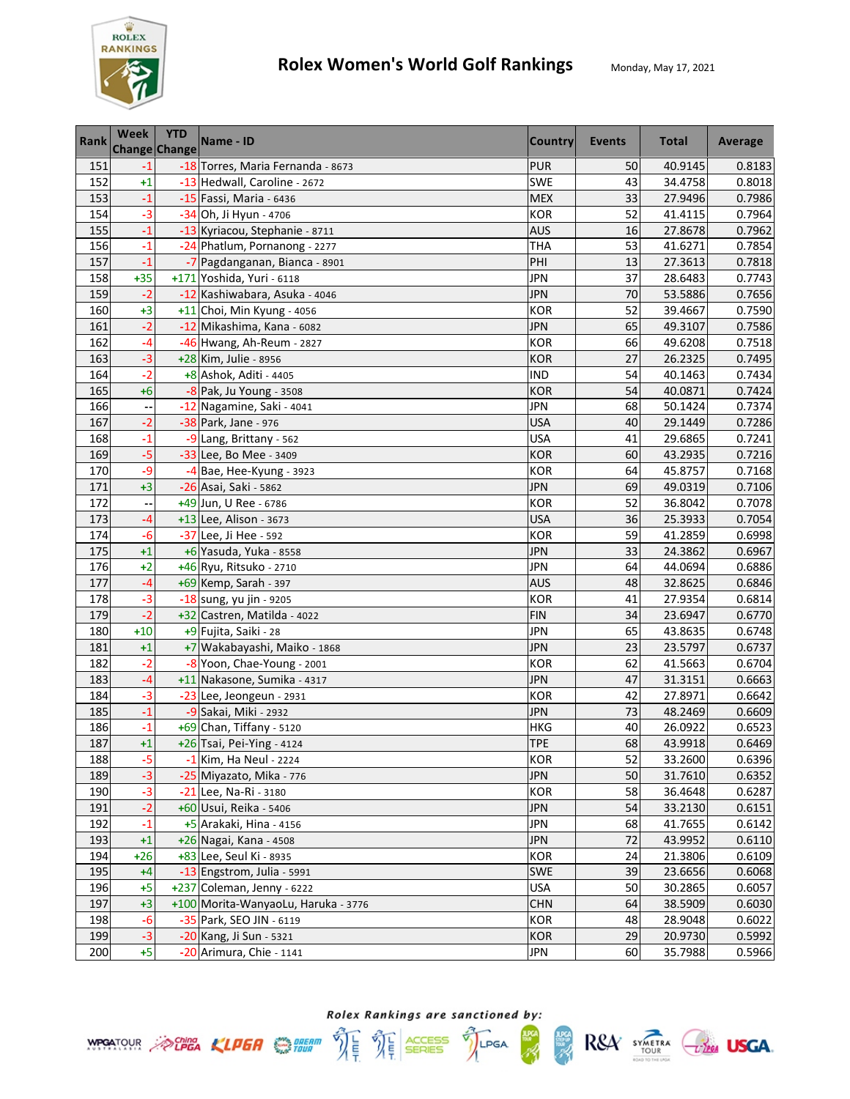

| Rank | Week  | <b>YTD</b><br><b>Change Change</b> | Name - ID                           | <b>Country</b> | Events | <b>Total</b> | Average |
|------|-------|------------------------------------|-------------------------------------|----------------|--------|--------------|---------|
| 151  | -1    |                                    | -18 Torres, Maria Fernanda - 8673   | <b>PUR</b>     | 50     | 40.9145      | 0.8183  |
| 152  | $+1$  |                                    | -13 Hedwall, Caroline - 2672        | SWE            | 43     | 34.4758      | 0.8018  |
| 153  | $-1$  |                                    | -15 Fassi, Maria - 6436             | <b>MEX</b>     | 33     | 27.9496      | 0.7986  |
| 154  | $-3$  |                                    | -34 Oh, Ji Hyun - 4706              | <b>KOR</b>     | 52     | 41.4115      | 0.7964  |
| 155  | $-1$  |                                    | -13 Kyriacou, Stephanie - 8711      | <b>AUS</b>     | 16     | 27.8678      | 0.7962  |
| 156  | $-1$  |                                    | -24 Phatlum, Pornanong - 2277       | <b>THA</b>     | 53     | 41.6271      | 0.7854  |
| 157  | $-1$  |                                    | -7 Pagdanganan, Bianca - 8901       | PHI            | 13     | 27.3613      | 0.7818  |
| 158  | $+35$ |                                    | +171 Yoshida, Yuri - 6118           | <b>JPN</b>     | 37     | 28.6483      | 0.7743  |
| 159  | $-2$  |                                    | -12 Kashiwabara, Asuka - 4046       | <b>JPN</b>     | 70     | 53.5886      | 0.7656  |
| 160  | $+3$  |                                    | +11 Choi, Min Kyung - 4056          | <b>KOR</b>     | 52     | 39.4667      | 0.7590  |
| 161  | $-2$  |                                    | -12 Mikashima, Kana - 6082          | <b>JPN</b>     | 65     | 49.3107      | 0.7586  |
| 162  | -4    |                                    | -46 Hwang, Ah-Reum - 2827           | <b>KOR</b>     | 66     | 49.6208      | 0.7518  |
| 163  | $-3$  |                                    | +28 Kim, Julie - 8956               | <b>KOR</b>     | 27     | 26.2325      | 0.7495  |
| 164  | $-2$  |                                    | +8 Ashok, Aditi - 4405              | <b>IND</b>     | 54     | 40.1463      | 0.7434  |
| 165  | $+6$  |                                    | $-8$ Pak, Ju Young - 3508           | <b>KOR</b>     | 54     | 40.0871      | 0.7424  |
| 166  |       |                                    | -12 Nagamine, Saki - 4041           | <b>JPN</b>     | 68     | 50.1424      | 0.7374  |
| 167  | $-2$  |                                    | -38 Park, Jane - 976                | <b>USA</b>     | 40     | 29.1449      | 0.7286  |
| 168  | $-1$  |                                    | -9 Lang, Brittany - 562             | <b>USA</b>     | 41     | 29.6865      | 0.7241  |
| 169  | $-5$  |                                    | -33 Lee, Bo Mee - 3409              | <b>KOR</b>     | 60     | 43.2935      | 0.7216  |
| 170  | -9    |                                    | -4 Bae, Hee-Kyung - 3923            | <b>KOR</b>     | 64     | 45.8757      | 0.7168  |
| 171  | $+3$  |                                    | -26 Asai, Saki - 5862               | <b>JPN</b>     | 69     | 49.0319      | 0.7106  |
| 172  | --    |                                    | +49 Jun, U Ree - 6786               | KOR            | 52     | 36.8042      | 0.7078  |
| 173  | -4    |                                    | +13 Lee, Alison - 3673              | <b>USA</b>     | 36     | 25.3933      | 0.7054  |
| 174  | $-6$  |                                    | -37 Lee, Ji Hee - 592               | <b>KOR</b>     | 59     | 41.2859      | 0.6998  |
| 175  | $+1$  |                                    | +6 Yasuda, Yuka - 8558              | <b>JPN</b>     | 33     | 24.3862      | 0.6967  |
| 176  | $+2$  |                                    | +46 Ryu, Ritsuko - 2710             | <b>JPN</b>     | 64     | 44.0694      | 0.6886  |
| 177  | $-4$  |                                    | +69 Kemp, Sarah - 397               | <b>AUS</b>     | 48     | 32.8625      | 0.6846  |
| 178  | $-3$  |                                    | -18 sung, yu jin - 9205             | <b>KOR</b>     | 41     | 27.9354      | 0.6814  |
| 179  | $-2$  |                                    | +32 Castren, Matilda - 4022         | <b>FIN</b>     | 34     | 23.6947      | 0.6770  |
| 180  | $+10$ |                                    | +9 Fujita, Saiki - 28               | <b>JPN</b>     | 65     | 43.8635      | 0.6748  |
| 181  | $+1$  |                                    | +7 Wakabayashi, Maiko - 1868        | <b>JPN</b>     | 23     | 23.5797      | 0.6737  |
| 182  | $-2$  |                                    | -8 Yoon, Chae-Young - 2001          | <b>KOR</b>     | 62     | 41.5663      | 0.6704  |
| 183  | $-4$  |                                    | +11 Nakasone, Sumika - 4317         | <b>JPN</b>     | 47     | 31.3151      | 0.6663  |
| 184  | $-3$  |                                    | -23 Lee, Jeongeun - 2931            | <b>KOR</b>     | 42     | 27.8971      | 0.6642  |
| 185  | $-1$  |                                    | -9 Sakai, Miki - 2932               | <b>JPN</b>     | 73     | 48.2469      | 0.6609  |
| 186  | $-1$  |                                    | +69 Chan, Tiffany - 5120            | HKG            | 40     | 26.0922      | 0.6523  |
| 187  | $+1$  |                                    | +26 Tsai, Pei-Ying - 4124           | <b>TPE</b>     | 68     | 43.9918      | 0.6469  |
| 188  | $-5$  |                                    | $-1$ Kim, Ha Neul - 2224            | <b>KOR</b>     | 52     | 33.2600      | 0.6396  |
| 189  | $-3$  |                                    | -25 Miyazato, Mika - 776            | <b>JPN</b>     | 50     | 31.7610      | 0.6352  |
| 190  | $-3$  |                                    | -21 Lee, Na-Ri - 3180               | <b>KOR</b>     | 58     | 36.4648      | 0.6287  |
| 191  | $-2$  |                                    | +60 Usui, Reika - 5406              | <b>JPN</b>     | 54     | 33.2130      | 0.6151  |
| 192  | $-1$  |                                    | +5 Arakaki, Hina - 4156             | <b>JPN</b>     | 68     | 41.7655      | 0.6142  |
| 193  | $+1$  |                                    | +26 Nagai, Kana - 4508              | <b>JPN</b>     | 72     | 43.9952      | 0.6110  |
| 194  | $+26$ |                                    | +83 Lee, Seul Ki - 8935             | <b>KOR</b>     | 24     | 21.3806      | 0.6109  |
| 195  | $+4$  |                                    | -13 Engstrom, Julia - 5991          | <b>SWE</b>     | 39     | 23.6656      | 0.6068  |
| 196  | $+5$  |                                    | +237 Coleman, Jenny - 6222          | <b>USA</b>     | 50     | 30.2865      | 0.6057  |
| 197  | $+3$  |                                    | +100 Morita-WanyaoLu, Haruka - 3776 | <b>CHN</b>     | 64     | 38.5909      | 0.6030  |
| 198  | $-6$  |                                    | -35 Park, SEO JIN - 6119            | KOR            | 48     | 28.9048      | 0.6022  |
| 199  | $-3$  |                                    | -20 Kang, Ji Sun - 5321             | <b>KOR</b>     | 29     | 20.9730      | 0.5992  |
| 200  | $+5$  |                                    | -20 Arimura, Chie - 1141            | JPN            | 60     | 35.7988      | 0.5966  |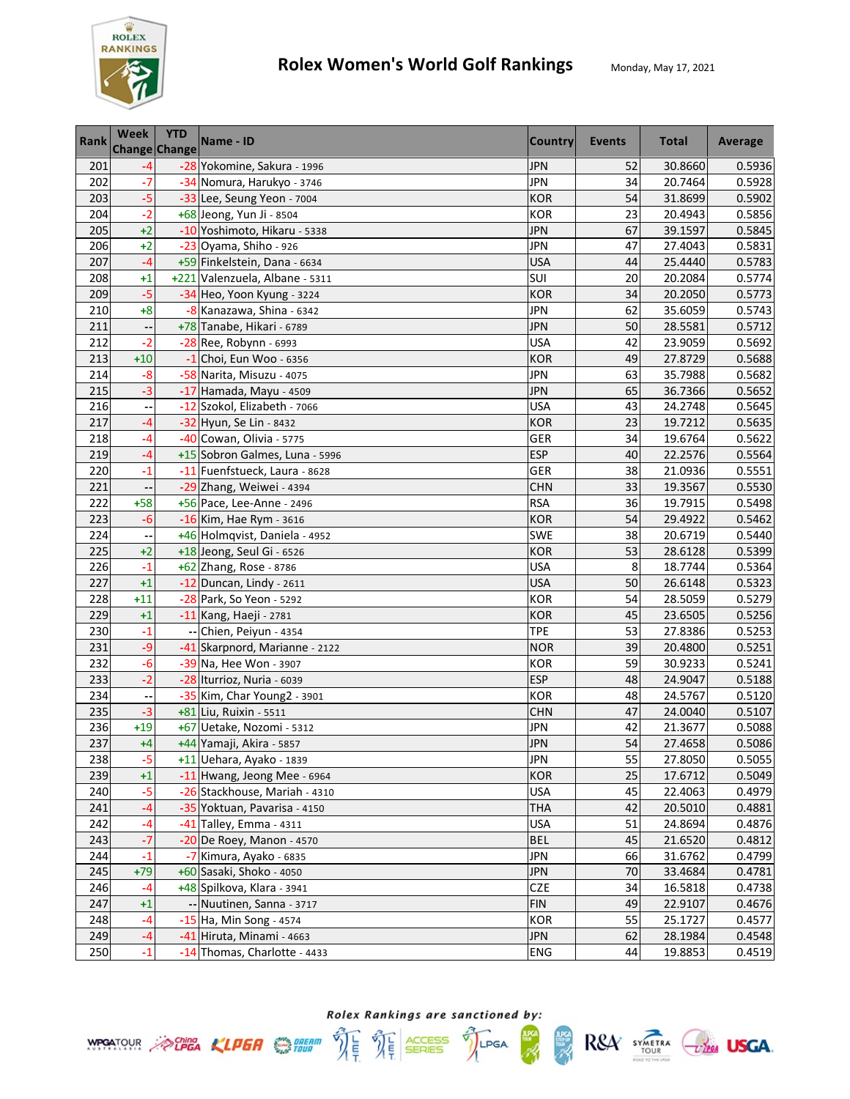

| Rank | Week                     | <b>YTD</b><br><b>Change Change</b> | Name - ID                      | <b>Country</b> | Events | <b>Total</b> | Average |
|------|--------------------------|------------------------------------|--------------------------------|----------------|--------|--------------|---------|
| 201  | -4                       |                                    | -28 Yokomine, Sakura - 1996    | <b>JPN</b>     | 52     | 30.8660      | 0.5936  |
| 202  | $-7$                     |                                    | -34 Nomura, Harukyo - 3746     | <b>JPN</b>     | 34     | 20.7464      | 0.5928  |
| 203  | $-5$                     |                                    | -33 Lee, Seung Yeon - 7004     | <b>KOR</b>     | 54     | 31.8699      | 0.5902  |
| 204  | $-2$                     |                                    | +68 Jeong, Yun Ji - 8504       | <b>KOR</b>     | 23     | 20.4943      | 0.5856  |
| 205  | $+2$                     |                                    | -10 Yoshimoto, Hikaru - 5338   | <b>JPN</b>     | 67     | 39.1597      | 0.5845  |
| 206  | $+2$                     |                                    | -23 Oyama, Shiho - 926         | <b>JPN</b>     | 47     | 27.4043      | 0.5831  |
| 207  | $-4$                     |                                    | +59 Finkelstein, Dana - 6634   | <b>USA</b>     | 44     | 25.4440      | 0.5783  |
| 208  | $+1$                     |                                    | +221 Valenzuela, Albane - 5311 | SUI            | 20     | 20.2084      | 0.5774  |
| 209  | $-5$                     |                                    | -34 Heo, Yoon Kyung - 3224     | <b>KOR</b>     | 34     | 20.2050      | 0.5773  |
| 210  | $+8$                     |                                    | -8 Kanazawa, Shina - 6342      | <b>JPN</b>     | 62     | 35.6059      | 0.5743  |
| 211  |                          |                                    | +78 Tanabe, Hikari - 6789      | <b>JPN</b>     | 50     | 28.5581      | 0.5712  |
| 212  | $-2$                     |                                    | $-28$ Ree, Robynn - 6993       | <b>USA</b>     | 42     | 23.9059      | 0.5692  |
| 213  | $+10$                    |                                    | $-1$ Choi, Eun Woo - 6356      | <b>KOR</b>     | 49     | 27.8729      | 0.5688  |
| 214  | $-8$                     |                                    | -58 Narita, Misuzu - 4075      | <b>JPN</b>     | 63     | 35.7988      | 0.5682  |
| 215  | $-3$                     |                                    | -17 Hamada, Mayu - 4509        | <b>JPN</b>     | 65     | 36.7366      | 0.5652  |
| 216  |                          |                                    | -12 Szokol, Elizabeth - 7066   | <b>USA</b>     | 43     | 24.2748      | 0.5645  |
| 217  | $-4$                     |                                    | -32 Hyun, Se Lin - 8432        | <b>KOR</b>     | 23     | 19.7212      | 0.5635  |
| 218  | $-4$                     |                                    | -40 Cowan, Olivia - 5775       | GER            | 34     | 19.6764      | 0.5622  |
| 219  | $-4$                     |                                    | +15 Sobron Galmes, Luna - 5996 | <b>ESP</b>     | 40     | 22.2576      | 0.5564  |
| 220  | $-1$                     |                                    | -11 Fuenfstueck, Laura - 8628  | GER            | 38     | 21.0936      | 0.5551  |
| 221  | --                       |                                    | -29 Zhang, Weiwei - 4394       | <b>CHN</b>     | 33     | 19.3567      | 0.5530  |
| 222  | $+58$                    |                                    | +56 Pace, Lee-Anne - 2496      | <b>RSA</b>     | 36     | 19.7915      | 0.5498  |
| 223  | $-6$                     |                                    | -16 Kim, Hae Rym - 3616        | <b>KOR</b>     | 54     | 29.4922      | 0.5462  |
| 224  |                          |                                    | +46 Holmqvist, Daniela - 4952  | SWE            | 38     | 20.6719      | 0.5440  |
| 225  | $+2$                     |                                    | +18 Jeong, Seul Gi - 6526      | <b>KOR</b>     | 53     | 28.6128      | 0.5399  |
| 226  | $-1$                     |                                    | +62 Zhang, Rose - 8786         | <b>USA</b>     | 8      | 18.7744      | 0.5364  |
| 227  | $+1$                     |                                    | $-12$ Duncan, Lindy - 2611     | <b>USA</b>     | 50     | 26.6148      | 0.5323  |
| 228  | $+11$                    |                                    | -28 Park, So Yeon - 5292       | <b>KOR</b>     | 54     | 28.5059      | 0.5279  |
| 229  | $+1$                     |                                    | -11 Kang, Haeji - 2781         | <b>KOR</b>     | 45     | 23.6505      | 0.5256  |
| 230  | $-1$                     |                                    | -- Chien, Peiyun - 4354        | <b>TPE</b>     | 53     | 27.8386      | 0.5253  |
| 231  | $-9$                     |                                    | -41 Skarpnord, Marianne - 2122 | <b>NOR</b>     | 39     | 20.4800      | 0.5251  |
| 232  | $-6$                     |                                    | -39 Na, Hee Won - 3907         | <b>KOR</b>     | 59     | 30.9233      | 0.5241  |
| 233  | $-2$                     |                                    | -28 Iturrioz, Nuria - 6039     | <b>ESP</b>     | 48     | 24.9047      | 0.5188  |
| 234  | $\overline{\phantom{a}}$ |                                    | -35 Kim, Char Young2 - 3901    | <b>KOR</b>     | 48     | 24.5767      | 0.5120  |
| 235  | $-3$                     |                                    | +81 Liu, Ruixin - 5511         | <b>CHN</b>     | 47     | 24.0040      | 0.5107  |
| 236  | $+19$                    |                                    | +67 Uetake, Nozomi - 5312      | <b>JPN</b>     | 42     | 21.3677      | 0.5088  |
| 237  | $+4$                     |                                    | +44 Yamaji, Akira - 5857       | <b>JPN</b>     | 54     | 27.4658      | 0.5086  |
| 238  | $-5$                     |                                    | +11 Uehara, Ayako - 1839       | <b>JPN</b>     | 55     | 27.8050      | 0.5055  |
| 239  | $+1$                     |                                    | -11 Hwang, Jeong Mee - 6964    | <b>KOR</b>     | 25     | 17.6712      | 0.5049  |
| 240  | $-5$                     |                                    | -26 Stackhouse, Mariah - 4310  | <b>USA</b>     | 45     | 22.4063      | 0.4979  |
| 241  | -4                       |                                    | -35 Yoktuan, Pavarisa - 4150   | <b>THA</b>     | 42     | 20.5010      | 0.4881  |
| 242  | -4                       |                                    | $-41$ Talley, Emma - 4311      | <b>USA</b>     | 51     | 24.8694      | 0.4876  |
| 243  | $-7$                     |                                    | $-20$ De Roey, Manon - 4570    | <b>BEL</b>     | 45     | 21.6520      | 0.4812  |
| 244  | $-1$                     |                                    | -7 Kimura, Ayako - 6835        | <b>JPN</b>     | 66     | 31.6762      | 0.4799  |
| 245  | $+79$                    |                                    | +60 Sasaki, Shoko - 4050       | <b>JPN</b>     | 70     | 33.4684      | 0.4781  |
| 246  | $-4$                     |                                    | +48 Spilkova, Klara - 3941     | <b>CZE</b>     | 34     | 16.5818      | 0.4738  |
| 247  | $+1$                     |                                    | -- Nuutinen, Sanna - 3717      | <b>FIN</b>     | 49     | 22.9107      | 0.4676  |
| 248  | -4                       |                                    | -15 Ha, Min Song - 4574        | <b>KOR</b>     | 55     | 25.1727      | 0.4577  |
| 249  | $-4$                     |                                    | -41 Hiruta, Minami - 4663      | <b>JPN</b>     | 62     | 28.1984      | 0.4548  |
| 250  | $-1$                     |                                    | -14 Thomas, Charlotte - 4433   | <b>ENG</b>     | 44     | 19.8853      | 0.4519  |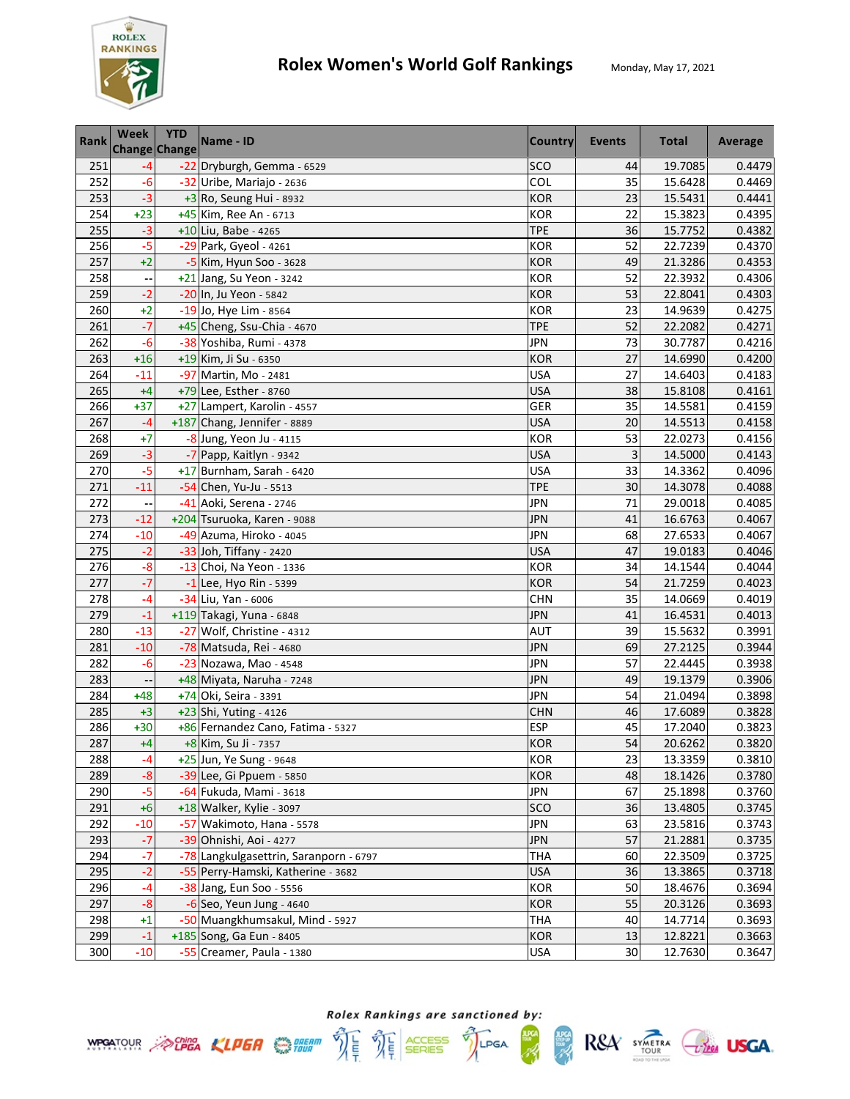

| <b>Rank</b> | <b>Week</b><br>Change Change | <b>YTD</b> | Name - ID                              | <b>Country</b> | Events          | <b>Total</b> | <b>Average</b> |
|-------------|------------------------------|------------|----------------------------------------|----------------|-----------------|--------------|----------------|
| 251         | $-4$                         |            | -22 Dryburgh, Gemma - 6529             | SCO            | 44              | 19.7085      | 0.4479         |
| 252         | $-6$                         |            | -32 Uribe, Mariajo - 2636              | COL            | 35              | 15.6428      | 0.4469         |
| 253         | $-3$                         |            | $+3$ Ro, Seung Hui - 8932              | <b>KOR</b>     | 23              | 15.5431      | 0.4441         |
| 254         | $+23$                        |            | +45 Kim, Ree An - 6713                 | <b>KOR</b>     | 22              | 15.3823      | 0.4395         |
| 255         | $-3$                         |            | +10 Liu, Babe - 4265                   | <b>TPE</b>     | 36              | 15.7752      | 0.4382         |
| 256         | $-5$                         |            | -29 Park, Gyeol - 4261                 | <b>KOR</b>     | 52              | 22.7239      | 0.4370         |
| 257         | $+2$                         |            | -5 Kim, Hyun Soo - 3628                | <b>KOR</b>     | 49              | 21.3286      | 0.4353         |
| 258         |                              |            | +21 Jang, Su Yeon - 3242               | <b>KOR</b>     | 52              | 22.3932      | 0.4306         |
| 259         | $-2$                         |            | -20 In, Ju Yeon - 5842                 | <b>KOR</b>     | 53              | 22.8041      | 0.4303         |
| 260         | $+2$                         |            | -19 Jo, Hye Lim - 8564                 | <b>KOR</b>     | 23              | 14.9639      | 0.4275         |
| 261         | $-7$                         |            | +45 Cheng, Ssu-Chia - 4670             | <b>TPE</b>     | 52              | 22.2082      | 0.4271         |
| 262         | $-6$                         |            | -38 Yoshiba, Rumi - 4378               | JPN            | $\overline{73}$ | 30.7787      | 0.4216         |
| 263         | $+16$                        |            | +19 Kim, Ji Su - 6350                  | <b>KOR</b>     | 27              | 14.6990      | 0.4200         |
| 264         | $-11$                        |            | -97 Martin, Mo - 2481                  | <b>USA</b>     | 27              | 14.6403      | 0.4183         |
| 265         | $+4$                         |            | +79 Lee, Esther - 8760                 | <b>USA</b>     | 38              | 15.8108      | 0.4161         |
| 266         | $+37$                        |            | +27 Lampert, Karolin - 4557            | GER            | 35              | 14.5581      | 0.4159         |
| 267         | $-4$                         |            | +187 Chang, Jennifer - 8889            | <b>USA</b>     | 20              | 14.5513      | 0.4158         |
| 268         | $+7$                         |            | -8 Jung, Yeon Ju - 4115                | <b>KOR</b>     | 53              | 22.0273      | 0.4156         |
| 269         | $-3$                         |            | -7 Papp, Kaitlyn - 9342                | <b>USA</b>     | 3               | 14.5000      | 0.4143         |
| 270         | $-5$                         |            | +17 Burnham, Sarah - 6420              | <b>USA</b>     | 33              | 14.3362      | 0.4096         |
| 271         | $-11$                        |            | -54 Chen, Yu-Ju - 5513                 | <b>TPE</b>     | 30              | 14.3078      | 0.4088         |
| 272         | $\ddotsc$                    |            | -41 Aoki, Serena - 2746                | <b>JPN</b>     | 71              | 29.0018      | 0.4085         |
| 273         | $-12$                        |            | +204 Tsuruoka, Karen - 9088            | <b>JPN</b>     | 41              | 16.6763      | 0.4067         |
| 274         | $-10$                        |            | -49 Azuma, Hiroko - 4045               | <b>JPN</b>     | 68              | 27.6533      | 0.4067         |
| 275         | $-2$                         |            | -33 Joh, Tiffany - 2420                | <b>USA</b>     | 47              | 19.0183      | 0.4046         |
| 276         | $-8$                         |            | -13 Choi, Na Yeon - 1336               | <b>KOR</b>     | 34              | 14.1544      | 0.4044         |
| 277         | $-7$                         |            | $-1$ Lee, Hyo Rin - 5399               | <b>KOR</b>     | 54              | 21.7259      | 0.4023         |
| 278         | $-4$                         |            | -34 Liu, Yan - 6006                    | <b>CHN</b>     | 35              | 14.0669      | 0.4019         |
| 279         | $-1$                         |            | +119 Takagi, Yuna - 6848               | <b>JPN</b>     | 41              | 16.4531      | 0.4013         |
| 280         | $-13$                        |            | -27 Wolf, Christine - 4312             | <b>AUT</b>     | 39              | 15.5632      | 0.3991         |
| 281         | $-10$                        |            | -78 Matsuda, Rei - 4680                | <b>JPN</b>     | 69              | 27.2125      | 0.3944         |
| 282         | $-6$                         |            | -23 Nozawa, Mao - 4548                 | <b>JPN</b>     | 57              | 22.4445      | 0.3938         |
| 283         |                              |            | +48 Miyata, Naruha - 7248              | JPN            | 49              | 19.1379      | 0.3906         |
| 284         | $+48$                        |            | +74 Oki, Seira - 3391                  | <b>JPN</b>     | 54              | 21.0494      | 0.3898         |
| 285         | $+3$                         |            | +23 Shi, Yuting - 4126                 | <b>CHN</b>     | 46              | 17.6089      | 0.3828         |
| 286         | $+30$                        |            | +86 Fernandez Cano, Fatima - 5327      | <b>ESP</b>     | 45              | 17.2040      | 0.3823         |
| 287         | $+4$                         |            | +8 Kim, Su Ji - 7357                   | <b>KOR</b>     | 54              | 20.6262      | 0.3820         |
| 288         | $-4$                         |            | +25 Jun, Ye Sung - 9648                | KOR            | 23              | 13.3359      | 0.3810         |
| 289         | $-8$                         |            | -39 Lee, Gi Ppuem - 5850               | <b>KOR</b>     | 48              | 18.1426      | 0.3780         |
| 290         | -5                           |            | -64 Fukuda, Mami - 3618                | <b>JPN</b>     | 67              | 25.1898      | 0.3760         |
| 291         | $+6$                         |            | +18 Walker, Kylie - 3097               | SCO            | 36              | 13.4805      | 0.3745         |
| 292         | $-10$                        |            | -57 Wakimoto, Hana - 5578              | <b>JPN</b>     | 63              | 23.5816      | 0.3743         |
| 293         | $-7$                         |            | -39 Ohnishi, Aoi - 4277                | <b>JPN</b>     | 57              | 21.2881      | 0.3735         |
| 294         | $-7$                         |            | -78 Langkulgasettrin, Saranporn - 6797 | <b>THA</b>     | 60              | 22.3509      | 0.3725         |
| 295         | $-2$                         |            | -55 Perry-Hamski, Katherine - 3682     | <b>USA</b>     | 36              | 13.3865      | 0.3718         |
| 296         | $-4$                         |            | -38 Jang, Eun Soo - 5556               | <b>KOR</b>     | 50              | 18.4676      | 0.3694         |
| 297         | $-8$                         |            | $-6$ Seo, Yeun Jung - 4640             | KOR            | 55              | 20.3126      | 0.3693         |
| 298         | $+1$                         |            | -50 Muangkhumsakul, Mind - 5927        | <b>THA</b>     | 40              | 14.7714      | 0.3693         |
| 299         | $-1$                         |            | +185 Song, Ga Eun - 8405               | <b>KOR</b>     | 13              | 12.8221      | 0.3663         |
| 300         | $-10$                        |            | -55 Creamer, Paula - 1380              | <b>USA</b>     | 30              | 12.7630      | 0.3647         |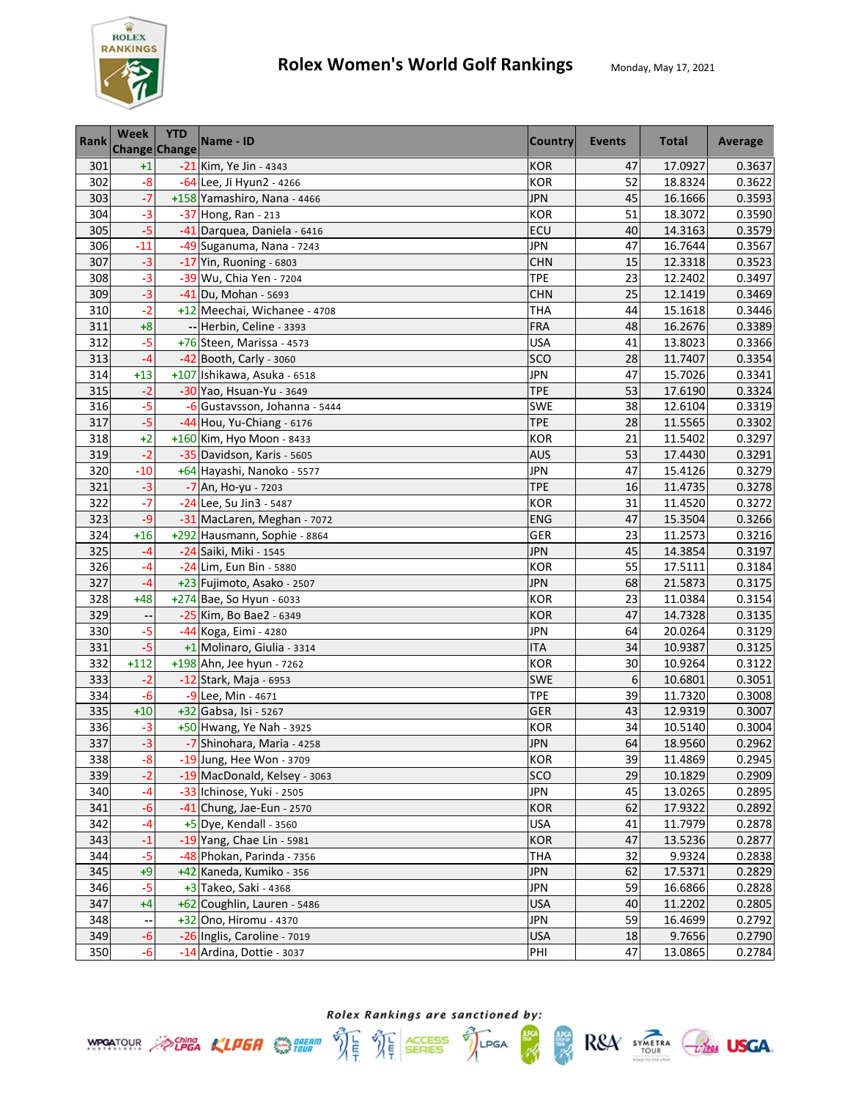

| <b>Rank</b> | Week<br>Change Change    | <b>YTD</b> | Name - ID                     | <b>Country</b> | Events | <b>Total</b> | Average |
|-------------|--------------------------|------------|-------------------------------|----------------|--------|--------------|---------|
| 301         | $+1$                     |            | -21 Kim, Ye Jin - 4343        | <b>KOR</b>     | 47     | 17.0927      | 0.3637  |
| 302         | $-8$                     |            | -64 Lee, Ji Hyun2 - 4266      | <b>KOR</b>     | 52     | 18.8324      | 0.3622  |
| 303         | $-7$                     |            | +158 Yamashiro, Nana - 4466   | <b>JPN</b>     | 45     | 16.1666      | 0.3593  |
| 304         | $-3$                     |            | -37 Hong, Ran - 213           | <b>KOR</b>     | 51     | 18.3072      | 0.3590  |
| 305         | $-5$                     |            | -41 Darquea, Daniela - 6416   | ECU            | 40     | 14.3163      | 0.3579  |
| 306         | $-11$                    |            | -49 Suganuma, Nana - 7243     | <b>JPN</b>     | 47     | 16.7644      | 0.3567  |
| 307         | $-3$                     |            | $-17$ Yin, Ruoning - 6803     | <b>CHN</b>     | 15     | 12.3318      | 0.3523  |
| 308         | $-3$                     |            | -39 Wu, Chia Yen - 7204       | <b>TPE</b>     | 23     | 12.2402      | 0.3497  |
| 309         | $-3$                     |            | -41 Du, Mohan - 5693          | <b>CHN</b>     | 25     | 12.1419      | 0.3469  |
| 310         | $-2$                     |            | +12 Meechai, Wichanee - 4708  | <b>THA</b>     | 44     | 15.1618      | 0.3446  |
| 311         | $+8$                     |            | -- Herbin, Celine - 3393      | FRA            | 48     | 16.2676      | 0.3389  |
| 312         | $-5$                     |            | +76 Steen, Marissa - 4573     | <b>USA</b>     | 41     | 13.8023      | 0.3366  |
| 313         | $-4$                     |            | -42 Booth, Carly - 3060       | SCO            | 28     | 11.7407      | 0.3354  |
| 314         | $+13$                    |            | +107 Ishikawa, Asuka - 6518   | <b>JPN</b>     | 47     | 15.7026      | 0.3341  |
| 315         | $-2$                     |            | -30 Yao, Hsuan-Yu - 3649      | <b>TPE</b>     | 53     | 17.6190      | 0.3324  |
| 316         | $-5$                     |            | -6 Gustavsson, Johanna - 5444 | <b>SWE</b>     | 38     | 12.6104      | 0.3319  |
| 317         | $-5$                     |            | -44 Hou, Yu-Chiang - 6176     | <b>TPE</b>     | 28     | 11.5565      | 0.3302  |
| 318         | $+2$                     |            | +160 Kim, Hyo Moon - 8433     | <b>KOR</b>     | 21     | 11.5402      | 0.3297  |
| 319         | $-2$                     |            | -35 Davidson, Karis - 5605    | <b>AUS</b>     | 53     | 17.4430      | 0.3291  |
| 320         | $-10$                    |            | +64 Hayashi, Nanoko - 5577    | <b>JPN</b>     | 47     | 15.4126      | 0.3279  |
| 321         | $-3$                     |            | -7 An, Ho-yu - 7203           | <b>TPE</b>     | 16     | 11.4735      | 0.3278  |
| 322         | $-7$                     |            | -24 Lee, Su Jin3 - 5487       | <b>KOR</b>     | 31     | 11.4520      | 0.3272  |
| 323         | $-9$                     |            | -31 MacLaren, Meghan - 7072   | ENG            | 47     | 15.3504      | 0.3266  |
| 324         | $+16$                    |            | +292 Hausmann, Sophie - 8864  | GER            | 23     | 11.2573      | 0.3216  |
| 325         | $-4$                     |            | -24 Saiki, Miki - 1545        | JPN            | 45     | 14.3854      | 0.3197  |
| 326         | $-4$                     |            | -24 Lim, Eun Bin - 5880       | <b>KOR</b>     | 55     | 17.5111      | 0.3184  |
| 327         | $-4$                     |            | +23 Fujimoto, Asako - 2507    | <b>JPN</b>     | 68     | 21.5873      | 0.3175  |
| 328         | $+48$                    |            | +274 Bae, So Hyun - 6033      | <b>KOR</b>     | 23     | 11.0384      | 0.3154  |
| 329         |                          |            | -25 Kim, Bo Bae2 - 6349       | <b>KOR</b>     | 47     | 14.7328      | 0.3135  |
| 330         | $-5$                     |            | -44 Koga, Eimi - 4280         | <b>JPN</b>     | 64     | 20.0264      | 0.3129  |
| 331         | $-5$                     |            | +1 Molinaro, Giulia - 3314    | <b>ITA</b>     | 34     | 10.9387      | 0.3125  |
| 332         | $+112$                   |            | +198 Ahn, Jee hyun - 7262     | <b>KOR</b>     | 30     | 10.9264      | 0.3122  |
| 333         | $-2$                     |            | -12 Stark, Maja - 6953        | SWE            | 6      | 10.6801      | 0.3051  |
| 334         | $-6$                     |            | -9 Lee, Min - 4671            | <b>TPE</b>     | 39     | 11.7320      | 0.3008  |
| 335         | $+10$                    |            | +32 Gabsa, Isi - 5267         | <b>GER</b>     | 43     | 12.9319      | 0.3007  |
| 336         | $-3$                     |            | +50 Hwang, Ye Nah - 3925      | <b>KOR</b>     | 34     | 10.5140      | 0.3004  |
| 337         | $-3$                     |            | -7 Shinohara, Maria - 4258    | <b>JPN</b>     | 64     | 18.9560      | 0.2962  |
| 338         | $-8$                     |            | -19 Jung, Hee Won - 3709      | KOR            | 39     | 11.4869      | 0.2945  |
| 339         | $-2$                     |            | -19 MacDonald, Kelsey - 3063  | SCO            | 29     | 10.1829      | 0.2909  |
| 340         | $-4$                     |            | -33 Ichinose, Yuki - 2505     | <b>JPN</b>     | 45     | 13.0265      | 0.2895  |
| 341         | $-6$                     |            | -41 Chung, Jae-Eun - 2570     | <b>KOR</b>     | 62     | 17.9322      | 0.2892  |
| 342         | -4                       |            | +5 Dye, Kendall - 3560        | <b>USA</b>     | 41     | 11.7979      | 0.2878  |
| 343         | $-1$                     |            | -19 Yang, Chae Lin - 5981     | <b>KOR</b>     | 47     | 13.5236      | 0.2877  |
| 344         | $-5$                     |            | -48 Phokan, Parinda - 7356    | <b>THA</b>     | 32     | 9.9324       | 0.2838  |
| 345         | $+9$                     |            | +42 Kaneda, Kumiko - 356      | <b>JPN</b>     | 62     | 17.5371      | 0.2829  |
| 346         | $-5$                     |            | +3 Takeo, Saki - 4368         | <b>JPN</b>     | 59     | 16.6866      | 0.2828  |
| 347         | $+4$                     |            | +62 Coughlin, Lauren - 5486   | <b>USA</b>     | 40     | 11.2202      | 0.2805  |
| 348         | $\overline{\phantom{a}}$ |            | +32 Ono, Hiromu - 4370        | <b>JPN</b>     | 59     | 16.4699      | 0.2792  |
| 349         | $-6$                     |            | -26 Inglis, Caroline - 7019   | <b>USA</b>     | 18     | 9.7656       | 0.2790  |
| 350         | $-6$                     |            | -14 Ardina, Dottie - 3037     | PHI            | 47     | 13.0865      | 0.2784  |

Rolex Rankings are sanctioned by: **WPOATOUR** ACHEA KLPER SUPER THE THE SERIES TILPGA

**APGA** 

R&A SYMETRA CHEE USGA.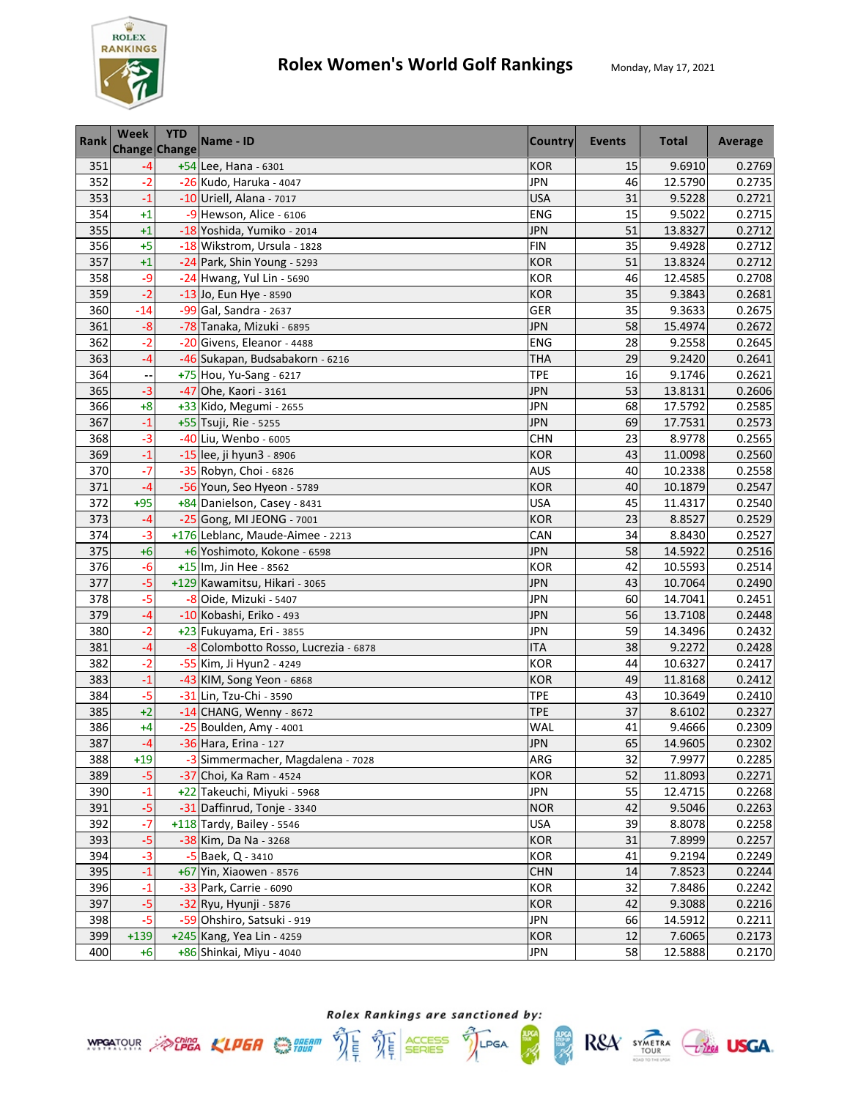

| Rank | Week   | <b>YTD</b><br><b>Change Change</b> | Name - ID                            | <b>Country</b> | Events | <b>Total</b> | Average |
|------|--------|------------------------------------|--------------------------------------|----------------|--------|--------------|---------|
| 351  | -4     |                                    | +54 Lee, Hana - 6301                 | <b>KOR</b>     | 15     | 9.6910       | 0.2769  |
| 352  | $-2$   |                                    | -26 Kudo, Haruka - 4047              | <b>JPN</b>     | 46     | 12.5790      | 0.2735  |
| 353  | $-1$   |                                    | -10 Uriell, Alana - 7017             | <b>USA</b>     | 31     | 9.5228       | 0.2721  |
| 354  | $+1$   |                                    | -9 Hewson, Alice - 6106              | <b>ENG</b>     | 15     | 9.5022       | 0.2715  |
| 355  | $+1$   |                                    | -18 Yoshida, Yumiko - 2014           | <b>JPN</b>     | 51     | 13.8327      | 0.2712  |
| 356  | $+5$   |                                    | -18 Wikstrom, Ursula - 1828          | <b>FIN</b>     | 35     | 9.4928       | 0.2712  |
| 357  | $+1$   |                                    | -24 Park, Shin Young - 5293          | <b>KOR</b>     | 51     | 13.8324      | 0.2712  |
| 358  | -9     |                                    | -24 Hwang, Yul Lin - 5690            | <b>KOR</b>     | 46     | 12.4585      | 0.2708  |
| 359  | $-2$   |                                    | -13 Jo, Eun Hye - 8590               | <b>KOR</b>     | 35     | 9.3843       | 0.2681  |
| 360  | $-14$  |                                    | -99 Gal, Sandra - 2637               | GER            | 35     | 9.3633       | 0.2675  |
| 361  | $-8$   |                                    | -78 Tanaka, Mizuki - 6895            | JPN            | 58     | 15.4974      | 0.2672  |
| 362  | -2     |                                    | -20 Givens, Eleanor - 4488           | <b>ENG</b>     | 28     | 9.2558       | 0.2645  |
| 363  | $-4$   |                                    | -46 Sukapan, Budsabakorn - 6216      | <b>THA</b>     | 29     | 9.2420       | 0.2641  |
| 364  |        |                                    | +75 Hou, Yu-Sang - 6217              | <b>TPE</b>     | 16     | 9.1746       | 0.2621  |
| 365  | $-3$   |                                    | -47 Ohe, Kaori - 3161                | <b>JPN</b>     | 53     | 13.8131      | 0.2606  |
| 366  | $+8$   |                                    | +33 Kido, Megumi - 2655              | <b>JPN</b>     | 68     | 17.5792      | 0.2585  |
| 367  | $-1$   |                                    | +55 Tsuji, Rie - 5255                | <b>JPN</b>     | 69     | 17.7531      | 0.2573  |
| 368  | $-3$   |                                    | -40 Liu, Wenbo - 6005                | <b>CHN</b>     | 23     | 8.9778       | 0.2565  |
| 369  | $-1$   |                                    | -15 lee, ji hyun3 - 8906             | <b>KOR</b>     | 43     | 11.0098      | 0.2560  |
| 370  | $-7$   |                                    | -35 Robyn, Choi - 6826               | AUS            | 40     | 10.2338      | 0.2558  |
| 371  | $-4$   |                                    | -56 Youn, Seo Hyeon - 5789           | <b>KOR</b>     | 40     | 10.1879      | 0.2547  |
| 372  | $+95$  |                                    | +84 Danielson, Casey - 8431          | <b>USA</b>     | 45     | 11.4317      | 0.2540  |
| 373  | $-4$   |                                    | -25 Gong, MI JEONG - 7001            | <b>KOR</b>     | 23     | 8.8527       | 0.2529  |
| 374  | $-3$   |                                    | +176 Leblanc, Maude-Aimee - 2213     | CAN            | 34     | 8.8430       | 0.2527  |
| 375  | $+6$   |                                    | +6 Yoshimoto, Kokone - 6598          | <b>JPN</b>     | 58     | 14.5922      | 0.2516  |
| 376  | $-6$   |                                    | +15 Im, Jin Hee - 8562               | <b>KOR</b>     | 42     | 10.5593      | 0.2514  |
| 377  | $-5$   |                                    | +129 Kawamitsu, Hikari - 3065        | <b>JPN</b>     | 43     | 10.7064      | 0.2490  |
| 378  | $-5$   |                                    | -8 Oide, Mizuki - 5407               | <b>JPN</b>     | 60     | 14.7041      | 0.2451  |
| 379  | $-4$   |                                    | -10 Kobashi, Eriko - 493             | <b>JPN</b>     | 56     | 13.7108      | 0.2448  |
| 380  | $-2$   |                                    | +23 Fukuyama, Eri - 3855             | <b>JPN</b>     | 59     | 14.3496      | 0.2432  |
| 381  | $-4$   |                                    | -8 Colombotto Rosso, Lucrezia - 6878 | <b>ITA</b>     | 38     | 9.2272       | 0.2428  |
| 382  | $-2$   |                                    | -55 Kim, Ji Hyun2 - 4249             | <b>KOR</b>     | 44     | 10.6327      | 0.2417  |
| 383  | $-1$   |                                    | -43 KIM, Song Yeon - 6868            | <b>KOR</b>     | 49     | 11.8168      | 0.2412  |
| 384  | $-5$   |                                    | -31 Lin, Tzu-Chi - 3590              | <b>TPE</b>     | 43     | 10.3649      | 0.2410  |
| 385  | $+2$   |                                    | -14 CHANG, Wenny - 8672              | <b>TPE</b>     | 37     | 8.6102       | 0.2327  |
| 386  | +4     |                                    | -25 Boulden, Amy - 4001              | <b>WAL</b>     | 41     | 9.4666       | 0.2309  |
| 387  | $-4$   |                                    | -36 Hara, Erina - 127                | <b>JPN</b>     | 65     | 14.9605      | 0.2302  |
| 388  | $+19$  |                                    | -3 Simmermacher, Magdalena - 7028    | ARG            | 32     | 7.9977       | 0.2285  |
| 389  | $-5$   |                                    | -37 Choi, Ka Ram - 4524              | <b>KOR</b>     | 52     | 11.8093      | 0.2271  |
| 390  | $-1$   |                                    | +22 Takeuchi, Miyuki - 5968          | <b>JPN</b>     | 55     | 12.4715      | 0.2268  |
| 391  | $-5$   |                                    | -31 Daffinrud, Tonje - 3340          | <b>NOR</b>     | 42     | 9.5046       | 0.2263  |
| 392  | $-7$   |                                    | $+118$ Tardy, Bailey - 5546          | <b>USA</b>     | 39     | 8.8078       | 0.2258  |
| 393  | $-5$   |                                    | -38 Kim, Da Na - 3268                | <b>KOR</b>     | 31     | 7.8999       | 0.2257  |
| 394  | $-3$   |                                    | -5 Baek, Q - 3410                    | <b>KOR</b>     | 41     | 9.2194       | 0.2249  |
| 395  | $-1$   |                                    | +67 Yin, Xiaowen - 8576              | <b>CHN</b>     | 14     | 7.8523       | 0.2244  |
| 396  | $-1$   |                                    | -33 Park, Carrie - 6090              | <b>KOR</b>     | 32     | 7.8486       | 0.2242  |
| 397  | $-5$   |                                    | -32 Ryu, Hyunji - 5876               | <b>KOR</b>     | 42     | 9.3088       | 0.2216  |
| 398  | $-5$   |                                    | -59 Ohshiro, Satsuki - 919           | JPN            | 66     | 14.5912      | 0.2211  |
| 399  | $+139$ |                                    | +245 Kang, Yea Lin - 4259            | <b>KOR</b>     | 12     | 7.6065       | 0.2173  |
| 400  | $+6$   |                                    | +86 Shinkai, Miyu - 4040             | JPN            | 58     | 12.5888      | 0.2170  |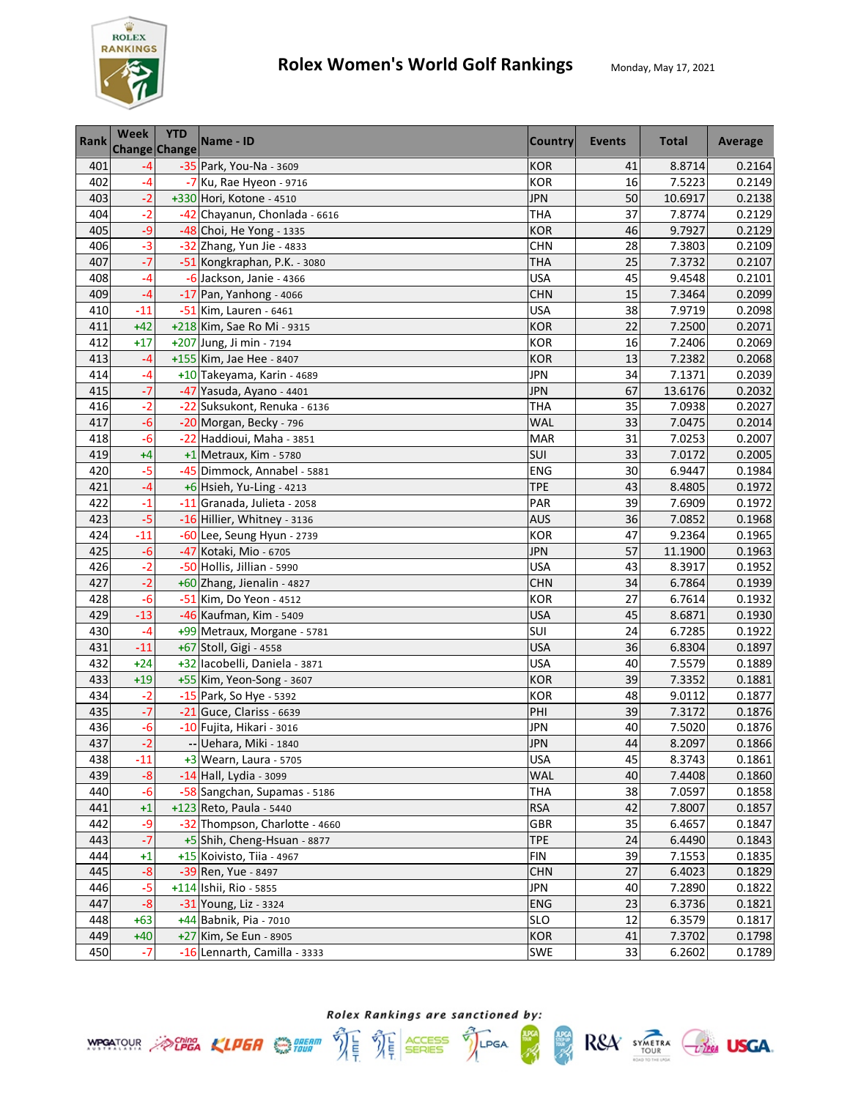

| <b>Rank</b> | Week<br>Change Change | <b>YTD</b> | Name - ID                      | <b>Country</b> | Events | <b>Total</b> | Average |
|-------------|-----------------------|------------|--------------------------------|----------------|--------|--------------|---------|
| 401         | $-4$                  |            | -35 Park, You-Na - 3609        | <b>KOR</b>     | 41     | 8.8714       | 0.2164  |
| 402         | $-4$                  |            | $-7$ Ku, Rae Hyeon - 9716      | <b>KOR</b>     | 16     | 7.5223       | 0.2149  |
| 403         | $-2$                  |            | +330 Hori, Kotone - 4510       | <b>JPN</b>     | 50     | 10.6917      | 0.2138  |
| 404         | $-2$                  |            | -42 Chayanun, Chonlada - 6616  | <b>THA</b>     | 37     | 7.8774       | 0.2129  |
| 405         | -9                    |            | -48 Choi, He Yong - 1335       | <b>KOR</b>     | 46     | 9.7927       | 0.2129  |
| 406         | $-3$                  |            | -32 Zhang, Yun Jie - 4833      | <b>CHN</b>     | 28     | 7.3803       | 0.2109  |
| 407         | $-7$                  |            | -51 Kongkraphan, P.K. - 3080   | THA            | 25     | 7.3732       | 0.2107  |
| 408         | $-4$                  |            | -6 Jackson, Janie - 4366       | <b>USA</b>     | 45     | 9.4548       | 0.2101  |
| 409         | $-4$                  |            | $-17$ Pan, Yanhong - 4066      | <b>CHN</b>     | 15     | 7.3464       | 0.2099  |
| 410         | $-11$                 |            | -51 Kim, Lauren - 6461         | <b>USA</b>     | 38     | 7.9719       | 0.2098  |
| 411         | $+42$                 |            | +218 Kim, Sae Ro Mi - 9315     | <b>KOR</b>     | 22     | 7.2500       | 0.2071  |
| 412         | $+17$                 |            | +207 Jung, Ji min - 7194       | <b>KOR</b>     | 16     | 7.2406       | 0.2069  |
| 413         | $-4$                  |            | +155 Kim, Jae Hee - 8407       | <b>KOR</b>     | 13     | 7.2382       | 0.2068  |
| 414         | $-4$                  |            | +10 Takeyama, Karin - 4689     | <b>JPN</b>     | 34     | 7.1371       | 0.2039  |
| 415         | $-7$                  |            | -47 Yasuda, Ayano - 4401       | <b>JPN</b>     | 67     | 13.6176      | 0.2032  |
| 416         | $-2$                  |            | -22 Suksukont, Renuka - 6136   | <b>THA</b>     | 35     | 7.0938       | 0.2027  |
| 417         | $-6$                  |            | -20 Morgan, Becky - 796        | WAL            | 33     | 7.0475       | 0.2014  |
| 418         | $-6$                  |            | -22 Haddioui, Maha - 3851      | <b>MAR</b>     | 31     | 7.0253       | 0.2007  |
| 419         | $+4$                  |            | $+1$ Metraux, Kim - 5780       | SUI            | 33     | 7.0172       | 0.2005  |
| 420         | $-5$                  |            | -45 Dimmock, Annabel - 5881    | <b>ENG</b>     | 30     | 6.9447       | 0.1984  |
| 421         | $-4$                  |            | +6 Hsieh, Yu-Ling - 4213       | <b>TPE</b>     | 43     | 8.4805       | 0.1972  |
| 422         | $-1$                  |            | -11 Granada, Julieta - 2058    | PAR            | 39     | 7.6909       | 0.1972  |
| 423         | -5                    |            | -16 Hillier, Whitney - 3136    | <b>AUS</b>     | 36     | 7.0852       | 0.1968  |
| 424         | $-11$                 |            | -60 Lee, Seung Hyun - 2739     | <b>KOR</b>     | 47     | 9.2364       | 0.1965  |
| 425         | $-6$                  |            | -47 Kotaki, Mio - 6705         | <b>JPN</b>     | 57     | 11.1900      | 0.1963  |
| 426         | $-2$                  |            | -50 Hollis, Jillian - 5990     | <b>USA</b>     | 43     | 8.3917       | 0.1952  |
| 427         | $-2$                  |            | +60 Zhang, Jienalin - 4827     | <b>CHN</b>     | 34     | 6.7864       | 0.1939  |
| 428         | $-6$                  |            | -51 Kim, Do Yeon - 4512        | <b>KOR</b>     | 27     | 6.7614       | 0.1932  |
| 429         | $-13$                 |            | -46 Kaufman, Kim - 5409        | <b>USA</b>     | 45     | 8.6871       | 0.1930  |
| 430         | $-4$                  |            | +99 Metraux, Morgane - 5781    | SUI            | 24     | 6.7285       | 0.1922  |
| 431         | $-11$                 |            | +67 Stoll, Gigi - 4558         | <b>USA</b>     | 36     | 6.8304       | 0.1897  |
| 432         | $+24$                 |            | +32 lacobelli, Daniela - 3871  | <b>USA</b>     | 40     | 7.5579       | 0.1889  |
| 433         | $+19$                 |            | +55 Kim, Yeon-Song - 3607      | <b>KOR</b>     | 39     | 7.3352       | 0.1881  |
| 434         | $-2$                  |            | -15 Park, So Hye - 5392        | <b>KOR</b>     | 48     | 9.0112       | 0.1877  |
| 435         | $-7$                  |            | $-21$ Guce, Clariss - 6639     | PHI            | 39     | 7.3172       | 0.1876  |
| 436         | $-6$                  |            | -10 Fujita, Hikari - 3016      | <b>JPN</b>     | 40     | 7.5020       | 0.1876  |
| 437         | $-2$                  |            | -- Uehara, Miki - 1840         | <b>JPN</b>     | 44     | 8.2097       | 0.1866  |
| 438         | $-11$                 |            | +3 Wearn, Laura - 5705         | <b>USA</b>     | 45     | 8.3743       | 0.1861  |
| 439         | $-8$                  |            | -14 Hall, Lydia - 3099         | <b>WAL</b>     | 40     | 7.4408       | 0.1860  |
| 440         | $-6$                  |            | -58 Sangchan, Supamas - 5186   | <b>THA</b>     | 38     | 7.0597       | 0.1858  |
| 441         | $+1$                  |            | +123 Reto, Paula - 5440        | <b>RSA</b>     | 42     | 7.8007       | 0.1857  |
| 442         | -9                    |            | -32 Thompson, Charlotte - 4660 | GBR            | 35     | 6.4657       | 0.1847  |
| 443         | $-7$                  |            | +5 Shih, Cheng-Hsuan - 8877    | <b>TPE</b>     | 24     | 6.4490       | 0.1843  |
| 444         | $+1$                  |            | +15 Koivisto, Tiia - 4967      | <b>FIN</b>     | 39     | 7.1553       | 0.1835  |
| 445         | $-8$                  |            | -39 Ren, Yue - 8497            | <b>CHN</b>     | 27     | 6.4023       | 0.1829  |
| 446         | $-5$                  |            | +114 Ishii, Rio - 5855         | <b>JPN</b>     | 40     | 7.2890       | 0.1822  |
| 447         | $-8$                  |            | -31 Young, Liz - 3324          | <b>ENG</b>     | 23     | 6.3736       | 0.1821  |
| 448         | $+63$                 |            | +44 Babnik, Pia - 7010         | <b>SLO</b>     | 12     | 6.3579       | 0.1817  |
| 449         | $+40$                 |            | +27 Kim, Se Eun - 8905         | <b>KOR</b>     | 41     | 7.3702       | 0.1798  |
| 450         | $-7$                  |            | -16 Lennarth, Camilla - 3333   | SWE            | 33     | 6.2602       | 0.1789  |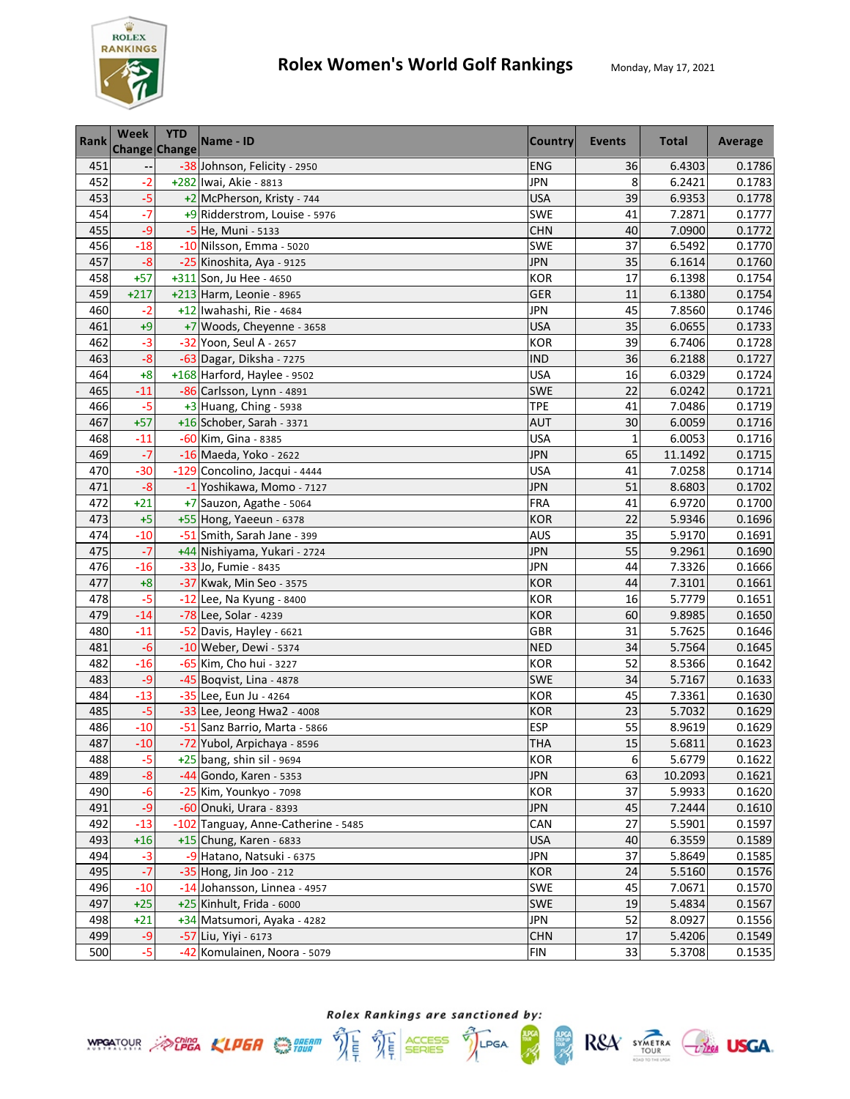

| <b>Rank</b> | Week   | <b>YTD</b><br>Change Change | Name - ID                           | <b>Country</b> | <b>Events</b> | <b>Total</b> | Average |
|-------------|--------|-----------------------------|-------------------------------------|----------------|---------------|--------------|---------|
| 451         |        |                             | -38 Johnson, Felicity - 2950        | <b>ENG</b>     | 36            | 6.4303       | 0.1786  |
| 452         | $-2$   |                             | +282 Iwai, Akie - 8813              | <b>JPN</b>     | 8             | 6.2421       | 0.1783  |
| 453         | $-5$   |                             | +2 McPherson, Kristy - 744          | <b>USA</b>     | 39            | 6.9353       | 0.1778  |
| 454         | $-7$   |                             | +9 Ridderstrom, Louise - 5976       | <b>SWE</b>     | 41            | 7.2871       | 0.1777  |
| 455         | $-9$   |                             | -5 He, Muni - 5133                  | <b>CHN</b>     | 40            | 7.0900       | 0.1772  |
| 456         | $-18$  |                             | -10 Nilsson, Emma - 5020            | <b>SWE</b>     | 37            | 6.5492       | 0.1770  |
| 457         | $-8$   |                             | -25 Kinoshita, Aya - 9125           | <b>JPN</b>     | 35            | 6.1614       | 0.1760  |
| 458         | $+57$  |                             | +311 Son, Ju Hee - 4650             | <b>KOR</b>     | 17            | 6.1398       | 0.1754  |
| 459         | $+217$ |                             | $+213$ Harm, Leonie - 8965          | <b>GER</b>     | 11            | 6.1380       | 0.1754  |
| 460         | -2     |                             | +12 Iwahashi, Rie - 4684            | <b>JPN</b>     | 45            | 7.8560       | 0.1746  |
| 461         | $+9$   |                             | +7 Woods, Cheyenne - 3658           | <b>USA</b>     | 35            | 6.0655       | 0.1733  |
| 462         | $-3$   |                             | -32 Yoon, Seul A - 2657             | <b>KOR</b>     | 39            | 6.7406       | 0.1728  |
| 463         | $-8$   |                             | -63 Dagar, Diksha - 7275            | <b>IND</b>     | 36            | 6.2188       | 0.1727  |
| 464         | $+8$   |                             | +168 Harford, Haylee - 9502         | <b>USA</b>     | 16            | 6.0329       | 0.1724  |
| 465         | $-11$  |                             | -86 Carlsson, Lynn - 4891           | <b>SWE</b>     | 22            | 6.0242       | 0.1721  |
| 466         | $-5$   |                             | $+3$ Huang, Ching - 5938            | <b>TPE</b>     | 41            | 7.0486       | 0.1719  |
| 467         | $+57$  |                             | +16 Schober, Sarah - 3371           | <b>AUT</b>     | 30            | 6.0059       | 0.1716  |
| 468         | $-11$  |                             | -60 Kim, Gina - 8385                | <b>USA</b>     | 1             | 6.0053       | 0.1716  |
| 469         | $-7$   |                             | -16 Maeda, Yoko - 2622              | <b>JPN</b>     | 65            | 11.1492      | 0.1715  |
| 470         | $-30$  |                             | -129 Concolino, Jacqui - 4444       | <b>USA</b>     | 41            | 7.0258       | 0.1714  |
| 471         | $-8$   |                             | -1 Yoshikawa, Momo - 7127           | <b>JPN</b>     | 51            | 8.6803       | 0.1702  |
| 472         | $+21$  |                             | +7 Sauzon, Agathe - 5064            | <b>FRA</b>     | 41            | 6.9720       | 0.1700  |
| 473         | $+5$   |                             | +55 Hong, Yaeeun - 6378             | <b>KOR</b>     | 22            | 5.9346       | 0.1696  |
| 474         | $-10$  |                             | -51 Smith, Sarah Jane - 399         | <b>AUS</b>     | 35            | 5.9170       | 0.1691  |
| 475         | $-7$   |                             | +44 Nishiyama, Yukari - 2724        | JPN            | 55            | 9.2961       | 0.1690  |
| 476         | $-16$  |                             | -33 Jo, Fumie - 8435                | <b>JPN</b>     | 44            | 7.3326       | 0.1666  |
| 477         | $+8$   |                             | -37 Kwak, Min Seo - 3575            | <b>KOR</b>     | 44            | 7.3101       | 0.1661  |
| 478         | $-5$   |                             | -12 Lee, Na Kyung - 8400            | <b>KOR</b>     | 16            | 5.7779       | 0.1651  |
| 479         | $-14$  |                             | -78 Lee, Solar - 4239               | <b>KOR</b>     | 60            | 9.8985       | 0.1650  |
| 480         | $-11$  |                             | -52 Davis, Hayley - 6621            | GBR            | 31            | 5.7625       | 0.1646  |
| 481         | $-6$   |                             | -10 Weber, Dewi - 5374              | <b>NED</b>     | 34            | 5.7564       | 0.1645  |
| 482         | $-16$  |                             | -65 Kim, Cho hui - 3227             | <b>KOR</b>     | 52            | 8.5366       | 0.1642  |
| 483         | -9     |                             | -45 Boqvist, Lina - 4878            | SWE            | 34            | 5.7167       | 0.1633  |
| 484         | $-13$  |                             | -35 Lee, Eun Ju - 4264              | <b>KOR</b>     | 45            | 7.3361       | 0.1630  |
| 485         | $-5$   |                             | -33 Lee, Jeong Hwa2 - 4008          | <b>KOR</b>     | 23            | 5.7032       | 0.1629  |
| 486         | $-10$  |                             | -51 Sanz Barrio, Marta - 5866       | <b>ESP</b>     | 55            | 8.9619       | 0.1629  |
| 487         | $-10$  |                             | -72 Yubol, Arpichaya - 8596         | <b>THA</b>     | 15            | 5.6811       | 0.1623  |
| 488         | $-5$   |                             | $+25$ bang, shin sil - 9694         | <b>KOR</b>     | 6             | 5.6779       | 0.1622  |
| 489         | $-8$   |                             | -44 Gondo, Karen - 5353             | <b>JPN</b>     | 63            | 10.2093      | 0.1621  |
| 490         | $-6$   |                             | -25 Kim, Younkyo - 7098             | <b>KOR</b>     | 37            | 5.9933       | 0.1620  |
| 491         | $-9$   |                             | -60 Onuki, Urara - 8393             | <b>JPN</b>     | 45            | 7.2444       | 0.1610  |
| 492         | $-13$  |                             | -102 Tanguay, Anne-Catherine - 5485 | CAN            | 27            | 5.5901       | 0.1597  |
| 493         | $+16$  |                             | +15 Chung, Karen - 6833             | <b>USA</b>     | 40            | 6.3559       | 0.1589  |
| 494         | $-3$   |                             | -9 Hatano, Natsuki - 6375           | <b>JPN</b>     | 37            | 5.8649       | 0.1585  |
| 495         | $-7$   |                             | -35 Hong, Jin Joo - 212             | <b>KOR</b>     | 24            | 5.5160       | 0.1576  |
| 496         | $-10$  |                             | -14 Johansson, Linnea - 4957        | <b>SWE</b>     | 45            | 7.0671       | 0.1570  |
| 497         | $+25$  |                             | +25 Kinhult, Frida - 6000           | <b>SWE</b>     | 19            | 5.4834       | 0.1567  |
| 498         | $+21$  |                             | +34 Matsumori, Ayaka - 4282         | <b>JPN</b>     | 52            | 8.0927       | 0.1556  |
| 499         | $-9$   |                             | -57 Liu, Yiyi - 6173                | <b>CHN</b>     | 17            | 5.4206       | 0.1549  |
| 500         | $-5$   |                             | -42 Komulainen, Noora - 5079        | <b>FIN</b>     | 33            | 5.3708       | 0.1535  |





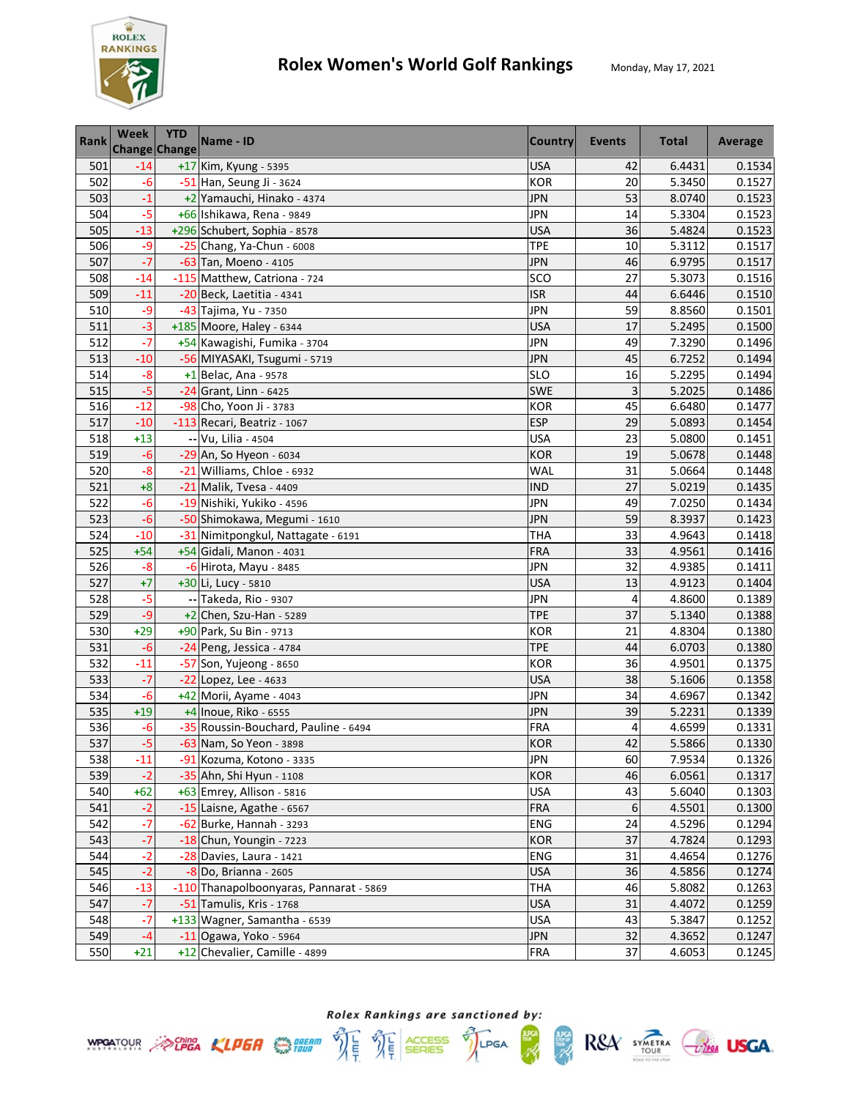

| <b>Rank</b> | <b>Week</b><br><b>Change Change</b> | <b>YTD</b> | Name - ID                               | Country    | Events | <b>Total</b> | Average |
|-------------|-------------------------------------|------------|-----------------------------------------|------------|--------|--------------|---------|
| 501         | $-14$                               |            | +17 Kim, Kyung - 5395                   | <b>USA</b> | 42     | 6.4431       | 0.1534  |
| 502         | $-6$                                |            | -51 Han, Seung Ji - 3624                | <b>KOR</b> | 20     | 5.3450       | 0.1527  |
| 503         | $-1$                                |            | +2 Yamauchi, Hinako - 4374              | <b>JPN</b> | 53     | 8.0740       | 0.1523  |
| 504         | $-5$                                |            | +66 Ishikawa, Rena - 9849               | <b>JPN</b> | 14     | 5.3304       | 0.1523  |
| 505         | $-13$                               |            | +296 Schubert, Sophia - 8578            | <b>USA</b> | 36     | 5.4824       | 0.1523  |
| 506         | $-9$                                |            | -25 Chang, Ya-Chun - 6008               | <b>TPE</b> | 10     | 5.3112       | 0.1517  |
| 507         | $-7$                                |            | -63 Tan, Moeno - 4105                   | <b>JPN</b> | 46     | 6.9795       | 0.1517  |
| 508         | $-14$                               |            | -115 Matthew, Catriona - 724            | SCO        | 27     | 5.3073       | 0.1516  |
| 509         | $-11$                               |            | -20 Beck, Laetitia - 4341               | <b>ISR</b> | 44     | 6.6446       | 0.1510  |
| 510         | -9                                  |            | -43 Tajima, Yu - 7350                   | <b>JPN</b> | 59     | 8.8560       | 0.1501  |
| 511         | $-3$                                |            | +185 Moore, Haley - 6344                | <b>USA</b> | 17     | 5.2495       | 0.1500  |
| 512         | $-7$                                |            | +54 Kawagishi, Fumika - 3704            | <b>JPN</b> | 49     | 7.3290       | 0.1496  |
| 513         | $-10$                               |            | -56 MIYASAKI, Tsugumi - 5719            | <b>JPN</b> | 45     | 6.7252       | 0.1494  |
| 514         | $-8$                                |            | $+1$ Belac, Ana - 9578                  | <b>SLO</b> | 16     | 5.2295       | 0.1494  |
| 515         | $-5$                                |            | -24 Grant, Linn - 6425                  | <b>SWE</b> | 3      | 5.2025       | 0.1486  |
| 516         | $-12$                               |            | -98 Cho, Yoon Ji - 3783                 | <b>KOR</b> | 45     | 6.6480       | 0.1477  |
| 517         | $-10$                               |            | -113 Recari, Beatriz - 1067             | <b>ESP</b> | 29     | 5.0893       | 0.1454  |
| 518         | $+13$                               |            | -- Vu, Lilia - 4504                     | <b>USA</b> | 23     | 5.0800       | 0.1451  |
| 519         | $-6$                                |            | -29 An, So Hyeon - 6034                 | <b>KOR</b> | 19     | 5.0678       | 0.1448  |
| 520         | $-8$                                |            | -21 Williams, Chloe - 6932              | WAL        | 31     | 5.0664       | 0.1448  |
| 521         | $+8$                                |            | -21 Malik, Tvesa - 4409                 | <b>IND</b> | 27     | 5.0219       | 0.1435  |
| 522         | $-6$                                |            | -19 Nishiki, Yukiko - 4596              | <b>JPN</b> | 49     | 7.0250       | 0.1434  |
| 523         | $-6$                                |            | -50 Shimokawa, Megumi - 1610            | <b>JPN</b> | 59     | 8.3937       | 0.1423  |
| 524         | $-10$                               |            | -31 Nimitpongkul, Nattagate - 6191      | THA        | 33     | 4.9643       | 0.1418  |
| 525         | $+54$                               |            | +54 Gidali, Manon - 4031                | <b>FRA</b> | 33     | 4.9561       | 0.1416  |
| 526         | $-8$                                |            | -6 Hirota, Mayu - 8485                  | <b>JPN</b> | 32     | 4.9385       | 0.1411  |
| 527         | $+7$                                |            | +30 Li, Lucy - 5810                     | <b>USA</b> | 13     | 4.9123       | 0.1404  |
| 528         | $-5$                                |            | -- Takeda, Rio - 9307                   | <b>JPN</b> | 4      | 4.8600       | 0.1389  |
| 529         | $-9$                                |            | +2 Chen, Szu-Han - 5289                 | <b>TPE</b> | 37     | 5.1340       | 0.1388  |
| 530         | $+29$                               |            | +90 Park, Su Bin - 9713                 | <b>KOR</b> | 21     | 4.8304       | 0.1380  |
| 531         | $-6$                                |            | -24 Peng, Jessica - 4784                | <b>TPE</b> | 44     | 6.0703       | 0.1380  |
| 532         | $-11$                               |            | -57 Son, Yujeong - 8650                 | <b>KOR</b> | 36     | 4.9501       | 0.1375  |
| 533         | $-7$                                |            | -22 Lopez, Lee - 4633                   | <b>USA</b> | 38     | 5.1606       | 0.1358  |
| 534         | $-6$                                |            | +42 Morii, Ayame - 4043                 | <b>JPN</b> | 34     | 4.6967       | 0.1342  |
| 535         | $+19$                               |            | +4 Inoue, Riko - 6555                   | <b>JPN</b> | 39     | 5.2231       | 0.1339  |
| 536         | $-6$                                |            | -35 Roussin-Bouchard, Pauline - 6494    | <b>FRA</b> | 4      | 4.6599       | 0.1331  |
| 537         | $-5$                                |            | -63 Nam, So Yeon - 3898                 | <b>KOR</b> | 42     | 5.5866       | 0.1330  |
| 538         | $-11$                               |            | -91 Kozuma, Kotono - 3335               | <b>JPN</b> | 60     | 7.9534       | 0.1326  |
| 539         | $-2$                                |            | -35 Ahn, Shi Hyun - 1108                | <b>KOR</b> | 46     | 6.0561       | 0.1317  |
| 540         | $+62$                               |            | +63 Emrey, Allison - 5816               | <b>USA</b> | 43     | 5.6040       | 0.1303  |
| 541         | $-2$                                |            | -15 Laisne, Agathe - 6567               | <b>FRA</b> | 6      | 4.5501       | 0.1300  |
| 542         | $-7$                                |            | -62 Burke, Hannah - 3293                | ENG        | 24     | 4.5296       | 0.1294  |
| 543         | $-7$                                |            | -18 Chun, Youngin - 7223                | <b>KOR</b> | 37     | 4.7824       | 0.1293  |
| 544         | $-2$                                |            | -28 Davies, Laura - 1421                | ENG        | 31     | 4.4654       | 0.1276  |
| 545         | $-2$                                |            | $-8$ Do, Brianna - 2605                 | <b>USA</b> | 36     | 4.5856       | 0.1274  |
| 546         | $-13$                               |            | -110 Thanapolboonyaras, Pannarat - 5869 | <b>THA</b> | 46     | 5.8082       | 0.1263  |
| 547         | $-7$                                |            | -51 Tamulis, Kris - 1768                | <b>USA</b> | 31     | 4.4072       | 0.1259  |
| 548         | $-7$                                |            | +133 Wagner, Samantha - 6539            | <b>USA</b> | 43     | 5.3847       | 0.1252  |
| 549         | $-4$                                |            | $-11$ Ogawa, Yoko - 5964                | <b>JPN</b> | 32     | 4.3652       | 0.1247  |
| 550         | $+21$                               |            | +12 Chevalier, Camille - 4899           | <b>FRA</b> | 37     | 4.6053       | 0.1245  |

Rolex Rankings are sanctioned by: **WPOATOUR** ACHEA KLPER SUPER THE THE SERIES TILPGA

**APGA** 

R&A SYMETRA CHEE USGA.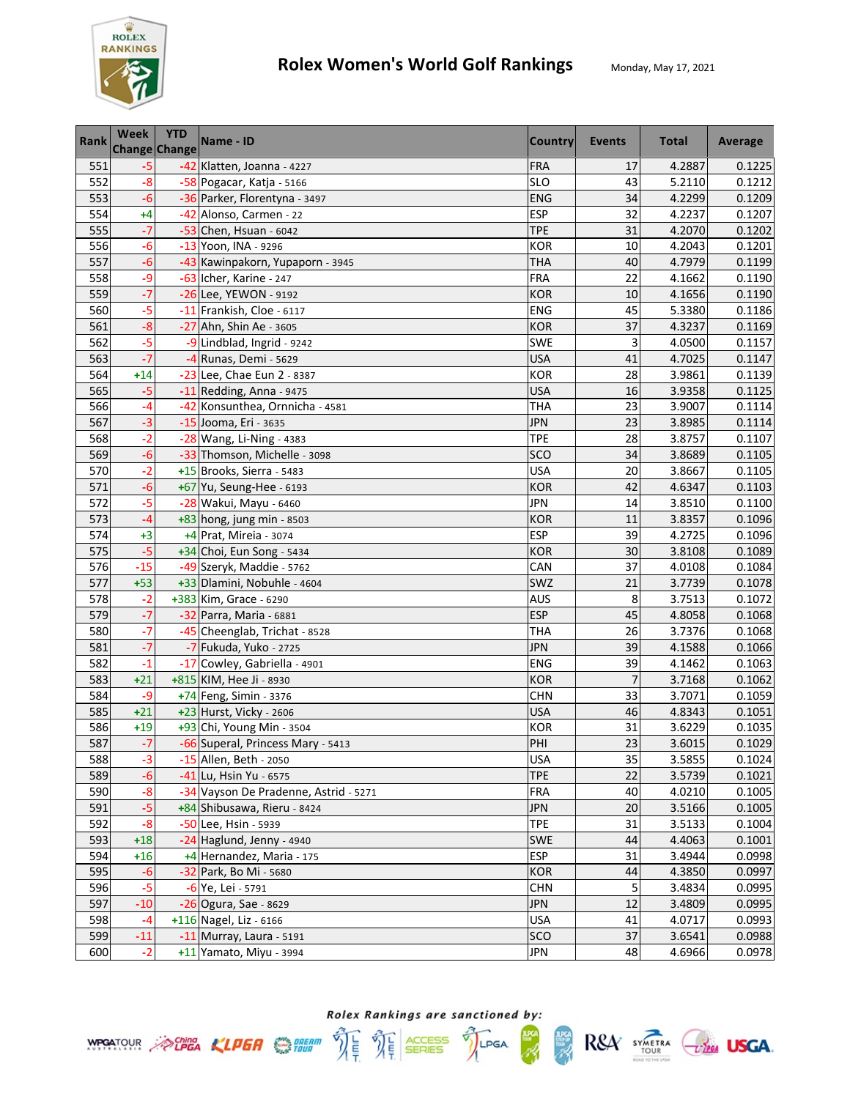

| Rank | Week  | <b>YTD</b><br><b>Change Change</b> | Name - ID                             | <b>Country</b> | Events         | <b>Total</b> | Average |
|------|-------|------------------------------------|---------------------------------------|----------------|----------------|--------------|---------|
| 551  | $-5$  |                                    | -42 Klatten, Joanna - 4227            | <b>FRA</b>     | 17             | 4.2887       | 0.1225  |
| 552  | $-8$  |                                    | -58 Pogacar, Katja - 5166             | <b>SLO</b>     | 43             | 5.2110       | 0.1212  |
| 553  | $-6$  |                                    | -36 Parker, Florentyna - 3497         | <b>ENG</b>     | 34             | 4.2299       | 0.1209  |
| 554  | $+4$  |                                    | -42 Alonso, Carmen - 22               | <b>ESP</b>     | 32             | 4.2237       | 0.1207  |
| 555  | $-7$  |                                    | $-53$ Chen, Hsuan - 6042              | <b>TPE</b>     | 31             | 4.2070       | 0.1202  |
| 556  | $-6$  |                                    | -13 Yoon, INA - 9296                  | <b>KOR</b>     | 10             | 4.2043       | 0.1201  |
| 557  | $-6$  |                                    | -43 Kawinpakorn, Yupaporn - 3945      | THA            | 40             | 4.7979       | 0.1199  |
| 558  | -9    |                                    | -63 Icher, Karine - 247               | <b>FRA</b>     | 22             | 4.1662       | 0.1190  |
| 559  | $-7$  |                                    | -26 Lee, YEWON - 9192                 | <b>KOR</b>     | 10             | 4.1656       | 0.1190  |
| 560  | $-5$  |                                    | -11 Frankish, Cloe - 6117             | <b>ENG</b>     | 45             | 5.3380       | 0.1186  |
| 561  | $-8$  |                                    | -27 Ahn, Shin Ae - 3605               | <b>KOR</b>     | 37             | 4.3237       | 0.1169  |
| 562  | $-5$  |                                    | -9 Lindblad, Ingrid - 9242            | <b>SWE</b>     | 3              | 4.0500       | 0.1157  |
| 563  | $-7$  |                                    | -4 Runas, Demi - 5629                 | <b>USA</b>     | 41             | 4.7025       | 0.1147  |
| 564  | $+14$ |                                    | -23 Lee, Chae Eun 2 - 8387            | <b>KOR</b>     | 28             | 3.9861       | 0.1139  |
| 565  | $-5$  |                                    | $-11$ Redding, Anna - 9475            | <b>USA</b>     | 16             | 3.9358       | 0.1125  |
| 566  | $-4$  |                                    | -42 Konsunthea, Ornnicha - 4581       | <b>THA</b>     | 23             | 3.9007       | 0.1114  |
| 567  | $-3$  |                                    | -15 Jooma, Eri - 3635                 | <b>JPN</b>     | 23             | 3.8985       | 0.1114  |
| 568  | $-2$  |                                    | -28 Wang, Li-Ning - 4383              | <b>TPE</b>     | 28             | 3.8757       | 0.1107  |
| 569  | $-6$  |                                    | -33 Thomson, Michelle - 3098          | SCO            | 34             | 3.8689       | 0.1105  |
| 570  | $-2$  |                                    | +15 Brooks, Sierra - 5483             | <b>USA</b>     | 20             | 3.8667       | 0.1105  |
| 571  | $-6$  |                                    | +67 Yu, Seung-Hee - 6193              | <b>KOR</b>     | 42             | 4.6347       | 0.1103  |
| 572  | $-5$  |                                    | -28 Wakui, Mayu - 6460                | JPN            | 14             | 3.8510       | 0.1100  |
| 573  | $-4$  |                                    | $+83$ hong, jung min - 8503           | <b>KOR</b>     | 11             | 3.8357       | 0.1096  |
| 574  | $+3$  |                                    | +4 Prat, Mireia - 3074                | <b>ESP</b>     | 39             | 4.2725       | 0.1096  |
| 575  | $-5$  |                                    | +34 Choi, Eun Song - 5434             | <b>KOR</b>     | 30             | 3.8108       | 0.1089  |
| 576  | $-15$ |                                    | -49 Szeryk, Maddie - 5762             | CAN            | 37             | 4.0108       | 0.1084  |
| 577  | $+53$ |                                    | +33 Dlamini, Nobuhle - 4604           | SWZ            | 21             | 3.7739       | 0.1078  |
| 578  | $-2$  |                                    | +383 Kim, Grace - 6290                | <b>AUS</b>     | 8              | 3.7513       | 0.1072  |
| 579  | $-7$  |                                    | -32 Parra, Maria - 6881               | <b>ESP</b>     | 45             | 4.8058       | 0.1068  |
| 580  | $-7$  |                                    | -45 Cheenglab, Trichat - 8528         | <b>THA</b>     | 26             | 3.7376       | 0.1068  |
| 581  | $-7$  |                                    | -7 Fukuda, Yuko - 2725                | <b>JPN</b>     | 39             | 4.1588       | 0.1066  |
| 582  | $-1$  |                                    | -17 Cowley, Gabriella - 4901          | <b>ENG</b>     | 39             | 4.1462       | 0.1063  |
| 583  | $+21$ |                                    | +815 KIM, Hee Ji - 8930               | <b>KOR</b>     | $\overline{7}$ | 3.7168       | 0.1062  |
| 584  | -9    |                                    | +74 Feng, Simin - 3376                | <b>CHN</b>     | 33             | 3.7071       | 0.1059  |
| 585  | $+21$ |                                    | +23 Hurst, Vicky - 2606               | <b>USA</b>     | 46             | 4.8343       | 0.1051  |
| 586  | $+19$ |                                    | +93 Chi, Young Min - 3504             | <b>KOR</b>     | 31             | 3.6229       | 0.1035  |
| 587  | $-7$  |                                    | -66 Superal, Princess Mary - 5413     | PHI            | 23             | 3.6015       | 0.1029  |
| 588  | $-3$  |                                    | -15 Allen, Beth - 2050                | <b>USA</b>     | 35             | 3.5855       | 0.1024  |
| 589  | $-6$  |                                    | -41 Lu, Hsin Yu - 6575                | <b>TPE</b>     | 22             | 3.5739       | 0.1021  |
| 590  | $-8$  |                                    | -34 Vayson De Pradenne, Astrid - 5271 | <b>FRA</b>     | 40             | 4.0210       | 0.1005  |
| 591  | $-5$  |                                    | +84 Shibusawa, Rieru - 8424           | <b>JPN</b>     | 20             | 3.5166       | 0.1005  |
| 592  | $-8$  |                                    | -50 Lee, Hsin - 5939                  | <b>TPE</b>     | 31             | 3.5133       | 0.1004  |
| 593  | $+18$ |                                    | -24 Haglund, Jenny - 4940             | <b>SWE</b>     | 44             | 4.4063       | 0.1001  |
| 594  | $+16$ |                                    | +4 Hernandez, Maria - 175             | ESP            | 31             | 3.4944       | 0.0998  |
| 595  | $-6$  |                                    | -32 Park, Bo Mi - 5680                | <b>KOR</b>     | 44             | 4.3850       | 0.0997  |
| 596  | $-5$  |                                    | -6 Ye, Lei - 5791                     | <b>CHN</b>     | 5              | 3.4834       | 0.0995  |
| 597  | $-10$ |                                    | $-26$ Ogura, Sae - 8629               | <b>JPN</b>     | 12             | 3.4809       | 0.0995  |
| 598  | -4    |                                    | +116 Nagel, Liz - 6166                | <b>USA</b>     | 41             | 4.0717       | 0.0993  |
| 599  | $-11$ |                                    | -11 Murray, Laura - 5191              | SCO            | 37             | 3.6541       | 0.0988  |
| 600  | $-2$  |                                    | +11 Yamato, Miyu - 3994               | JPN            | 48             | 4.6966       | 0.0978  |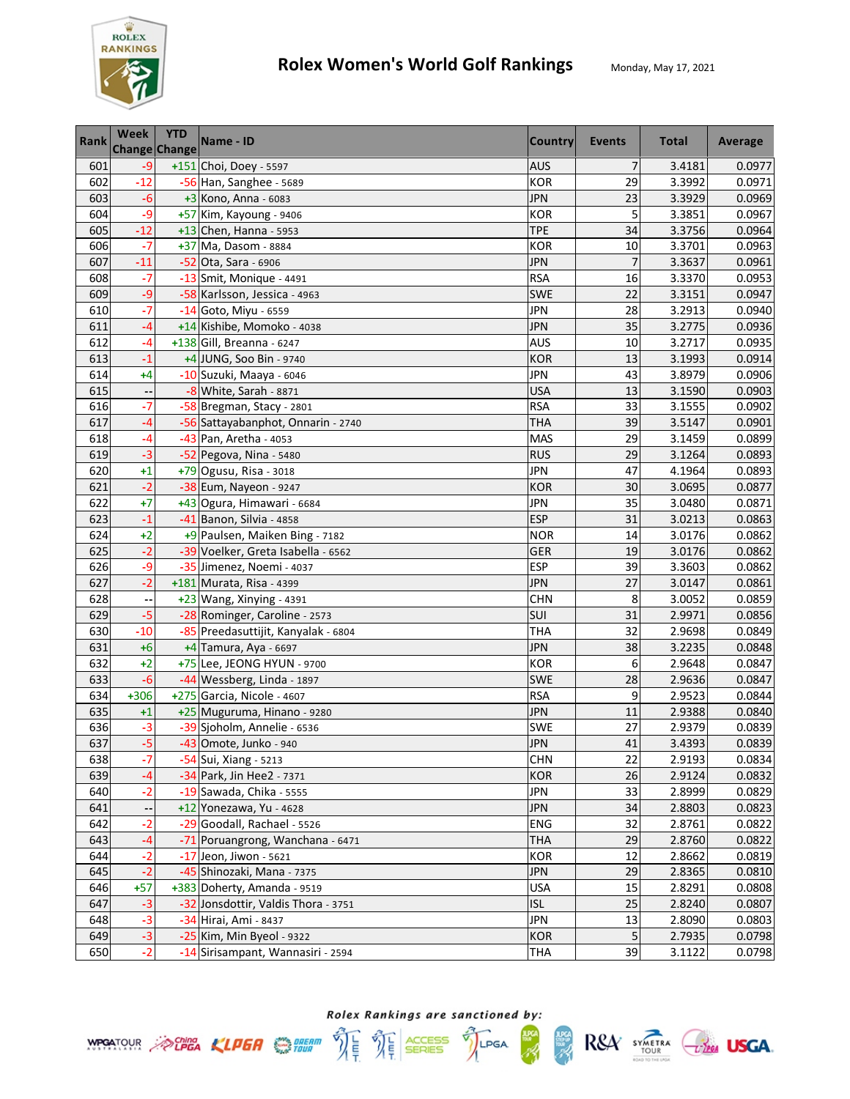

| Rank | <b>Week</b> | <b>YTD</b><br><b>Change Change</b> | Name - ID                           | <b>Country</b> | Events | <b>Total</b> | Average |
|------|-------------|------------------------------------|-------------------------------------|----------------|--------|--------------|---------|
| 601  | $-9$        |                                    | +151 Choi, Doey - 5597              | <b>AUS</b>     | 7      | 3.4181       | 0.0977  |
| 602  | $-12$       |                                    | -56 Han, Sanghee - 5689             | <b>KOR</b>     | 29     | 3.3992       | 0.0971  |
| 603  | $-6$        |                                    | $+3$ Kono, Anna - 6083              | <b>JPN</b>     | 23     | 3.3929       | 0.0969  |
| 604  | $-9$        |                                    | +57 Kim, Kayoung - 9406             | <b>KOR</b>     | 5      | 3.3851       | 0.0967  |
| 605  | $-12$       |                                    | +13 Chen, Hanna - 5953              | <b>TPE</b>     | 34     | 3.3756       | 0.0964  |
| 606  | $-7$        |                                    | +37 Ma, Dasom - 8884                | <b>KOR</b>     | 10     | 3.3701       | 0.0963  |
| 607  | $-11$       |                                    | -52 Ota, Sara - 6906                | <b>JPN</b>     | 7      | 3.3637       | 0.0961  |
| 608  | $-7$        |                                    | $-13$ Smit, Monique - 4491          | <b>RSA</b>     | 16     | 3.3370       | 0.0953  |
| 609  | -9          |                                    | -58 Karlsson, Jessica - 4963        | <b>SWE</b>     | 22     | 3.3151       | 0.0947  |
| 610  | $-7$        |                                    | -14 Goto, Miyu - 6559               | JPN            | 28     | 3.2913       | 0.0940  |
| 611  | -4          |                                    | +14 Kishibe, Momoko - 4038          | <b>JPN</b>     | 35     | 3.2775       | 0.0936  |
| 612  | $-4$        |                                    | +138 Gill, Breanna - 6247           | <b>AUS</b>     | 10     | 3.2717       | 0.0935  |
| 613  | $-1$        |                                    | +4 JUNG, Soo Bin - 9740             | <b>KOR</b>     | 13     | 3.1993       | 0.0914  |
| 614  | +4          |                                    | -10 Suzuki, Maaya - 6046            | <b>JPN</b>     | 43     | 3.8979       | 0.0906  |
| 615  |             |                                    | -8 White, Sarah - 8871              | <b>USA</b>     | 13     | 3.1590       | 0.0903  |
| 616  | $-7$        |                                    | -58 Bregman, Stacy - 2801           | <b>RSA</b>     | 33     | 3.1555       | 0.0902  |
| 617  | -4          |                                    | -56 Sattayabanphot, Onnarin - 2740  | <b>THA</b>     | 39     | 3.5147       | 0.0901  |
| 618  | $-4$        |                                    | -43 Pan, Aretha - 4053              | <b>MAS</b>     | 29     | 3.1459       | 0.0899  |
| 619  | $-3$        |                                    | -52 Pegova, Nina - 5480             | <b>RUS</b>     | 29     | 3.1264       | 0.0893  |
| 620  | $+1$        |                                    | +79 Ogusu, Risa - 3018              | <b>JPN</b>     | 47     | 4.1964       | 0.0893  |
| 621  | $-2$        |                                    | -38 Eum, Nayeon - 9247              | <b>KOR</b>     | 30     | 3.0695       | 0.0877  |
| 622  | $+7$        |                                    | +43 Ogura, Himawari - 6684          | <b>JPN</b>     | 35     | 3.0480       | 0.0871  |
| 623  | $-1$        |                                    | -41 Banon, Silvia - 4858            | <b>ESP</b>     | 31     | 3.0213       | 0.0863  |
| 624  | $+2$        |                                    | +9 Paulsen, Maiken Bing - 7182      | <b>NOR</b>     | 14     | 3.0176       | 0.0862  |
| 625  | $-2$        |                                    | -39 Voelker, Greta Isabella - 6562  | GER            | 19     | 3.0176       | 0.0862  |
| 626  | -9          |                                    | -35 Jimenez, Noemi - 4037           | <b>ESP</b>     | 39     | 3.3603       | 0.0862  |
| 627  | $-2$        |                                    | +181 Murata, Risa - 4399            | <b>JPN</b>     | 27     | 3.0147       | 0.0861  |
| 628  |             |                                    | +23 Wang, Xinying - 4391            | <b>CHN</b>     | 8      | 3.0052       | 0.0859  |
| 629  | $-5$        |                                    | -28 Rominger, Caroline - 2573       | SUI            | 31     | 2.9971       | 0.0856  |
| 630  | $-10$       |                                    | -85 Preedasuttijit, Kanyalak - 6804 | <b>THA</b>     | 32     | 2.9698       | 0.0849  |
| 631  | $+6$        |                                    | +4 Tamura, Aya - 6697               | <b>JPN</b>     | 38     | 3.2235       | 0.0848  |
| 632  | $+2$        |                                    | +75 Lee, JEONG HYUN - 9700          | <b>KOR</b>     | 6      | 2.9648       | 0.0847  |
| 633  | $-6$        |                                    | -44 Wessberg, Linda - 1897          | <b>SWE</b>     | 28     | 2.9636       | 0.0847  |
| 634  | +306        |                                    | +275 Garcia, Nicole - 4607          | <b>RSA</b>     | 9      | 2.9523       | 0.0844  |
| 635  | $+1$        |                                    | +25 Muguruma, Hinano - 9280         | <b>JPN</b>     | 11     | 2.9388       | 0.0840  |
| 636  | $-3$        |                                    | -39 Sjoholm, Annelie - 6536         | SWE            | 27     | 2.9379       | 0.0839  |
| 637  | $-5$        |                                    | -43 Omote, Junko - 940              | <b>JPN</b>     | 41     | 3.4393       | 0.0839  |
| 638  | $-7$        |                                    | -54 Sui, Xiang - 5213               | <b>CHN</b>     | 22     | 2.9193       | 0.0834  |
| 639  | -4          |                                    | -34 Park, Jin Hee2 - 7371           | <b>KOR</b>     | 26     | 2.9124       | 0.0832  |
| 640  | $-2$        |                                    | -19 Sawada, Chika - 5555            | <b>JPN</b>     | 33     | 2.8999       | 0.0829  |
| 641  |             |                                    | +12 Yonezawa, Yu - 4628             | <b>JPN</b>     | 34     | 2.8803       | 0.0823  |
| 642  | $-2$        |                                    | -29 Goodall, Rachael - 5526         | ENG            | 32     | 2.8761       | 0.0822  |
| 643  | $-4$        |                                    | -71 Poruangrong, Wanchana - 6471    | <b>THA</b>     | 29     | 2.8760       | 0.0822  |
| 644  | $-2$        |                                    | $-17$ Jeon, Jiwon - 5621            | <b>KOR</b>     | 12     | 2.8662       | 0.0819  |
| 645  | $-2$        |                                    | -45 Shinozaki, Mana - 7375          | <b>JPN</b>     | 29     | 2.8365       | 0.0810  |
| 646  | $+57$       |                                    | +383 Doherty, Amanda - 9519         | <b>USA</b>     | 15     | 2.8291       | 0.0808  |
| 647  | $-3$        |                                    | -32 Jonsdottir, Valdis Thora - 3751 | <b>ISL</b>     | 25     | 2.8240       | 0.0807  |
| 648  | $-3$        |                                    | -34 Hirai, Ami - 8437               | <b>JPN</b>     | 13     | 2.8090       | 0.0803  |
| 649  | $-3$        |                                    | -25 Kim, Min Byeol - 9322           | <b>KOR</b>     | 5      | 2.7935       | 0.0798  |
| 650  | $-2$        |                                    | -14 Sirisampant, Wannasiri - 2594   | THA            | 39     | 3.1122       | 0.0798  |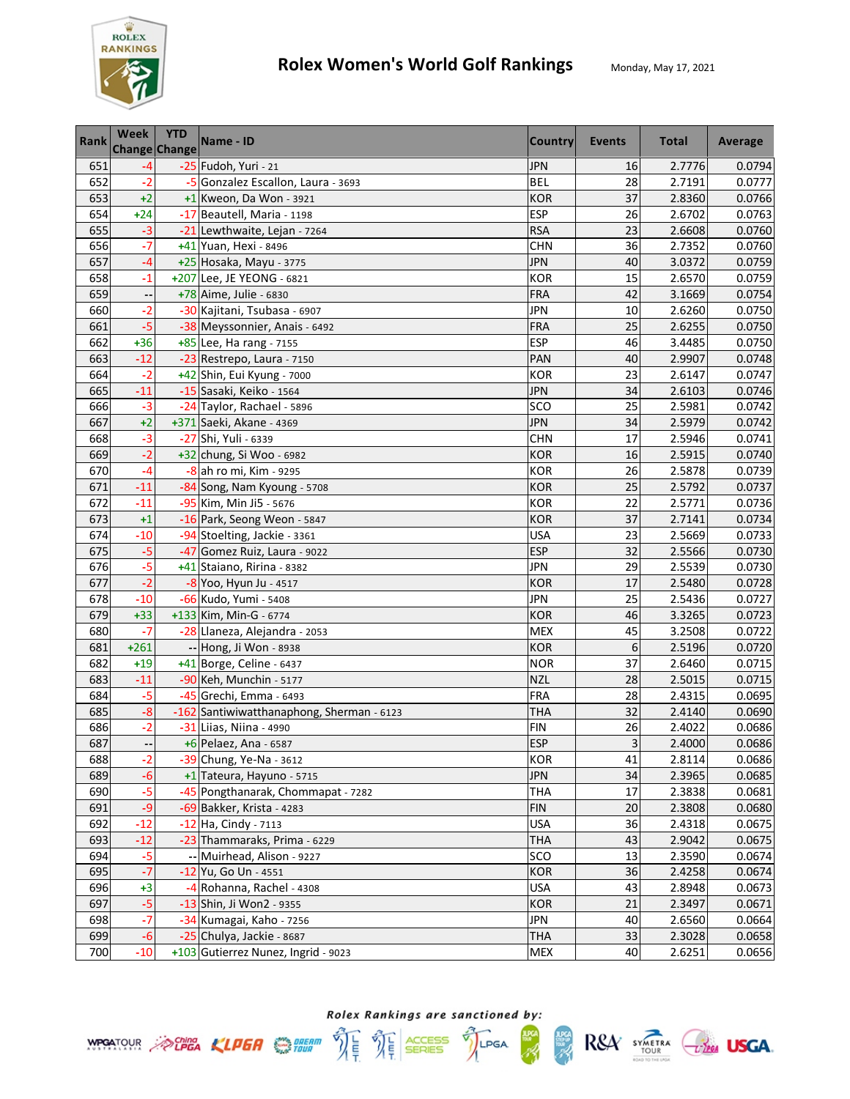

| <b>Rank</b> | Week   | <b>YTD</b><br>Change Change | Name - ID                                 | <b>Country</b> | Events | <b>Total</b> | Average |
|-------------|--------|-----------------------------|-------------------------------------------|----------------|--------|--------------|---------|
| 651         | -4     |                             | -25 Fudoh, Yuri - 21                      | <b>JPN</b>     | 16     | 2.7776       | 0.0794  |
| 652         | $-2$   |                             | -5 Gonzalez Escallon, Laura - 3693        | <b>BEL</b>     | 28     | 2.7191       | 0.0777  |
| 653         | $+2$   |                             | +1 Kweon, Da Won - 3921                   | <b>KOR</b>     | 37     | 2.8360       | 0.0766  |
| 654         | $+24$  |                             | -17 Beautell, Maria - 1198                | <b>ESP</b>     | 26     | 2.6702       | 0.0763  |
| 655         | $-3$   |                             | -21 Lewthwaite, Lejan - 7264              | <b>RSA</b>     | 23     | 2.6608       | 0.0760  |
| 656         | $-7$   |                             | +41 Yuan, Hexi - 8496                     | <b>CHN</b>     | 36     | 2.7352       | 0.0760  |
| 657         | $-4$   |                             | +25 Hosaka, Mayu - 3775                   | <b>JPN</b>     | 40     | 3.0372       | 0.0759  |
| 658         | $-1$   |                             | +207 Lee, JE YEONG - 6821                 | <b>KOR</b>     | 15     | 2.6570       | 0.0759  |
| 659         |        |                             | +78 Aime, Julie - 6830                    | <b>FRA</b>     | 42     | 3.1669       | 0.0754  |
| 660         | $-2$   |                             | -30 Kajitani, Tsubasa - 6907              | JPN            | 10     | 2.6260       | 0.0750  |
| 661         | $-5$   |                             | -38 Meyssonnier, Anais - 6492             | <b>FRA</b>     | 25     | 2.6255       | 0.0750  |
| 662         | $+36$  |                             | +85 Lee, Ha rang - 7155                   | <b>ESP</b>     | 46     | 3.4485       | 0.0750  |
| 663         | $-12$  |                             | -23 Restrepo, Laura - 7150                | PAN            | 40     | 2.9907       | 0.0748  |
| 664         | $-2$   |                             | +42 Shin, Eui Kyung - 7000                | <b>KOR</b>     | 23     | 2.6147       | 0.0747  |
| 665         | $-11$  |                             | -15 Sasaki, Keiko - 1564                  | <b>JPN</b>     | 34     | 2.6103       | 0.0746  |
| 666         | $-3$   |                             | -24 Taylor, Rachael - 5896                | SCO            | 25     | 2.5981       | 0.0742  |
| 667         | $+2$   |                             | +371 Saeki, Akane - 4369                  | <b>JPN</b>     | 34     | 2.5979       | 0.0742  |
| 668         | $-3$   |                             | -27 Shi, Yuli - 6339                      | <b>CHN</b>     | 17     | 2.5946       | 0.0741  |
| 669         | $-2$   |                             | +32 chung, Si Woo - 6982                  | <b>KOR</b>     | 16     | 2.5915       | 0.0740  |
| 670         | $-4$   |                             | $-8$ ah ro mi, Kim - 9295                 | KOR            | 26     | 2.5878       | 0.0739  |
| 671         | $-11$  |                             | -84 Song, Nam Kyoung - 5708               | <b>KOR</b>     | 25     | 2.5792       | 0.0737  |
| 672         | $-11$  |                             | -95 Kim, Min Ji5 - 5676                   | <b>KOR</b>     | 22     | 2.5771       | 0.0736  |
| 673         | $+1$   |                             | -16 Park, Seong Weon - 5847               | <b>KOR</b>     | 37     | 2.7141       | 0.0734  |
| 674         | $-10$  |                             | -94 Stoelting, Jackie - 3361              | <b>USA</b>     | 23     | 2.5669       | 0.0733  |
| 675         | -5     |                             | -47 Gomez Ruiz, Laura - 9022              | <b>ESP</b>     | 32     | 2.5566       | 0.0730  |
| 676         | $-5$   |                             | +41 Staiano, Ririna - 8382                | <b>JPN</b>     | 29     | 2.5539       | 0.0730  |
| 677         | $-2$   |                             | -8 Yoo, Hyun Ju - 4517                    | <b>KOR</b>     | 17     | 2.5480       | 0.0728  |
| 678         | $-10$  |                             | -66 Kudo, Yumi - 5408                     | <b>JPN</b>     | 25     | 2.5436       | 0.0727  |
| 679         | $+33$  |                             | +133 Kim, Min-G - 6774                    | <b>KOR</b>     | 46     | 3.3265       | 0.0723  |
| 680         | $-7$   |                             | -28 Llaneza, Alejandra - 2053             | <b>MEX</b>     | 45     | 3.2508       | 0.0722  |
| 681         | $+261$ |                             | -- Hong, Ji Won - 8938                    | <b>KOR</b>     | 6      | 2.5196       | 0.0720  |
| 682         | $+19$  |                             | +41 Borge, Celine - 6437                  | <b>NOR</b>     | 37     | 2.6460       | 0.0715  |
| 683         | $-11$  |                             | -90 Keh, Munchin - 5177                   | <b>NZL</b>     | 28     | 2.5015       | 0.0715  |
| 684         | $-5$   |                             | -45 Grechi, Emma - 6493                   | <b>FRA</b>     | 28     | 2.4315       | 0.0695  |
| 685         | $-8$   |                             | -162 Santiwiwatthanaphong, Sherman - 6123 | <b>THA</b>     | 32     | 2.4140       | 0.0690  |
| 686         | $-2$   |                             | -31 Liias, Niina - 4990                   | <b>FIN</b>     | 26     | 2.4022       | 0.0686  |
| 687         | ⊷      |                             | +6 Pelaez, Ana - 6587                     | <b>ESP</b>     | 3      | 2.4000       | 0.0686  |
| 688         | $-2$   |                             | -39 Chung, Ye-Na - 3612                   | <b>KOR</b>     | 41     | 2.8114       | 0.0686  |
| 689         | $-6$   |                             | +1 Tateura, Hayuno - 5715                 | <b>JPN</b>     | 34     | 2.3965       | 0.0685  |
| 690         | $-5$   |                             | -45 Pongthanarak, Chommapat - 7282        | <b>THA</b>     | 17     | 2.3838       | 0.0681  |
| 691         | -9     |                             | -69 Bakker, Krista - 4283                 | <b>FIN</b>     | 20     | 2.3808       | 0.0680  |
| 692         | $-12$  |                             | -12 Ha, Cindy - 7113                      | <b>USA</b>     | 36     | 2.4318       | 0.0675  |
| 693         | $-12$  |                             | -23 Thammaraks, Prima - 6229              | <b>THA</b>     | 43     | 2.9042       | 0.0675  |
| 694         | $-5$   |                             | -- Muirhead, Alison - 9227                | SCO            | 13     | 2.3590       | 0.0674  |
| 695         | $-7$   |                             | -12 Yu, Go Un - 4551                      | <b>KOR</b>     | 36     | 2.4258       | 0.0674  |
| 696         | $+3$   |                             | -4 Rohanna, Rachel - 4308                 | <b>USA</b>     | 43     | 2.8948       | 0.0673  |
| 697         | -5     |                             | -13 Shin, Ji Won2 - 9355                  | KOR            | 21     | 2.3497       | 0.0671  |
| 698         | $-7$   |                             | -34 Kumagai, Kaho - 7256                  | <b>JPN</b>     | 40     | 2.6560       | 0.0664  |
| 699         | $-6$   |                             | -25 Chulya, Jackie - 8687                 | <b>THA</b>     | 33     | 2.3028       | 0.0658  |
| 700         | $-10$  |                             | +103 Gutierrez Nunez, Ingrid - 9023       | MEX            | 40     | 2.6251       | 0.0656  |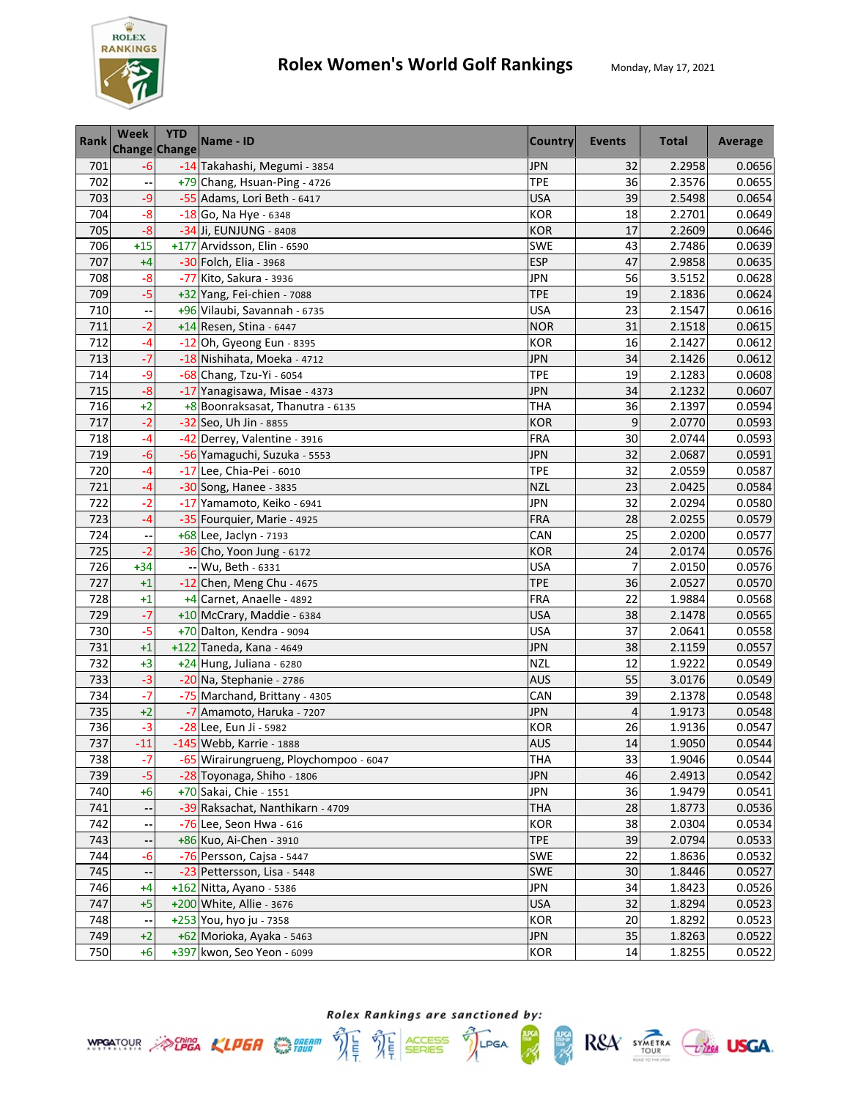

| <b>Rank</b> | <b>Week</b> | <b>YTD</b><br><b>Change Change</b> | Name - ID                              | <b>Country</b> | Events         | <b>Total</b> | Average |
|-------------|-------------|------------------------------------|----------------------------------------|----------------|----------------|--------------|---------|
| 701         | $-6$        |                                    | -14 Takahashi, Megumi - 3854           | <b>JPN</b>     | 32             | 2.2958       | 0.0656  |
| 702         |             |                                    | +79 Chang, Hsuan-Ping - 4726           | <b>TPE</b>     | 36             | 2.3576       | 0.0655  |
| 703         | -9          |                                    | -55 Adams, Lori Beth - 6417            | <b>USA</b>     | 39             | 2.5498       | 0.0654  |
| 704         | $-8$        |                                    | -18 Go, Na Hye - 6348                  | <b>KOR</b>     | 18             | 2.2701       | 0.0649  |
| 705         | $-8$        |                                    | -34 Ji, EUNJUNG - 8408                 | <b>KOR</b>     | 17             | 2.2609       | 0.0646  |
| 706         | $+15$       |                                    | +177 Arvidsson, Elin - 6590            | <b>SWE</b>     | 43             | 2.7486       | 0.0639  |
| 707         | $+4$        |                                    | -30 Folch, Elia - 3968                 | <b>ESP</b>     | 47             | 2.9858       | 0.0635  |
| 708         | $-8$        |                                    | -77 Kito, Sakura - 3936                | <b>JPN</b>     | 56             | 3.5152       | 0.0628  |
| 709         | $-5$        |                                    | +32 Yang, Fei-chien - 7088             | <b>TPE</b>     | 19             | 2.1836       | 0.0624  |
| 710         |             |                                    | +96 Vilaubi, Savannah - 6735           | <b>USA</b>     | 23             | 2.1547       | 0.0616  |
| 711         | $-2$        |                                    | +14 Resen, Stina - 6447                | <b>NOR</b>     | 31             | 2.1518       | 0.0615  |
| 712         | $-4$        |                                    | -12 Oh, Gyeong Eun - 8395              | <b>KOR</b>     | 16             | 2.1427       | 0.0612  |
| 713         | $-7$        |                                    | -18 Nishihata, Moeka - 4712            | <b>JPN</b>     | 34             | 2.1426       | 0.0612  |
| 714         | $-9$        |                                    | -68 Chang, Tzu-Yi - 6054               | <b>TPE</b>     | 19             | 2.1283       | 0.0608  |
| 715         | $-8$        |                                    | -17 Yanagisawa, Misae - 4373           | <b>JPN</b>     | 34             | 2.1232       | 0.0607  |
| 716         | $+2$        |                                    | +8 Boonraksasat, Thanutra - 6135       | THA            | 36             | 2.1397       | 0.0594  |
| 717         | $-2$        |                                    | -32 Seo, Uh Jin - 8855                 | <b>KOR</b>     | 9              | 2.0770       | 0.0593  |
| 718         | $-4$        |                                    | -42 Derrey, Valentine - 3916           | <b>FRA</b>     | 30             | 2.0744       | 0.0593  |
| 719         | $-6$        |                                    | -56 Yamaguchi, Suzuka - 5553           | <b>JPN</b>     | 32             | 2.0687       | 0.0591  |
| 720         | $-4$        |                                    | -17 Lee, Chia-Pei - 6010               | <b>TPE</b>     | 32             | 2.0559       | 0.0587  |
| 721         | $-4$        |                                    | -30 Song, Hanee - 3835                 | <b>NZL</b>     | 23             | 2.0425       | 0.0584  |
| 722         | $-2$        |                                    | -17 Yamamoto, Keiko - 6941             | <b>JPN</b>     | 32             | 2.0294       | 0.0580  |
| 723         | $-4$        |                                    | -35 Fourquier, Marie - 4925            | <b>FRA</b>     | 28             | 2.0255       | 0.0579  |
| 724         |             |                                    | +68 Lee, Jaclyn - 7193                 | CAN            | 25             | 2.0200       | 0.0577  |
| 725         | $-2$        |                                    | -36 Cho, Yoon Jung - 6172              | <b>KOR</b>     | 24             | 2.0174       | 0.0576  |
| 726         | $+34$       |                                    | -- Wu, Beth - 6331                     | <b>USA</b>     | 7              | 2.0150       | 0.0576  |
| 727         | $+1$        |                                    | -12 Chen, Meng Chu - 4675              | <b>TPE</b>     | 36             | 2.0527       | 0.0570  |
| 728         | $+1$        |                                    | +4 Carnet, Anaelle - 4892              | <b>FRA</b>     | 22             | 1.9884       | 0.0568  |
| 729         | $-7$        |                                    | +10 McCrary, Maddie - 6384             | <b>USA</b>     | 38             | 2.1478       | 0.0565  |
| 730         | $-5$        |                                    | +70 Dalton, Kendra - 9094              | <b>USA</b>     | 37             | 2.0641       | 0.0558  |
| 731         | $+1$        |                                    | +122 Taneda, Kana - 4649               | <b>JPN</b>     | 38             | 2.1159       | 0.0557  |
| 732         | $+3$        |                                    | +24 Hung, Juliana - 6280               | <b>NZL</b>     | 12             | 1.9222       | 0.0549  |
| 733         | $-3$        |                                    | -20 Na, Stephanie - 2786               | <b>AUS</b>     | 55             | 3.0176       | 0.0549  |
| 734         | $-7$        |                                    | -75 Marchand, Brittany - 4305          | CAN            | 39             | 2.1378       | 0.0548  |
| 735         | $+2$        |                                    | -7 Amamoto, Haruka - 7207              | <b>JPN</b>     | $\overline{4}$ | 1.9173       | 0.0548  |
| 736         | $-3$        |                                    | -28 Lee, Eun Ji - 5982                 | <b>KOR</b>     | 26             | 1.9136       | 0.0547  |
| 737         | $-11$       |                                    | -145 Webb, Karrie - 1888               | <b>AUS</b>     | 14             | 1.9050       | 0.0544  |
| 738         | $-7$        |                                    | -65 Wirairungrueng, Ploychompoo - 6047 | <b>THA</b>     | 33             | 1.9046       | 0.0544  |
| 739         | $-5$        |                                    | -28 Toyonaga, Shiho - 1806             | <b>JPN</b>     | 46             | 2.4913       | 0.0542  |
| 740         | $+6$        |                                    | +70 Sakai, Chie - 1551                 | <b>JPN</b>     | 36             | 1.9479       | 0.0541  |
| 741         |             |                                    | -39 Raksachat, Nanthikarn - 4709       | <b>THA</b>     | 28             | 1.8773       | 0.0536  |
| 742         |             |                                    | -76 Lee, Seon Hwa - 616                | KOR            | 38             | 2.0304       | 0.0534  |
| 743         |             |                                    | +86 Kuo, Ai-Chen - 3910                | <b>TPE</b>     | 39             | 2.0794       | 0.0533  |
| 744         | $-6$        |                                    | -76 Persson, Cajsa - 5447              | <b>SWE</b>     | 22             | 1.8636       | 0.0532  |
| 745         |             |                                    | -23 Pettersson, Lisa - 5448            | <b>SWE</b>     | 30             | 1.8446       | 0.0527  |
| 746         | $+4$        |                                    | +162 Nitta, Ayano - 5386               | <b>JPN</b>     | 34             | 1.8423       | 0.0526  |
| 747         | $+5$        |                                    | +200 White, Allie - 3676               | <b>USA</b>     | 32             | 1.8294       | 0.0523  |
| 748         | ٠.          |                                    | +253 You, hyo ju - 7358                | KOR            | 20             | 1.8292       | 0.0523  |
| 749         | $+2$        |                                    | +62 Morioka, Ayaka - 5463              | <b>JPN</b>     | 35             | 1.8263       | 0.0522  |
| 750         | $+6$        |                                    | +397 kwon, Seo Yeon - 6099             | <b>KOR</b>     | 14             | 1.8255       | 0.0522  |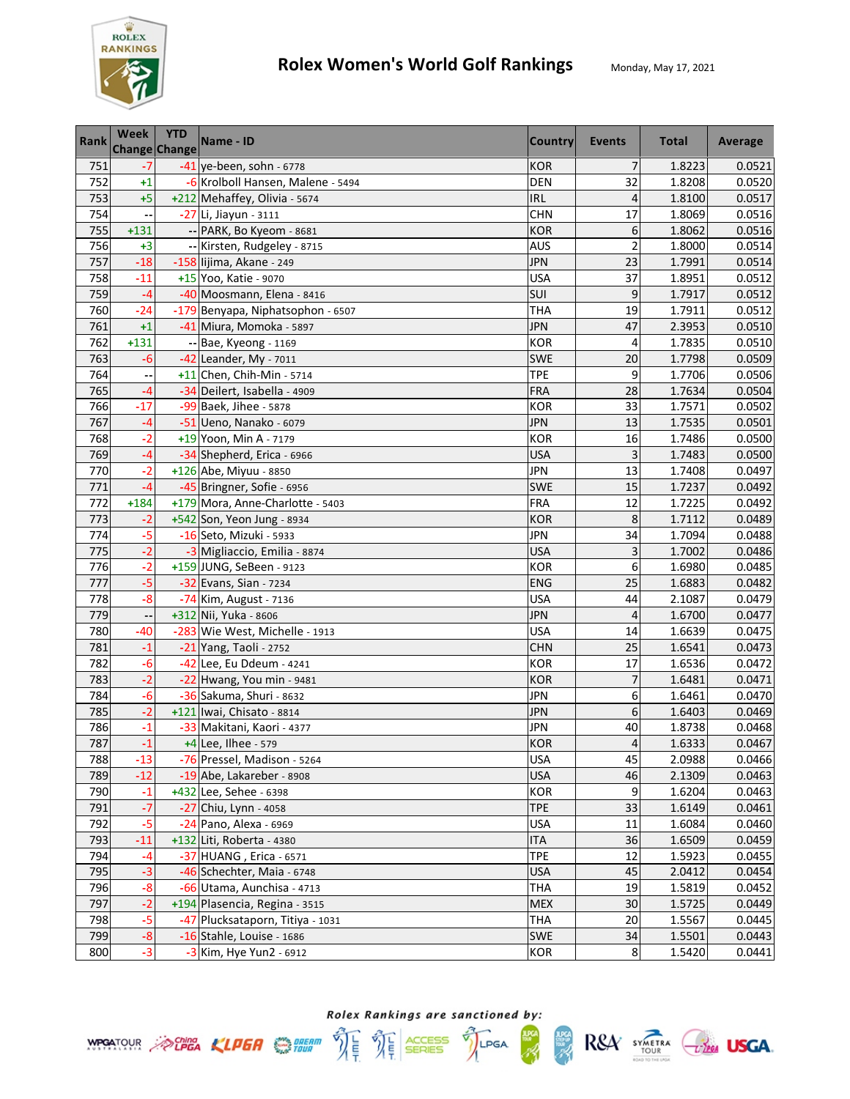

| <b>Rank</b> | <b>Week</b> | <b>YTD</b><br>Change Change | Name - ID                         | <b>Country</b> | Events         | <b>Total</b> | Average |
|-------------|-------------|-----------------------------|-----------------------------------|----------------|----------------|--------------|---------|
| 751         | $-7$        |                             | $-41$ ye-been, sohn - 6778        | <b>KOR</b>     | 7              | 1.8223       | 0.0521  |
| 752         | $+1$        |                             | -6 Krolboll Hansen, Malene - 5494 | <b>DEN</b>     | 32             | 1.8208       | 0.0520  |
| 753         | $+5$        |                             | +212 Mehaffey, Olivia - 5674      | <b>IRL</b>     | 4              | 1.8100       | 0.0517  |
| 754         |             |                             | -27 Li, Jiayun - 3111             | <b>CHN</b>     | 17             | 1.8069       | 0.0516  |
| 755         | $+131$      |                             | -- PARK, Bo Kyeom - 8681          | <b>KOR</b>     | 6              | 1.8062       | 0.0516  |
| 756         | $+3$        |                             | -- Kirsten, Rudgeley - 8715       | <b>AUS</b>     | $\overline{c}$ | 1.8000       | 0.0514  |
| 757         | $-18$       |                             | -158 lijima, Akane - 249          | <b>JPN</b>     | 23             | 1.7991       | 0.0514  |
| 758         | $-11$       |                             | +15 Yoo, Katie - 9070             | <b>USA</b>     | 37             | 1.8951       | 0.0512  |
| 759         | $-4$        |                             | -40 Moosmann, Elena - 8416        | SUI            | 9              | 1.7917       | 0.0512  |
| 760         | $-24$       |                             | -179 Benyapa, Niphatsophon - 6507 | <b>THA</b>     | 19             | 1.7911       | 0.0512  |
| 761         | $+1$        |                             | -41 Miura, Momoka - 5897          | <b>JPN</b>     | 47             | 2.3953       | 0.0510  |
| 762         | $+131$      |                             | -- Bae, Kyeong - 1169             | <b>KOR</b>     | 4              | 1.7835       | 0.0510  |
| 763         | -6          |                             | $-42$ Leander, My - 7011          | <b>SWE</b>     | 20             | 1.7798       | 0.0509  |
| 764         |             |                             | +11 Chen, Chih-Min - 5714         | <b>TPE</b>     | 9              | 1.7706       | 0.0506  |
| 765         | $-4$        |                             | -34 Deilert, Isabella - 4909      | FRA            | 28             | 1.7634       | 0.0504  |
| 766         | $-17$       |                             | -99 Baek, Jihee - 5878            | <b>KOR</b>     | 33             | 1.7571       | 0.0502  |
| 767         | $-4$        |                             | -51 Ueno, Nanako - 6079           | <b>JPN</b>     | 13             | 1.7535       | 0.0501  |
| 768         | $-2$        |                             | +19 Yoon, Min A - 7179            | <b>KOR</b>     | 16             | 1.7486       | 0.0500  |
| 769         | $-4$        |                             | -34 Shepherd, Erica - 6966        | <b>USA</b>     | 3              | 1.7483       | 0.0500  |
| 770         | $-2$        |                             | +126 Abe, Miyuu - 8850            | <b>JPN</b>     | 13             | 1.7408       | 0.0497  |
| 771         | -4          |                             | -45 Bringner, Sofie - 6956        | <b>SWE</b>     | 15             | 1.7237       | 0.0492  |
| 772         | $+184$      |                             | +179 Mora, Anne-Charlotte - 5403  | <b>FRA</b>     | 12             | 1.7225       | 0.0492  |
| 773         | $-2$        |                             | +542 Son, Yeon Jung - 8934        | <b>KOR</b>     | 8              | 1.7112       | 0.0489  |
| 774         | $-5$        |                             | -16 Seto, Mizuki - 5933           | JPN            | 34             | 1.7094       | 0.0488  |
| 775         | $-2$        |                             | -3 Migliaccio, Emilia - 8874      | <b>USA</b>     | 3              | 1.7002       | 0.0486  |
| 776         | $-2$        |                             | +159 JUNG, SeBeen - 9123          | <b>KOR</b>     | 6              | 1.6980       | 0.0485  |
| 777         | $-5$        |                             | -32 Evans, Sian - 7234            | <b>ENG</b>     | 25             | 1.6883       | 0.0482  |
| 778         | $-8$        |                             | -74 Kim, August - 7136            | <b>USA</b>     | 44             | 2.1087       | 0.0479  |
| 779         |             |                             | +312 Nii, Yuka - 8606             | <b>JPN</b>     | 4              | 1.6700       | 0.0477  |
| 780         | $-40$       |                             | -283 Wie West, Michelle - 1913    | <b>USA</b>     | 14             | 1.6639       | 0.0475  |
| 781         | $-1$        |                             | -21 Yang, Taoli - 2752            | <b>CHN</b>     | 25             | 1.6541       | 0.0473  |
| 782         | $-6$        |                             | -42 Lee, Eu Ddeum - 4241          | <b>KOR</b>     | 17             | 1.6536       | 0.0472  |
| 783         | $-2$        |                             | -22 Hwang, You min - 9481         | <b>KOR</b>     | 7              | 1.6481       | 0.0471  |
| 784         | -6          |                             | -36 Sakuma, Shuri - 8632          | <b>JPN</b>     | 6              | 1.6461       | 0.0470  |
| 785         | $-2$        |                             | +121 Iwai, Chisato - 8814         | <b>JPN</b>     | 6              | 1.6403       | 0.0469  |
| 786         | $-1$        |                             | -33 Makitani, Kaori - 4377        | <b>JPN</b>     | 40             | 1.8738       | 0.0468  |
| 787         | $-1$        |                             | +4 Lee, Ilhee - 579               | <b>KOR</b>     | $\sqrt{4}$     | 1.6333       | 0.0467  |
| 788         | $-13$       |                             | -76 Pressel, Madison - 5264       | <b>USA</b>     | 45             | 2.0988       | 0.0466  |
| 789         | $-12$       |                             | -19 Abe, Lakareber - 8908         | <b>USA</b>     | 46             | 2.1309       | 0.0463  |
| 790         | $-1$        |                             | +432 Lee, Sehee - 6398            | <b>KOR</b>     | 9              | 1.6204       | 0.0463  |
| 791         | $-7$        |                             | -27 Chiu, Lynn - 4058             | <b>TPE</b>     | 33             | 1.6149       | 0.0461  |
| 792         | $-5$        |                             | -24 Pano, Alexa - 6969            | <b>USA</b>     | 11             | 1.6084       | 0.0460  |
| 793         | $-11$       |                             | +132 Liti, Roberta - 4380         | <b>ITA</b>     | 36             | 1.6509       | 0.0459  |
| 794         | $-4$        |                             | -37 HUANG, Erica - 6571           | <b>TPE</b>     | 12             | 1.5923       | 0.0455  |
| 795         | $-3$        |                             | -46 Schechter, Maia - 6748        | <b>USA</b>     | 45             | 2.0412       | 0.0454  |
| 796         | $-8$        |                             | -66 Utama, Aunchisa - 4713        | <b>THA</b>     | 19             | 1.5819       | 0.0452  |
| 797         | $-2$        |                             | +194 Plasencia, Regina - 3515     | <b>MEX</b>     | 30             | 1.5725       | 0.0449  |
| 798         | $-5$        |                             | -47 Plucksataporn, Titiya - 1031  | <b>THA</b>     | 20             | 1.5567       | 0.0445  |
| 799         | $-8$        |                             | -16 Stahle, Louise - 1686         | <b>SWE</b>     | 34             | 1.5501       | 0.0443  |
| 800         | $-3$        |                             | -3 Kim, Hye Yun2 - 6912           | KOR            | $\bf 8$        | 1.5420       | 0.0441  |



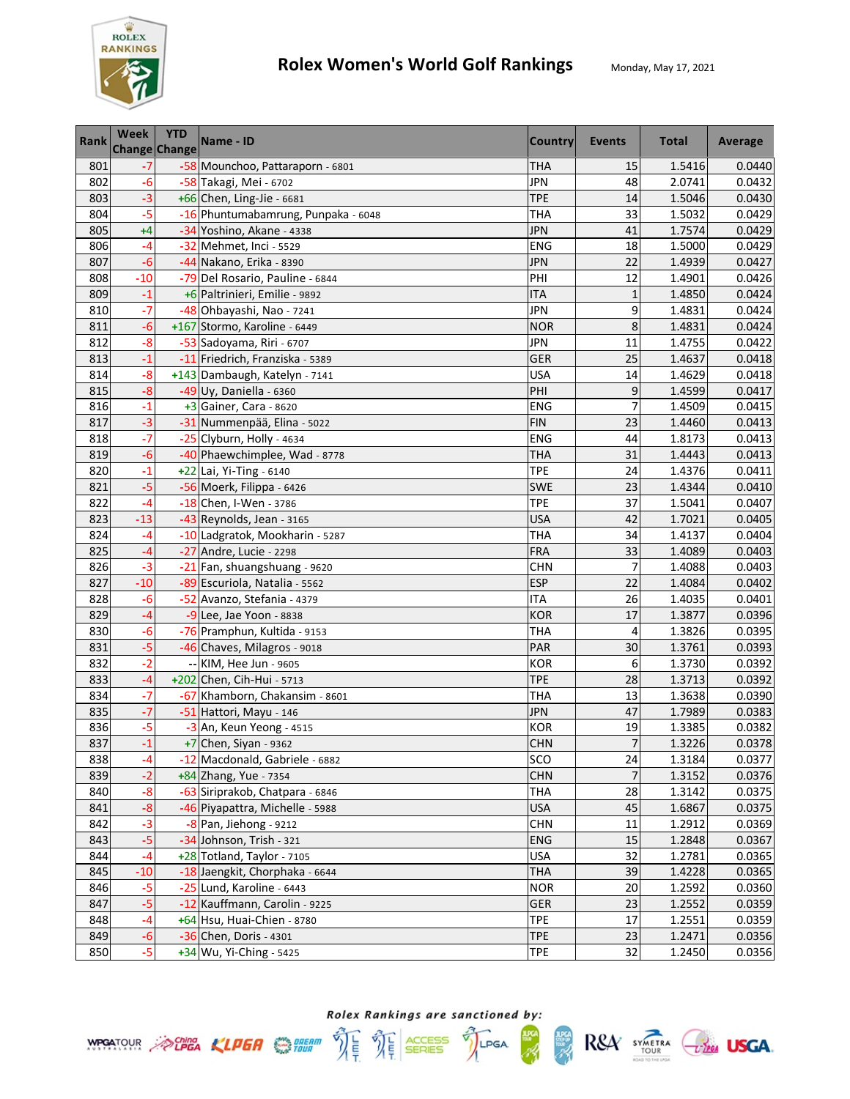

| Rank | <b>Week</b><br><b>Change Change</b> | <b>YTD</b> | Name - ID                           | <b>Country</b> | Events         | <b>Total</b> | Average |
|------|-------------------------------------|------------|-------------------------------------|----------------|----------------|--------------|---------|
| 801  | -7                                  |            | -58 Mounchoo, Pattaraporn - 6801    | <b>THA</b>     | 15             | 1.5416       | 0.0440  |
| 802  | $-6$                                |            | -58 Takagi, Mei - 6702              | <b>JPN</b>     | 48             | 2.0741       | 0.0432  |
| 803  | $-3$                                |            | $+66$ Chen, Ling-Jie - 6681         | <b>TPE</b>     | 14             | 1.5046       | 0.0430  |
| 804  | $-5$                                |            | -16 Phuntumabamrung, Punpaka - 6048 | <b>THA</b>     | 33             | 1.5032       | 0.0429  |
| 805  | $+4$                                |            | -34 Yoshino, Akane - 4338           | <b>JPN</b>     | 41             | 1.7574       | 0.0429  |
| 806  | $-4$                                |            | -32 Mehmet, Inci - 5529             | <b>ENG</b>     | 18             | 1.5000       | 0.0429  |
| 807  | $-6$                                |            | -44 Nakano, Erika - 8390            | <b>JPN</b>     | 22             | 1.4939       | 0.0427  |
| 808  | $-10$                               |            | -79 Del Rosario, Pauline - 6844     | PHI            | 12             | 1.4901       | 0.0426  |
| 809  | $-1$                                |            | +6 Paltrinieri, Emilie - 9892       | <b>ITA</b>     | $\mathbf{1}$   | 1.4850       | 0.0424  |
| 810  | $-7$                                |            | -48 Ohbayashi, Nao - 7241           | <b>JPN</b>     | 9              | 1.4831       | 0.0424  |
| 811  | $-6$                                |            | +167 Stormo, Karoline - 6449        | <b>NOR</b>     | 8              | 1.4831       | 0.0424  |
| 812  | -8                                  |            | -53 Sadoyama, Riri - 6707           | <b>JPN</b>     | 11             | 1.4755       | 0.0422  |
| 813  | $-1$                                |            | -11 Friedrich, Franziska - 5389     | <b>GER</b>     | 25             | 1.4637       | 0.0418  |
| 814  | $-8$                                |            | +143 Dambaugh, Katelyn - 7141       | <b>USA</b>     | 14             | 1.4629       | 0.0418  |
| 815  | $-8$                                |            | -49 Uy, Daniella - 6360             | PHI            | 9              | 1.4599       | 0.0417  |
| 816  | $-1$                                |            | +3 Gainer, Cara - 8620              | ENG            | $\overline{7}$ | 1.4509       | 0.0415  |
| 817  | $-3$                                |            | -31 Nummenpää, Elina - 5022         | <b>FIN</b>     | 23             | 1.4460       | 0.0413  |
| 818  | $\overline{\cdot}$                  |            | -25 Clyburn, Holly - 4634           | ENG            | 44             | 1.8173       | 0.0413  |
| 819  | $-6$                                |            | -40 Phaewchimplee, Wad - 8778       | <b>THA</b>     | 31             | 1.4443       | 0.0413  |
| 820  | $-1$                                |            | +22 Lai, Yi-Ting - 6140             | <b>TPE</b>     | 24             | 1.4376       | 0.0411  |
| 821  | $-5$                                |            | -56 Moerk, Filippa - 6426           | SWE            | 23             | 1.4344       | 0.0410  |
| 822  | $-4$                                |            | -18 Chen, I-Wen - 3786              | <b>TPE</b>     | 37             | 1.5041       | 0.0407  |
| 823  | $-13$                               |            | -43 Reynolds, Jean - 3165           | <b>USA</b>     | 42             | 1.7021       | 0.0405  |
| 824  | $-4$                                |            | -10 Ladgratok, Mookharin - 5287     | <b>THA</b>     | 34             | 1.4137       | 0.0404  |
| 825  | $-4$                                |            | -27 Andre, Lucie - 2298             | <b>FRA</b>     | 33             | 1.4089       | 0.0403  |
| 826  | $-3$                                |            | -21 Fan, shuangshuang - 9620        | <b>CHN</b>     | $\overline{7}$ | 1.4088       | 0.0403  |
| 827  | $-10$                               |            | -89 Escuriola, Natalia - 5562       | <b>ESP</b>     | 22             | 1.4084       | 0.0402  |
| 828  | $-6$                                |            | -52 Avanzo, Stefania - 4379         | <b>ITA</b>     | 26             | 1.4035       | 0.0401  |
| 829  | $-4$                                |            | -9 Lee, Jae Yoon - 8838             | <b>KOR</b>     | 17             | 1.3877       | 0.0396  |
| 830  | $-6$                                |            | -76 Pramphun, Kultida - 9153        | <b>THA</b>     | 4              | 1.3826       | 0.0395  |
| 831  | $-5$                                |            | -46 Chaves, Milagros - 9018         | PAR            | 30             | 1.3761       | 0.0393  |
| 832  | $-2$                                |            | -- KIM, Hee Jun - 9605              | <b>KOR</b>     | 6              | 1.3730       | 0.0392  |
| 833  | $-4$                                |            | +202 Chen, Cih-Hui - 5713           | <b>TPE</b>     | 28             | 1.3713       | 0.0392  |
| 834  | $-7$                                |            | -67 Khamborn, Chakansim - 8601      | THA            | 13             | 1.3638       | 0.0390  |
| 835  | $-7$                                |            | -51 Hattori, Mayu - 146             | <b>JPN</b>     | 47             | 1.7989       | 0.0383  |
| 836  | -5                                  |            | -3 An, Keun Yeong - 4515            | <b>KOR</b>     | 19             | 1.3385       | 0.0382  |
| 837  | $-1$                                |            | +7 Chen, Siyan - 9362               | <b>CHN</b>     | $\overline{7}$ | 1.3226       | 0.0378  |
| 838  | $-4$                                |            | -12 Macdonald, Gabriele - 6882      | SCO            | 24             | 1.3184       | 0.0377  |
| 839  | $-2$                                |            | +84 Zhang, Yue - 7354               | <b>CHN</b>     | 7              | 1.3152       | 0.0376  |
| 840  | $-8$                                |            | -63 Siriprakob, Chatpara - 6846     | <b>THA</b>     | 28             | 1.3142       | 0.0375  |
| 841  | $-8$                                |            | -46 Piyapattra, Michelle - 5988     | <b>USA</b>     | 45             | 1.6867       | 0.0375  |
| 842  | $-3$                                |            | $-8$ Pan, Jiehong - 9212            | <b>CHN</b>     | 11             | 1.2912       | 0.0369  |
| 843  | $-5$                                |            | -34 Johnson, Trish - 321            | <b>ENG</b>     | 15             | 1.2848       | 0.0367  |
| 844  | $-4$                                |            | +28 Totland, Taylor - 7105          | <b>USA</b>     | 32             | 1.2781       | 0.0365  |
| 845  | $-10$                               |            | -18 Jaengkit, Chorphaka - 6644      | <b>THA</b>     | 39             | 1.4228       | 0.0365  |
| 846  | $-5$                                |            | -25 Lund, Karoline - 6443           | <b>NOR</b>     | 20             | 1.2592       | 0.0360  |
| 847  | $-5$                                |            | -12 Kauffmann, Carolin - 9225       | GER            | 23             | 1.2552       | 0.0359  |
| 848  | -4                                  |            | +64 Hsu, Huai-Chien - 8780          | <b>TPE</b>     | 17             | 1.2551       | 0.0359  |
| 849  | $-6$                                |            | -36 Chen, Doris - 4301              | <b>TPE</b>     | 23             | 1.2471       | 0.0356  |
| 850  | $-5$                                |            | +34 Wu, Yi-Ching - 5425             | <b>TPE</b>     | 32             | 1.2450       | 0.0356  |



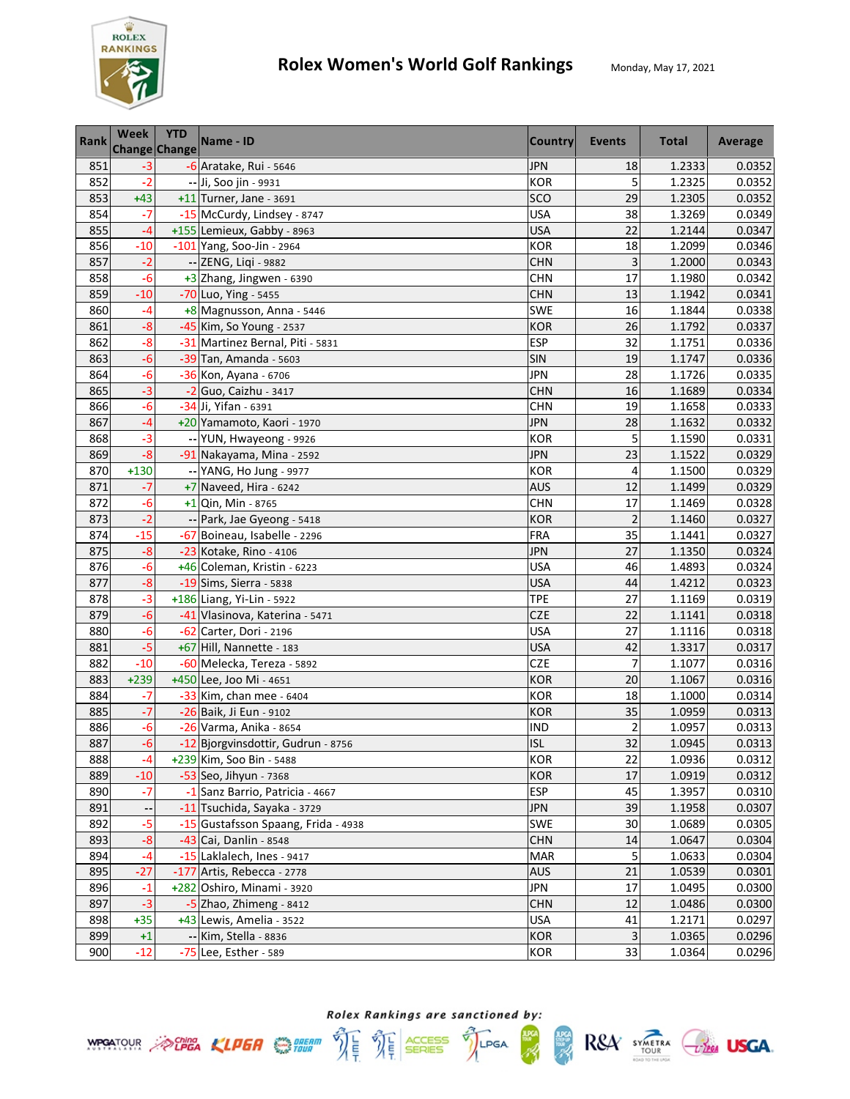

| Rank | Week   | <b>YTD</b><br><b>Change Change</b> | Name - ID                           | <b>Country</b> | Events                  | <b>Total</b> | Average |
|------|--------|------------------------------------|-------------------------------------|----------------|-------------------------|--------------|---------|
| 851  | -3     |                                    | $-6$ Aratake, Rui - 5646            | <b>JPN</b>     | 18                      | 1.2333       | 0.0352  |
| 852  | $-2$   |                                    | -- Ji, Soo jin - 9931               | <b>KOR</b>     | 5                       | 1.2325       | 0.0352  |
| 853  | $+43$  |                                    | $+11$ Turner, Jane - 3691           | SCO            | 29                      | 1.2305       | 0.0352  |
| 854  | $-7$   |                                    | -15 McCurdy, Lindsey - 8747         | <b>USA</b>     | 38                      | 1.3269       | 0.0349  |
| 855  | $-4$   |                                    | +155 Lemieux, Gabby - 8963          | <b>USA</b>     | 22                      | 1.2144       | 0.0347  |
| 856  | $-10$  |                                    | -101 Yang, Soo-Jin - 2964           | <b>KOR</b>     | 18                      | 1.2099       | 0.0346  |
| 857  | $-2$   |                                    | -- ZENG, Liqi - 9882                | <b>CHN</b>     | 3                       | 1.2000       | 0.0343  |
| 858  | $-6$   |                                    | +3 Zhang, Jingwen - 6390            | <b>CHN</b>     | 17                      | 1.1980       | 0.0342  |
| 859  | $-10$  |                                    | -70 Luo, Ying - 5455                | <b>CHN</b>     | 13                      | 1.1942       | 0.0341  |
| 860  | $-4$   |                                    | +8 Magnusson, Anna - 5446           | <b>SWE</b>     | 16                      | 1.1844       | 0.0338  |
| 861  | $-8$   |                                    | -45 Kim, So Young - 2537            | <b>KOR</b>     | 26                      | 1.1792       | 0.0337  |
| 862  | $-8$   |                                    | -31 Martinez Bernal, Piti - 5831    | <b>ESP</b>     | 32                      | 1.1751       | 0.0336  |
| 863  | $-6$   |                                    | -39 Tan, Amanda - 5603              | SIN            | 19                      | 1.1747       | 0.0336  |
| 864  | $-6$   |                                    | -36 Kon, Ayana - 6706               | <b>JPN</b>     | 28                      | 1.1726       | 0.0335  |
| 865  | $-3$   |                                    | -2 Guo, Caizhu - 3417               | <b>CHN</b>     | 16                      | 1.1689       | 0.0334  |
| 866  | $-6$   |                                    | -34 Ji, Yifan - 6391                | <b>CHN</b>     | 19                      | 1.1658       | 0.0333  |
| 867  | $-4$   |                                    | +20 Yamamoto, Kaori - 1970          | <b>JPN</b>     | 28                      | 1.1632       | 0.0332  |
| 868  | $-3$   |                                    | -- YUN, Hwayeong - 9926             | <b>KOR</b>     | 5                       | 1.1590       | 0.0331  |
| 869  | $-8$   |                                    | -91 Nakayama, Mina - 2592           | <b>JPN</b>     | 23                      | 1.1522       | 0.0329  |
| 870  | $+130$ |                                    | -- YANG, Ho Jung - 9977             | <b>KOR</b>     | 4                       | 1.1500       | 0.0329  |
| 871  | $-7$   |                                    | $+7$ Naveed, Hira - 6242            | <b>AUS</b>     | 12                      | 1.1499       | 0.0329  |
| 872  | $-6$   |                                    | +1 Qin, Min - 8765                  | <b>CHN</b>     | 17                      | 1.1469       | 0.0328  |
| 873  | $-2$   |                                    | -- Park, Jae Gyeong - 5418          | <b>KOR</b>     | $\overline{2}$          | 1.1460       | 0.0327  |
| 874  | $-15$  |                                    | -67 Boineau, Isabelle - 2296        | <b>FRA</b>     | 35                      | 1.1441       | 0.0327  |
| 875  | $-8$   |                                    | -23 Kotake, Rino - 4106             | <b>JPN</b>     | 27                      | 1.1350       | 0.0324  |
| 876  | $-6$   |                                    | +46 Coleman, Kristin - 6223         | <b>USA</b>     | 46                      | 1.4893       | 0.0324  |
| 877  | $-8$   |                                    | -19 Sims, Sierra - 5838             | <b>USA</b>     | 44                      | 1.4212       | 0.0323  |
| 878  | $-3$   |                                    | +186 Liang, Yi-Lin - 5922           | <b>TPE</b>     | 27                      | 1.1169       | 0.0319  |
| 879  | $-6$   |                                    | -41 Vlasinova, Katerina - 5471      | <b>CZE</b>     | 22                      | 1.1141       | 0.0318  |
| 880  | $-6$   |                                    | -62 Carter, Dori - 2196             | <b>USA</b>     | 27                      | 1.1116       | 0.0318  |
| 881  | $-5$   |                                    | +67 Hill, Nannette - 183            | <b>USA</b>     | 42                      | 1.3317       | 0.0317  |
| 882  | $-10$  |                                    | -60 Melecka, Tereza - 5892          | CZE            | 7                       | 1.1077       | 0.0316  |
| 883  | $+239$ |                                    | +450 Lee, Joo Mi - 4651             | <b>KOR</b>     | 20                      | 1.1067       | 0.0316  |
| 884  | -7     |                                    | -33 Kim, chan mee - 6404            | <b>KOR</b>     | 18                      | 1.1000       | 0.0314  |
| 885  | $-7$   |                                    | -26 Baik, Ji Eun - 9102             | <b>KOR</b>     | 35                      | 1.0959       | 0.0313  |
| 886  | -6     |                                    | -26 Varma, Anika - 8654             | IND            | $\overline{\mathbf{c}}$ | 1.0957       | 0.0313  |
| 887  | $-6$   |                                    | -12 Bjorgvinsdottir, Gudrun - 8756  | <b>ISL</b>     | 32                      | 1.0945       | 0.0313  |
| 888  | $-4$   |                                    | +239 Kim, Soo Bin - 5488            | <b>KOR</b>     | 22                      | 1.0936       | 0.0312  |
| 889  | $-10$  |                                    | -53 Seo, Jihyun - 7368              | <b>KOR</b>     | 17                      | 1.0919       | 0.0312  |
| 890  | $-7$   |                                    | -1 Sanz Barrio, Patricia - 4667     | <b>ESP</b>     | 45                      | 1.3957       | 0.0310  |
| 891  |        |                                    | -11 Tsuchida, Sayaka - 3729         | <b>JPN</b>     | 39                      | 1.1958       | 0.0307  |
| 892  | $-5$   |                                    | -15 Gustafsson Spaang, Frida - 4938 | <b>SWE</b>     | 30                      | 1.0689       | 0.0305  |
| 893  | $-8$   |                                    | -43 Cai, Danlin - 8548              | <b>CHN</b>     | 14                      | 1.0647       | 0.0304  |
| 894  | $-4$   |                                    | -15 Laklalech, Ines - 9417          | <b>MAR</b>     | 5                       | 1.0633       | 0.0304  |
| 895  | $-27$  |                                    | -177 Artis, Rebecca - 2778          | <b>AUS</b>     | 21                      | 1.0539       | 0.0301  |
| 896  | $-1$   |                                    | +282 Oshiro, Minami - 3920          | <b>JPN</b>     | 17                      | 1.0495       | 0.0300  |
| 897  | $-3$   |                                    | $-5$ Zhao, Zhimeng - 8412           | <b>CHN</b>     | 12                      | 1.0486       | 0.0300  |
| 898  | $+35$  |                                    | +43 Lewis, Amelia - 3522            | <b>USA</b>     | 41                      | 1.2171       | 0.0297  |
| 899  | $+1$   |                                    | -- Kim, Stella - 8836               | <b>KOR</b>     | 3                       | 1.0365       | 0.0296  |
| 900  | $-12$  |                                    | -75 Lee, Esther - 589               | KOR            | 33                      | 1.0364       | 0.0296  |





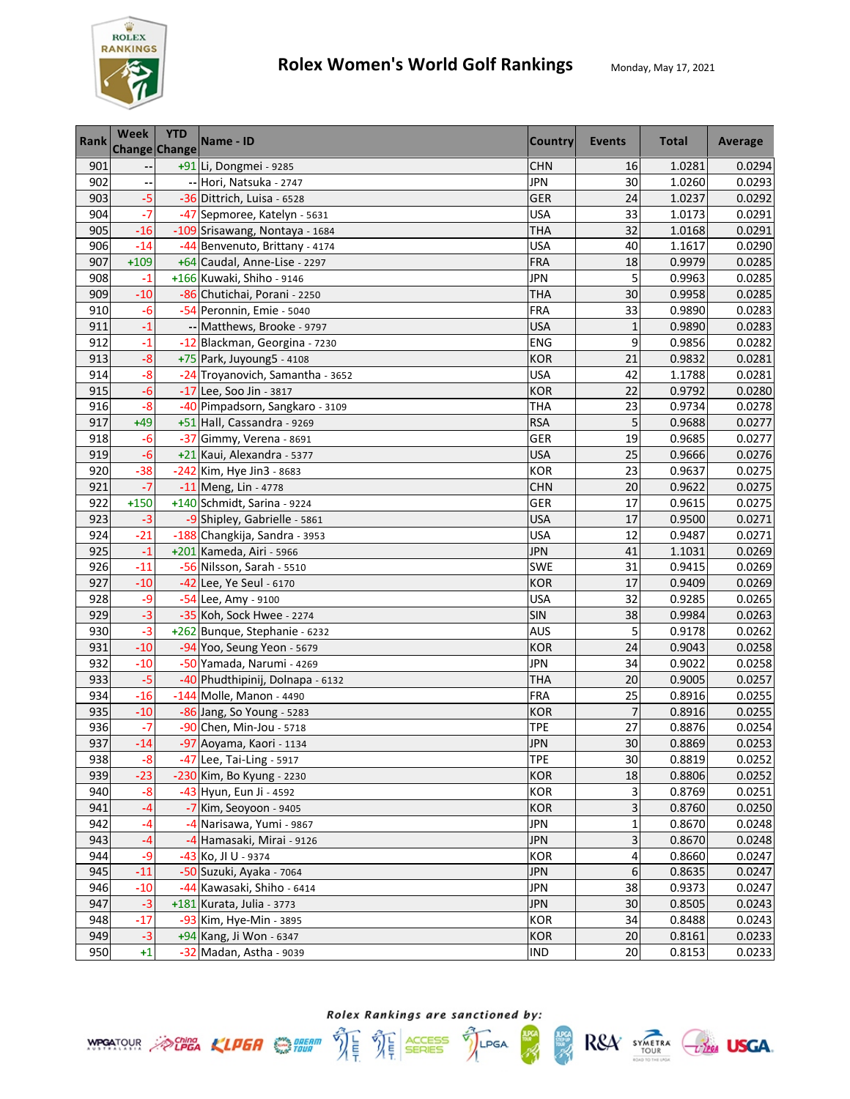

| Rank | <b>Week</b> | <b>YTD</b><br><b>Change Change</b> | Name - ID                        | <b>Country</b> | Events       | <b>Total</b> | Average |
|------|-------------|------------------------------------|----------------------------------|----------------|--------------|--------------|---------|
| 901  |             |                                    | +91 Li, Dongmei - 9285           | <b>CHN</b>     | 16           | 1.0281       | 0.0294  |
| 902  |             |                                    | -- Hori, Natsuka - 2747          | <b>JPN</b>     | 30           | 1.0260       | 0.0293  |
| 903  | $-5$        |                                    | -36 Dittrich, Luisa - 6528       | GER            | 24           | 1.0237       | 0.0292  |
| 904  | $-7$        |                                    | -47 Sepmoree, Katelyn - 5631     | <b>USA</b>     | 33           | 1.0173       | 0.0291  |
| 905  | $-16$       |                                    | -109 Srisawang, Nontaya - 1684   | <b>THA</b>     | 32           | 1.0168       | 0.0291  |
| 906  | $-14$       |                                    | -44 Benvenuto, Brittany - 4174   | <b>USA</b>     | 40           | 1.1617       | 0.0290  |
| 907  | $+109$      |                                    | +64 Caudal, Anne-Lise - 2297     | <b>FRA</b>     | 18           | 0.9979       | 0.0285  |
| 908  | $-1$        |                                    | +166 Kuwaki, Shiho - 9146        | JPN            | 5            | 0.9963       | 0.0285  |
| 909  | $-10$       |                                    | -86 Chutichai, Porani - 2250     | THA            | 30           | 0.9958       | 0.0285  |
| 910  | $-6$        |                                    | -54 Peronnin, Emie - 5040        | FRA            | 33           | 0.9890       | 0.0283  |
| 911  | $-1$        |                                    | -- Matthews, Brooke - 9797       | <b>USA</b>     | $\mathbf{1}$ | 0.9890       | 0.0283  |
| 912  | $-1$        |                                    | -12 Blackman, Georgina - 7230    | ENG            | 9            | 0.9856       | 0.0282  |
| 913  | $-8$        |                                    | +75 Park, Juyoung5 - 4108        | <b>KOR</b>     | 21           | 0.9832       | 0.0281  |
| 914  | $-8$        |                                    | -24 Troyanovich, Samantha - 3652 | <b>USA</b>     | 42           | 1.1788       | 0.0281  |
| 915  | $-6$        |                                    | -17 Lee, Soo Jin - 3817          | <b>KOR</b>     | 22           | 0.9792       | 0.0280  |
| 916  | $-8$        |                                    | -40 Pimpadsorn, Sangkaro - 3109  | THA            | 23           | 0.9734       | 0.0278  |
| 917  | $+49$       |                                    | +51 Hall, Cassandra - 9269       | <b>RSA</b>     | 5            | 0.9688       | 0.0277  |
| 918  | $-6$        |                                    | -37 Gimmy, Verena - 8691         | GER            | 19           | 0.9685       | 0.0277  |
| 919  | $-6$        |                                    | +21 Kaui, Alexandra - 5377       | <b>USA</b>     | 25           | 0.9666       | 0.0276  |
| 920  | $-38$       |                                    | -242 Kim, Hye Jin3 - 8683        | <b>KOR</b>     | 23           | 0.9637       | 0.0275  |
| 921  | $-7$        |                                    | -11 Meng, Lin - 4778             | <b>CHN</b>     | 20           | 0.9622       | 0.0275  |
| 922  | $+150$      |                                    | +140 Schmidt, Sarina - 9224      | GER            | 17           | 0.9615       | 0.0275  |
| 923  | $-3$        |                                    | -9 Shipley, Gabrielle - 5861     | <b>USA</b>     | 17           | 0.9500       | 0.0271  |
| 924  | $-21$       |                                    | -188 Changkija, Sandra - 3953    | <b>USA</b>     | 12           | 0.9487       | 0.0271  |
| 925  | $-1$        |                                    | +201 Kameda, Airi - 5966         | JPN            | 41           | 1.1031       | 0.0269  |
| 926  | $-11$       |                                    | -56 Nilsson, Sarah - 5510        | <b>SWE</b>     | 31           | 0.9415       | 0.0269  |
| 927  | $-10$       |                                    | -42 Lee, Ye Seul - 6170          | <b>KOR</b>     | 17           | 0.9409       | 0.0269  |
| 928  | -9          |                                    | -54 Lee, Amy - 9100              | <b>USA</b>     | 32           | 0.9285       | 0.0265  |
| 929  | $-3$        |                                    | -35 Koh, Sock Hwee - 2274        | SIN            | 38           | 0.9984       | 0.0263  |
| 930  | $-3$        |                                    | +262 Bunque, Stephanie - 6232    | <b>AUS</b>     | 5            | 0.9178       | 0.0262  |
| 931  | $-10$       |                                    | -94 Yoo, Seung Yeon - 5679       | <b>KOR</b>     | 24           | 0.9043       | 0.0258  |
| 932  | $-10$       |                                    | -50 Yamada, Narumi - 4269        | <b>JPN</b>     | 34           | 0.9022       | 0.0258  |
| 933  | $-5$        |                                    | -40 Phudthipinij, Dolnapa - 6132 | <b>THA</b>     | 20           | 0.9005       | 0.0257  |
| 934  | $-16$       |                                    | -144 Molle, Manon - 4490         | FRA            | 25           | 0.8916       | 0.0255  |
| 935  | $-10$       |                                    | -86 Jang, So Young - 5283        | <b>KOR</b>     | 7            | 0.8916       | 0.0255  |
| 936  | -7          |                                    | -90 Chen, Min-Jou - 5718         | <b>TPE</b>     | 27           | 0.8876       | 0.0254  |
| 937  | $-14$       |                                    | -97 Aoyama, Kaori - 1134         | <b>JPN</b>     | 30           | 0.8869       | 0.0253  |
| 938  | $-8$        |                                    | -47 Lee, Tai-Ling - 5917         | <b>TPE</b>     | 30           | 0.8819       | 0.0252  |
| 939  | $-23$       |                                    | -230 Kim, Bo Kyung - 2230        | <b>KOR</b>     | 18           | 0.8806       | 0.0252  |
| 940  | $-8$        |                                    | -43 Hyun, Eun Ji - 4592          | KOR            | 3            | 0.8769       | 0.0251  |
| 941  | -4          |                                    | -7 Kim, Seoyoon - 9405           | <b>KOR</b>     | 3            | 0.8760       | 0.0250  |
| 942  | -4          |                                    | -4 Narisawa, Yumi - 9867         | JPN            | 1            | 0.8670       | 0.0248  |
| 943  | $-4$        |                                    | -4 Hamasaki, Mirai - 9126        | <b>JPN</b>     | 3            | 0.8670       | 0.0248  |
| 944  | -9          |                                    | -43 Ko, JI U - 9374              | <b>KOR</b>     | 4            | 0.8660       | 0.0247  |
| 945  | $-11$       |                                    | -50 Suzuki, Ayaka - 7064         | <b>JPN</b>     | $\,$ 6       | 0.8635       | 0.0247  |
| 946  | $-10$       |                                    | -44 Kawasaki, Shiho - 6414       | <b>JPN</b>     | 38           | 0.9373       | 0.0247  |
| 947  | $-3$        |                                    | +181 Kurata, Julia - 3773        | <b>JPN</b>     | 30           | 0.8505       | 0.0243  |
| 948  | $-17$       |                                    | -93 Kim, Hye-Min - 3895          | KOR            | 34           | 0.8488       | 0.0243  |
| 949  | $-3$        |                                    | +94 Kang, Ji Won - 6347          | <b>KOR</b>     | 20           | 0.8161       | 0.0233  |
| 950  | $+1$        |                                    | -32 Madan, Astha - 9039          | IND            | 20           | 0.8153       | 0.0233  |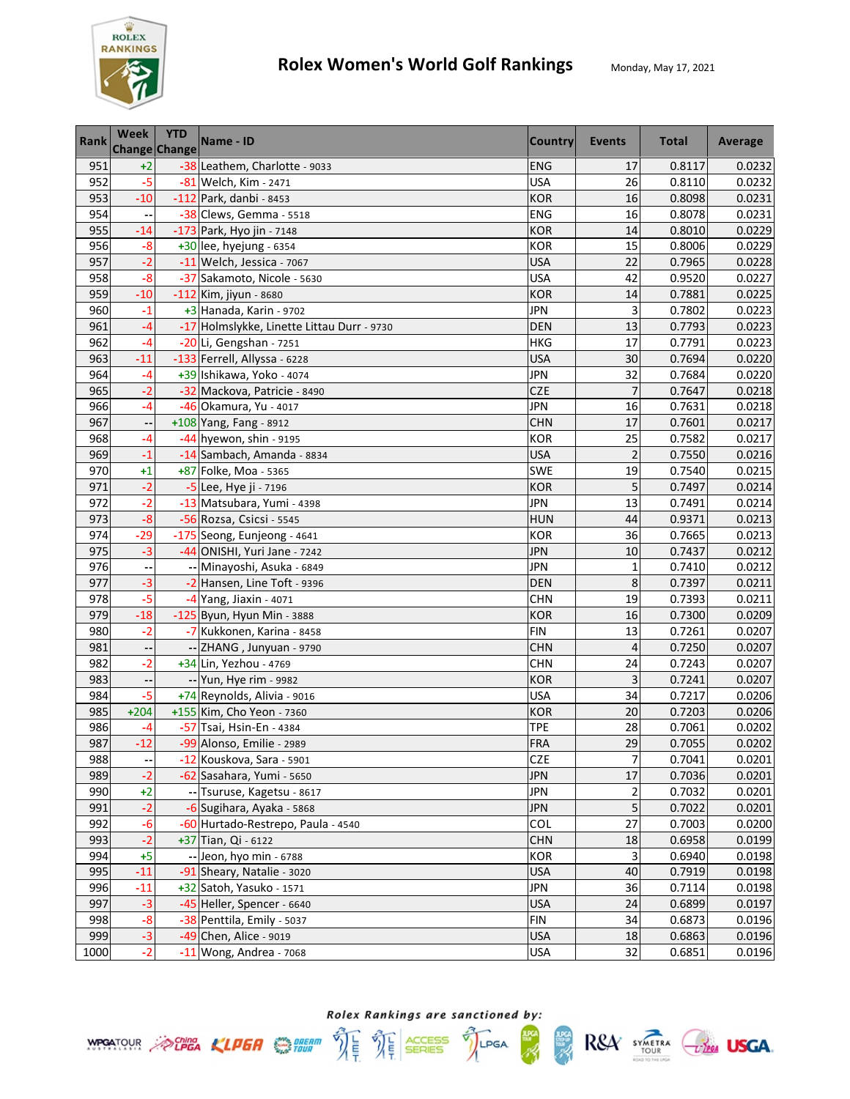

| <b>Rank</b> | Week   | <b>YTD</b><br>Change Change | Name - ID                                  | <b>Country</b> | Events         | <b>Total</b> | Average |
|-------------|--------|-----------------------------|--------------------------------------------|----------------|----------------|--------------|---------|
| 951         | $+2$   |                             | -38 Leathem, Charlotte - 9033              | <b>ENG</b>     | 17             | 0.8117       | 0.0232  |
| 952         | $-5$   |                             | -81 Welch, Kim - 2471                      | <b>USA</b>     | 26             | 0.8110       | 0.0232  |
| 953         | $-10$  |                             | -112 Park, danbi - 8453                    | <b>KOR</b>     | 16             | 0.8098       | 0.0231  |
| 954         |        |                             | -38 Clews, Gemma - 5518                    | <b>ENG</b>     | 16             | 0.8078       | 0.0231  |
| 955         | $-14$  |                             | -173 Park, Hyo jin - 7148                  | <b>KOR</b>     | 14             | 0.8010       | 0.0229  |
| 956         | $-8$   |                             | +30 lee, hyejung - 6354                    | <b>KOR</b>     | 15             | 0.8006       | 0.0229  |
| 957         | $-2$   |                             | -11 Welch, Jessica - 7067                  | <b>USA</b>     | 22             | 0.7965       | 0.0228  |
| 958         | $-8$   |                             | -37 Sakamoto, Nicole - 5630                | <b>USA</b>     | 42             | 0.9520       | 0.0227  |
| 959         | $-10$  |                             | -112 Kim, jiyun - 8680                     | <b>KOR</b>     | 14             | 0.7881       | 0.0225  |
| 960         | $-1$   |                             | $+3$ Hanada, Karin - 9702                  | <b>JPN</b>     | 3              | 0.7802       | 0.0223  |
| 961         | -4     |                             | -17 Holmslykke, Linette Littau Durr - 9730 | <b>DEN</b>     | 13             | 0.7793       | 0.0223  |
| 962         | $-4$   |                             | $-20$ Li, Gengshan - 7251                  | <b>HKG</b>     | 17             | 0.7791       | 0.0223  |
| 963         | $-11$  |                             | -133 Ferrell, Allyssa - 6228               | <b>USA</b>     | 30             | 0.7694       | 0.0220  |
| 964         | -4     |                             | +39 Ishikawa, Yoko - 4074                  | <b>JPN</b>     | 32             | 0.7684       | 0.0220  |
| 965         | $-2$   |                             | -32 Mackova, Patricie - 8490               | CZE            | $\overline{7}$ | 0.7647       | 0.0218  |
| 966         | -4     |                             | -46 Okamura, Yu - 4017                     | <b>JPN</b>     | 16             | 0.7631       | 0.0218  |
| 967         |        |                             | +108 Yang, Fang - 8912                     | <b>CHN</b>     | 17             | 0.7601       | 0.0217  |
| 968         | -4     |                             | -44 hyewon, shin - 9195                    | <b>KOR</b>     | 25             | 0.7582       | 0.0217  |
| 969         | $-1$   |                             | -14 Sambach, Amanda - 8834                 | <b>USA</b>     | $\overline{2}$ | 0.7550       | 0.0216  |
| 970         | $+1$   |                             | +87 Folke, Moa - 5365                      | SWE            | 19             | 0.7540       | 0.0215  |
| 971         | $-2$   |                             | -5 Lee, Hye ji - 7196                      | <b>KOR</b>     | 5              | 0.7497       | 0.0214  |
| 972         | $-2$   |                             | -13 Matsubara, Yumi - 4398                 | <b>JPN</b>     | 13             | 0.7491       | 0.0214  |
| 973         | $-8$   |                             | -56 Rozsa, Csicsi - 5545                   | <b>HUN</b>     | 44             | 0.9371       | 0.0213  |
| 974         | $-29$  |                             | -175 Seong, Eunjeong - 4641                | <b>KOR</b>     | 36             | 0.7665       | 0.0213  |
| 975         | $-3$   |                             | -44 ONISHI, Yuri Jane - 7242               | <b>JPN</b>     | 10             | 0.7437       | 0.0212  |
| 976         |        |                             | -- Minayoshi, Asuka - 6849                 | <b>JPN</b>     | $\mathbf{1}$   | 0.7410       | 0.0212  |
| 977         | $-3$   |                             | -2 Hansen, Line Toft - 9396                | <b>DEN</b>     | 8              | 0.7397       | 0.0211  |
| 978         | $-5$   |                             | -4 Yang, Jiaxin - 4071                     | <b>CHN</b>     | 19             | 0.7393       | 0.0211  |
| 979         | $-18$  |                             | -125 Byun, Hyun Min - 3888                 | <b>KOR</b>     | 16             | 0.7300       | 0.0209  |
| 980         | $-2$   |                             | -7 Kukkonen, Karina - 8458                 | <b>FIN</b>     | 13             | 0.7261       | 0.0207  |
| 981         |        |                             | -- ZHANG, Junyuan - 9790                   | <b>CHN</b>     | 4              | 0.7250       | 0.0207  |
| 982         | $-2$   |                             | +34 Lin, Yezhou - 4769                     | <b>CHN</b>     | 24             | 0.7243       | 0.0207  |
| 983         |        |                             | -- Yun, Hye rim - 9982                     | <b>KOR</b>     | 3              | 0.7241       | 0.0207  |
| 984         | $-5$   |                             | +74 Reynolds, Alivia - 9016                | <b>USA</b>     | 34             | 0.7217       | 0.0206  |
| 985         | $+204$ |                             | +155 Kim, Cho Yeon - 7360                  | <b>KOR</b>     | 20             | 0.7203       | 0.0206  |
| 986         | -4     |                             | -57 Tsai, Hsin-En - 4384                   | TPE            | 28             | 0.7061       | 0.0202  |
| 987         | $-12$  |                             | -99 Alonso, Emilie - 2989                  | <b>FRA</b>     | 29             | 0.7055       | 0.0202  |
| 988         |        |                             | -12 Kouskova, Sara - 5901                  | CZE            | 7              | 0.7041       | 0.0201  |
| 989         | $-2$   |                             | -62 Sasahara, Yumi - 5650                  | <b>JPN</b>     | 17             | 0.7036       | 0.0201  |
| 990         | $+2$   |                             | -- Tsuruse, Kagetsu - 8617                 | <b>JPN</b>     | 2              | 0.7032       | 0.0201  |
| 991         | $-2$   |                             | -6 Sugihara, Ayaka - 5868                  | <b>JPN</b>     | 5              | 0.7022       | 0.0201  |
| 992         | $-6$   |                             | -60 Hurtado-Restrepo, Paula - 4540         | COL            | 27             | 0.7003       | 0.0200  |
| 993         | $-2$   |                             | +37 Tian, Qi - 6122                        | <b>CHN</b>     | 18             | 0.6958       | 0.0199  |
| 994         | $+5$   |                             | -- Jeon, hyo min - 6788                    | <b>KOR</b>     | 3              | 0.6940       | 0.0198  |
| 995         | $-11$  |                             | -91 Sheary, Natalie - 3020                 | <b>USA</b>     | 40             | 0.7919       | 0.0198  |
| 996         | $-11$  |                             | +32 Satoh, Yasuko - 1571                   | <b>JPN</b>     | 36             | 0.7114       | 0.0198  |
| 997         | $-3$   |                             | -45 Heller, Spencer - 6640                 | <b>USA</b>     | 24             | 0.6899       | 0.0197  |
| 998         | $-8$   |                             | -38 Penttila, Emily - 5037                 | <b>FIN</b>     | 34             | 0.6873       | 0.0196  |
| 999         | $-3$   |                             | -49 Chen, Alice - 9019                     | <b>USA</b>     | 18             | 0.6863       | 0.0196  |
| 1000        | $-2$   |                             | $-11$ Wong, Andrea - 7068                  | <b>USA</b>     | 32             | 0.6851       | 0.0196  |



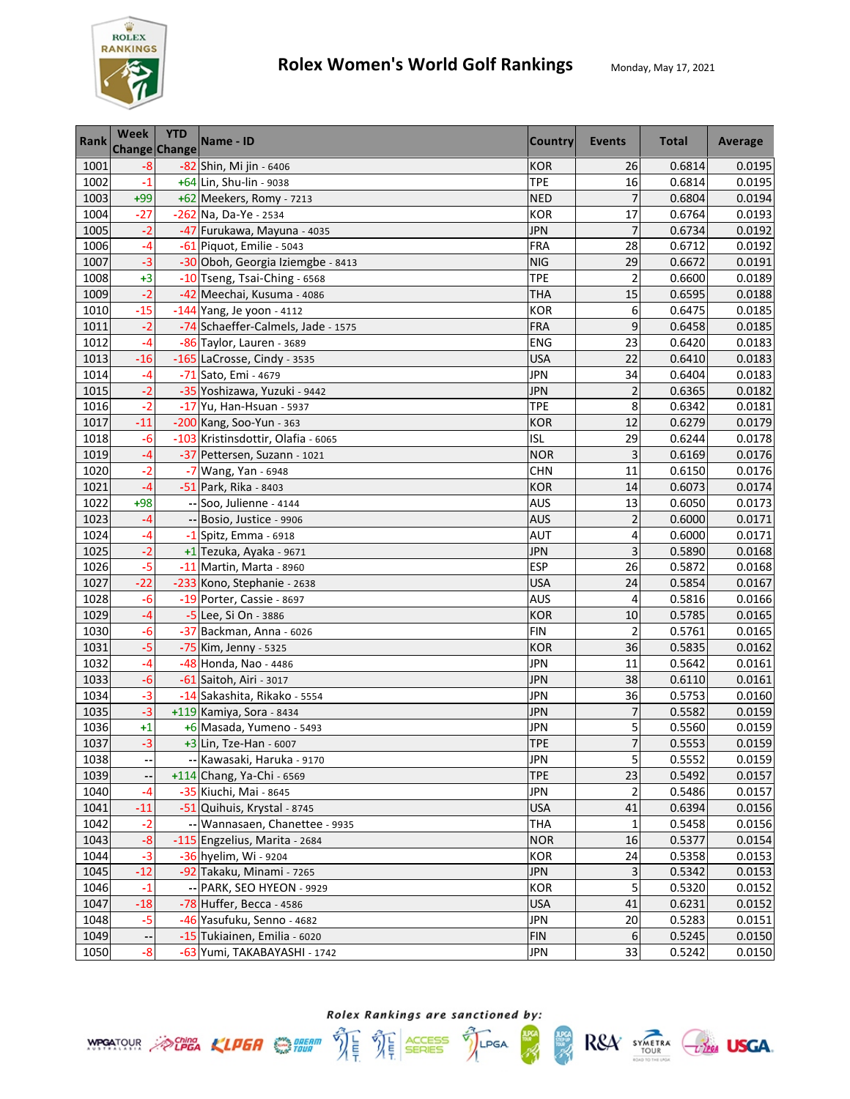

| <b>Rank</b> | Week  | <b>YTD</b><br><b>Change Change</b> | Name - ID                          | <b>Country</b> | Events                  | <b>Total</b> | Average |
|-------------|-------|------------------------------------|------------------------------------|----------------|-------------------------|--------------|---------|
| 1001        | $-8$  |                                    | -82 Shin, Mi jin - 6406            | <b>KOR</b>     | 26                      | 0.6814       | 0.0195  |
| 1002        | $-1$  |                                    | +64 Lin, Shu-lin - 9038            | <b>TPE</b>     | 16                      | 0.6814       | 0.0195  |
| 1003        | $+99$ |                                    | +62 Meekers, Romy - 7213           | <b>NED</b>     | 7                       | 0.6804       | 0.0194  |
| 1004        | $-27$ |                                    | -262 Na, Da-Ye - 2534              | <b>KOR</b>     | 17                      | 0.6764       | 0.0193  |
| 1005        | $-2$  |                                    | -47 Furukawa, Mayuna - 4035        | <b>JPN</b>     | $\overline{7}$          | 0.6734       | 0.0192  |
| 1006        | $-4$  |                                    | -61 Piquot, Emilie - 5043          | <b>FRA</b>     | 28                      | 0.6712       | 0.0192  |
| 1007        | $-3$  |                                    | -30 Oboh, Georgia Iziemgbe - 8413  | <b>NIG</b>     | 29                      | 0.6672       | 0.0191  |
| 1008        | $+3$  |                                    | -10 Tseng, Tsai-Ching - 6568       | <b>TPE</b>     | $\overline{\mathbf{c}}$ | 0.6600       | 0.0189  |
| 1009        | $-2$  |                                    | -42 Meechai, Kusuma - 4086         | <b>THA</b>     | 15                      | 0.6595       | 0.0188  |
| 1010        | $-15$ |                                    | -144 Yang, Je yoon - 4112          | <b>KOR</b>     | 6                       | 0.6475       | 0.0185  |
| 1011        | $-2$  |                                    | -74 Schaeffer-Calmels, Jade - 1575 | <b>FRA</b>     | 9                       | 0.6458       | 0.0185  |
| 1012        | $-4$  |                                    | -86 Taylor, Lauren - 3689          | <b>ENG</b>     | 23                      | 0.6420       | 0.0183  |
| 1013        | $-16$ |                                    | -165 LaCrosse, Cindy - 3535        | <b>USA</b>     | 22                      | 0.6410       | 0.0183  |
| 1014        | $-4$  |                                    | -71 Sato, Emi - 4679               | <b>JPN</b>     | 34                      | 0.6404       | 0.0183  |
| 1015        | $-2$  |                                    | -35 Yoshizawa, Yuzuki - 9442       | <b>JPN</b>     | $\overline{\mathbf{c}}$ | 0.6365       | 0.0182  |
| 1016        | $-2$  |                                    | -17 Yu, Han-Hsuan - 5937           | <b>TPE</b>     | 8                       | 0.6342       | 0.0181  |
| 1017        | $-11$ |                                    | -200 Kang, Soo-Yun - 363           | <b>KOR</b>     | 12                      | 0.6279       | 0.0179  |
| 1018        | $-6$  |                                    | -103 Kristinsdottir, Olafia - 6065 | <b>ISL</b>     | 29                      | 0.6244       | 0.0178  |
| 1019        | $-4$  |                                    | -37 Pettersen, Suzann - 1021       | <b>NOR</b>     | 3                       | 0.6169       | 0.0176  |
| 1020        | $-2$  |                                    | -7 Wang, Yan - 6948                | <b>CHN</b>     | 11                      | 0.6150       | 0.0176  |
| 1021        | $-4$  |                                    | -51 Park, Rika - 8403              | <b>KOR</b>     | 14                      | 0.6073       | 0.0174  |
| 1022        | $+98$ |                                    | -- Soo, Julienne - 4144            | AUS            | 13                      | 0.6050       | 0.0173  |
| 1023        | -4    |                                    | -- Bosio, Justice - 9906           | <b>AUS</b>     | $\overline{2}$          | 0.6000       | 0.0171  |
| 1024        | -4    |                                    | $-1$ Spitz, Emma - 6918            | AUT            | 4                       | 0.6000       | 0.0171  |
| 1025        | $-2$  |                                    | +1 Tezuka, Ayaka - 9671            | <b>JPN</b>     | 3                       | 0.5890       | 0.0168  |
| 1026        | $-5$  |                                    | -11 Martin, Marta - 8960           | <b>ESP</b>     | 26                      | 0.5872       | 0.0168  |
| 1027        | $-22$ |                                    | -233 Kono, Stephanie - 2638        | <b>USA</b>     | 24                      | 0.5854       | 0.0167  |
| 1028        | $-6$  |                                    | -19 Porter, Cassie - 8697          | <b>AUS</b>     | 4                       | 0.5816       | 0.0166  |
| 1029        | $-4$  |                                    | -5 Lee, Si On - 3886               | <b>KOR</b>     | 10                      | 0.5785       | 0.0165  |
| 1030        | $-6$  |                                    | -37 Backman, Anna - 6026           | <b>FIN</b>     | $\overline{c}$          | 0.5761       | 0.0165  |
| 1031        | $-5$  |                                    | -75 Kim, Jenny - 5325              | <b>KOR</b>     | 36                      | 0.5835       | 0.0162  |
| 1032        | $-4$  |                                    | -48 Honda, Nao - 4486              | <b>JPN</b>     | 11                      | 0.5642       | 0.0161  |
| 1033        | $-6$  |                                    | -61 Saitoh, Airi - 3017            | <b>JPN</b>     | 38                      | 0.6110       | 0.0161  |
| 1034        | $-3$  |                                    | -14 Sakashita, Rikako - 5554       | <b>JPN</b>     | 36                      | 0.5753       | 0.0160  |
| 1035        | $-3$  |                                    | +119 Kamiya, Sora - 8434           | <b>JPN</b>     | $\overline{7}$          | 0.5582       | 0.0159  |
| 1036        | +1    |                                    | +6 Masada, Yumeno - 5493           | <b>JPN</b>     | 5                       | 0.5560       | 0.0159  |
| 1037        | $-3$  |                                    | +3 Lin, Tze-Han - 6007             | <b>TPE</b>     | $\overline{7}$          | 0.5553       | 0.0159  |
| 1038        |       |                                    | -- Kawasaki, Haruka - 9170         | <b>JPN</b>     | $\mathsf S$             | 0.5552       | 0.0159  |
| 1039        |       |                                    | +114 Chang, Ya-Chi - 6569          | <b>TPE</b>     | 23                      | 0.5492       | 0.0157  |
| 1040        | $-4$  |                                    | -35 Kiuchi, Mai - 8645             | <b>JPN</b>     | $\overline{2}$          | 0.5486       | 0.0157  |
| 1041        | $-11$ |                                    | -51 Quihuis, Krystal - 8745        | <b>USA</b>     | 41                      | 0.6394       | 0.0156  |
| 1042        | $-2$  |                                    | -- Wannasaen, Chanettee - 9935     | <b>THA</b>     | $\mathbf 1$             | 0.5458       | 0.0156  |
| 1043        | $-8$  |                                    | -115 Engzelius, Marita - 2684      | <b>NOR</b>     | 16                      | 0.5377       | 0.0154  |
| 1044        | $-3$  |                                    | -36 hyelim, Wi - 9204              | <b>KOR</b>     | 24                      | 0.5358       | 0.0153  |
| 1045        | $-12$ |                                    | -92 Takaku, Minami - 7265          | <b>JPN</b>     | $\mathsf 3$             | 0.5342       | 0.0153  |
| 1046        | $-1$  |                                    | -- PARK, SEO HYEON - 9929          | <b>KOR</b>     | 5                       | 0.5320       | 0.0152  |
| 1047        | $-18$ |                                    | -78 Huffer, Becca - 4586           | <b>USA</b>     | 41                      | 0.6231       | 0.0152  |
| 1048        | $-5$  |                                    | -46 Yasufuku, Senno - 4682         | JPN            | 20                      | 0.5283       | 0.0151  |
| 1049        | ۰-    |                                    | -15 Tukiainen, Emilia - 6020       | <b>FIN</b>     | 6                       | 0.5245       | 0.0150  |
| 1050        | $-8$  |                                    | -63 Yumi, TAKABAYASHI - 1742       | JPN            | 33                      | 0.5242       | 0.0150  |





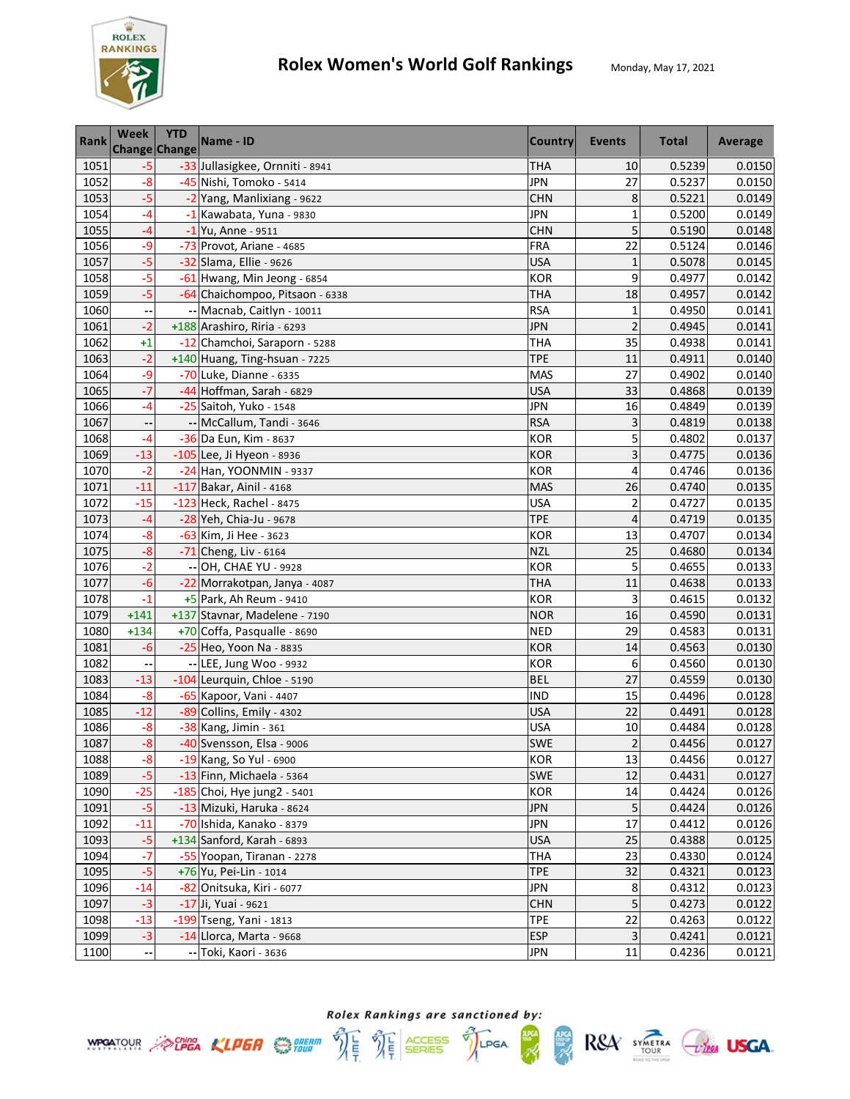

| <b>Rank</b> | Week   | <b>YTD</b><br><b>Change Change</b> | Name - ID                       | <b>Country</b> | <b>Events</b>           | <b>Total</b> | Average |
|-------------|--------|------------------------------------|---------------------------------|----------------|-------------------------|--------------|---------|
| 1051        | $-5$   |                                    | -33 Jullasigkee, Ornniti - 8941 | <b>THA</b>     | 10                      | 0.5239       | 0.0150  |
| 1052        | $-8$   |                                    | -45 Nishi, Tomoko - 5414        | <b>JPN</b>     | 27                      | 0.5237       | 0.0150  |
| 1053        | $-5$   |                                    | -2 Yang, Manlixiang - 9622      | <b>CHN</b>     | 8                       | 0.5221       | 0.0149  |
| 1054        | $-4$   |                                    | -1 Kawabata, Yuna - 9830        | <b>JPN</b>     | $\mathbf{1}$            | 0.5200       | 0.0149  |
| 1055        | $-4$   |                                    | -1 Yu, Anne - 9511              | <b>CHN</b>     | 5                       | 0.5190       | 0.0148  |
| 1056        | -9     |                                    | -73 Provot, Ariane - 4685       | <b>FRA</b>     | 22                      | 0.5124       | 0.0146  |
| 1057        | $-5$   |                                    | -32 Slama, Ellie - 9626         | <b>USA</b>     | $\mathbf 1$             | 0.5078       | 0.0145  |
| 1058        | $-5$   |                                    | -61 Hwang, Min Jeong - 6854     | <b>KOR</b>     | 9                       | 0.4977       | 0.0142  |
| 1059        | $-5$   |                                    | -64 Chaichompoo, Pitsaon - 6338 | <b>THA</b>     | 18                      | 0.4957       | 0.0142  |
| 1060        |        |                                    | -- Macnab, Caitlyn - 10011      | <b>RSA</b>     | 1                       | 0.4950       | 0.0141  |
| 1061        | $-2$   |                                    | +188 Arashiro, Riria - 6293     | <b>JPN</b>     | $\overline{\mathbf{c}}$ | 0.4945       | 0.0141  |
| 1062        | $+1$   |                                    | -12 Chamchoi, Saraporn - 5288   | <b>THA</b>     | 35                      | 0.4938       | 0.0141  |
| 1063        | $-2$   |                                    | +140 Huang, Ting-hsuan - 7225   | <b>TPE</b>     | 11                      | 0.4911       | 0.0140  |
| 1064        | $-9$   |                                    | -70 Luke, Dianne - 6335         | <b>MAS</b>     | 27                      | 0.4902       | 0.0140  |
| 1065        | $-7$   |                                    | -44 Hoffman, Sarah - 6829       | <b>USA</b>     | 33                      | 0.4868       | 0.0139  |
| 1066        | $-4$   |                                    | -25 Saitoh, Yuko - 1548         | <b>JPN</b>     | 16                      | 0.4849       | 0.0139  |
| 1067        |        |                                    | -- McCallum, Tandi - 3646       | <b>RSA</b>     | 3                       | 0.4819       | 0.0138  |
| 1068        | $-4$   |                                    | -36 Da Eun, Kim - 8637          | <b>KOR</b>     | 5                       | 0.4802       | 0.0137  |
| 1069        | $-13$  |                                    | -105 Lee, Ji Hyeon - 8936       | <b>KOR</b>     | 3                       | 0.4775       | 0.0136  |
| 1070        | $-2$   |                                    | -24 Han, YOONMIN - 9337         | KOR            | 4                       | 0.4746       | 0.0136  |
| 1071        | $-11$  |                                    | -117 Bakar, Ainil - 4168        | <b>MAS</b>     | 26                      | 0.4740       | 0.0135  |
| 1072        | $-15$  |                                    | -123 Heck, Rachel - 8475        | USA            | $\overline{2}$          | 0.4727       | 0.0135  |
| 1073        | -4     |                                    | -28 Yeh, Chia-Ju - 9678         | TPE            | 4                       | 0.4719       | 0.0135  |
| 1074        | $-8$   |                                    | -63 Kim, Ji Hee - 3623          | <b>KOR</b>     | 13                      | 0.4707       | 0.0134  |
| 1075        | $-8$   |                                    | -71 Cheng, Liv - 6164           | <b>NZL</b>     | 25                      | 0.4680       | 0.0134  |
| 1076        | $-2$   |                                    | -- OH, CHAE YU - 9928           | <b>KOR</b>     | 5                       | 0.4655       | 0.0133  |
| 1077        | $-6$   |                                    | -22 Morrakotpan, Janya - 4087   | <b>THA</b>     | 11                      | 0.4638       | 0.0133  |
| 1078        | $-1$   |                                    | +5 Park, Ah Reum - 9410         | <b>KOR</b>     | 3                       | 0.4615       | 0.0132  |
| 1079        | $+141$ |                                    | +137 Stavnar, Madelene - 7190   | <b>NOR</b>     | 16                      | 0.4590       | 0.0131  |
| 1080        | $+134$ |                                    | +70 Coffa, Pasqualle - 8690     | <b>NED</b>     | 29                      | 0.4583       | 0.0131  |
| 1081        | $-6$   |                                    | -25 Heo, Yoon Na - 8835         | <b>KOR</b>     | 14                      | 0.4563       | 0.0130  |
| 1082        | --     |                                    | -- LEE, Jung Woo - 9932         | <b>KOR</b>     | 6                       | 0.4560       | 0.0130  |
| 1083        | $-13$  |                                    | -104 Leurquin, Chloe - 5190     | <b>BEL</b>     | 27                      | 0.4559       | 0.0130  |
| 1084        | $-8$   |                                    | -65 Kapoor, Vani - 4407         | <b>IND</b>     | 15                      | 0.4496       | 0.0128  |
| 1085        | $-12$  |                                    | -89 Collins, Emily - 4302       | <b>USA</b>     | 22                      | 0.4491       | 0.0128  |
| 1086        | $-8$   |                                    | -38 Kang, Jimin - 361           | <b>USA</b>     | 10                      | 0.4484       | 0.0128  |
| 1087        | $-8$   |                                    | -40 Svensson, Elsa - 9006       | <b>SWE</b>     | $\overline{2}$          | 0.4456       | 0.0127  |
| 1088        | $-8$   |                                    | -19 Kang, So Yul - 6900         | <b>KOR</b>     | 13                      | 0.4456       | 0.0127  |
| 1089        | $-5$   |                                    | -13 Finn, Michaela - 5364       | <b>SWE</b>     | 12                      | 0.4431       | 0.0127  |
| 1090        | $-25$  |                                    | -185 Choi, Hye jung2 - 5401     | <b>KOR</b>     | 14                      | 0.4424       | 0.0126  |
| 1091        | $-5$   |                                    | -13 Mizuki, Haruka - 8624       | <b>JPN</b>     | 5                       | 0.4424       | 0.0126  |
| 1092        | $-11$  |                                    | -70 Ishida, Kanako - 8379       | <b>JPN</b>     | 17                      | 0.4412       | 0.0126  |
| 1093        | $-5$   |                                    | +134 Sanford, Karah - 6893      | <b>USA</b>     | 25                      | 0.4388       | 0.0125  |
| 1094        | $-7$   |                                    | -55 Yoopan, Tiranan - 2278      | <b>THA</b>     | 23                      | 0.4330       | 0.0124  |
| 1095        | $-5$   |                                    | +76 Yu, Pei-Lin - 1014          | <b>TPE</b>     | 32                      | 0.4321       | 0.0123  |
| 1096        | $-14$  |                                    | -82 Onitsuka, Kiri - 6077       | <b>JPN</b>     | 8                       | 0.4312       | 0.0123  |
| 1097        | $-3$   |                                    | $-17$ Ji, Yuai - 9621           | <b>CHN</b>     | 5                       | 0.4273       | 0.0122  |
| 1098        | $-13$  |                                    | -199 Tseng, Yani - 1813         | <b>TPE</b>     | 22                      | 0.4263       | 0.0122  |
| 1099        | $-3$   |                                    | -14 Llorca, Marta - 9668        | <b>ESP</b>     | 3                       | 0.4241       | 0.0121  |
| 1100        |        |                                    | -- Toki, Kaori - 3636           | JPN            | 11                      | 0.4236       | 0.0121  |



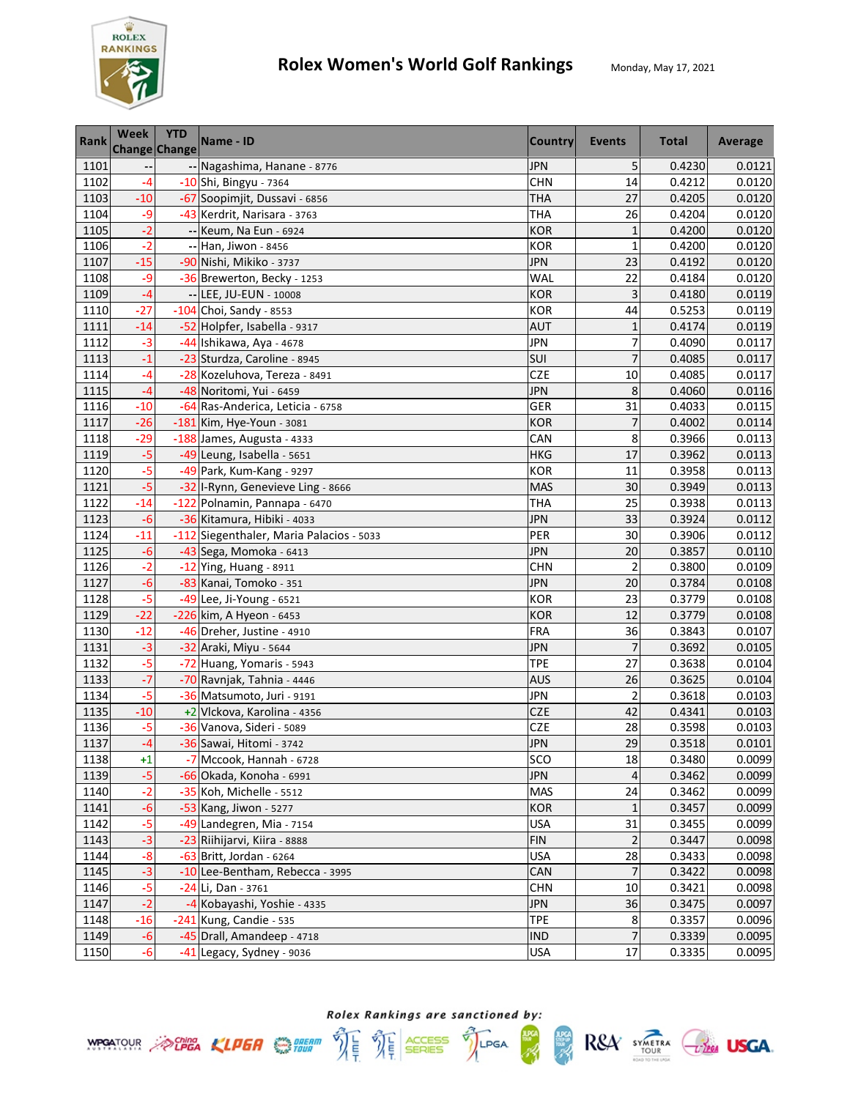

| <b>Rank</b> | <b>Week</b> | <b>YTD</b><br>Change Change | Name - ID                                | <b>Country</b> | <b>Events</b>  | <b>Total</b> | Average |
|-------------|-------------|-----------------------------|------------------------------------------|----------------|----------------|--------------|---------|
| 1101        |             |                             | -- Nagashima, Hanane - 8776              | <b>JPN</b>     | 5              | 0.4230       | 0.0121  |
| 1102        | $-4$        |                             | -10 Shi, Bingyu - 7364                   | <b>CHN</b>     | 14             | 0.4212       | 0.0120  |
| 1103        | $-10$       |                             | -67 Soopimjit, Dussavi - 6856            | <b>THA</b>     | 27             | 0.4205       | 0.0120  |
| 1104        | -9          |                             | -43 Kerdrit, Narisara - 3763             | <b>THA</b>     | 26             | 0.4204       | 0.0120  |
| 1105        | $-2$        |                             | -- Keum, Na Eun - 6924                   | <b>KOR</b>     | $\mathbf{1}$   | 0.4200       | 0.0120  |
| 1106        | $-2$        |                             | -- Han, Jiwon - 8456                     | <b>KOR</b>     | $\mathbf{1}$   | 0.4200       | 0.0120  |
| 1107        | $-15$       |                             | -90 Nishi, Mikiko - 3737                 | JPN            | 23             | 0.4192       | 0.0120  |
| 1108        | -9          |                             | -36 Brewerton, Becky - 1253              | WAL            | 22             | 0.4184       | 0.0120  |
| 1109        | -4          |                             | -- LEE, JU-EUN - 10008                   | <b>KOR</b>     | 3              | 0.4180       | 0.0119  |
| 1110        | $-27$       |                             | $-104$ Choi, Sandy - 8553                | <b>KOR</b>     | 44             | 0.5253       | 0.0119  |
| 1111        | $-14$       |                             | -52 Holpfer, Isabella - 9317             | <b>AUT</b>     | $\mathbf{1}$   | 0.4174       | 0.0119  |
| 1112        | $-3$        |                             | -44 Ishikawa, Aya - 4678                 | <b>JPN</b>     | 7              | 0.4090       | 0.0117  |
| 1113        | $-1$        |                             | -23 Sturdza, Caroline - 8945             | SUI            | $\overline{7}$ | 0.4085       | 0.0117  |
| 1114        | -4          |                             | -28 Kozeluhova, Tereza - 8491            | <b>CZE</b>     | 10             | 0.4085       | 0.0117  |
| 1115        | $-4$        |                             | -48 Noritomi, Yui - 6459                 | <b>JPN</b>     | 8              | 0.4060       | 0.0116  |
| 1116        | $-10$       |                             | -64 Ras-Anderica, Leticia - 6758         | GER            | 31             | 0.4033       | 0.0115  |
| 1117        | $-26$       |                             | -181 Kim, Hye-Youn - 3081                | <b>KOR</b>     | $\overline{7}$ | 0.4002       | 0.0114  |
| 1118        | $-29$       |                             | -188 James, Augusta - 4333               | CAN            | 8              | 0.3966       | 0.0113  |
| 1119        | $-5$        |                             | -49 Leung, Isabella - 5651               | <b>HKG</b>     | 17             | 0.3962       | 0.0113  |
| 1120        | $-5$        |                             | -49 Park, Kum-Kang - 9297                | <b>KOR</b>     | 11             | 0.3958       | 0.0113  |
| 1121        | $-5$        |                             | -32 I-Rynn, Genevieve Ling - 8666        | <b>MAS</b>     | 30             | 0.3949       | 0.0113  |
| 1122        | $-14$       |                             | -122 Polnamin, Pannapa - 6470            | <b>THA</b>     | 25             | 0.3938       | 0.0113  |
| 1123        | $-6$        |                             | -36 Kitamura, Hibiki - 4033              | JPN            | 33             | 0.3924       | 0.0112  |
| 1124        | $-11$       |                             | -112 Siegenthaler, Maria Palacios - 5033 | PER            | 30             | 0.3906       | 0.0112  |
| 1125        | $-6$        |                             | -43 Sega, Momoka - 6413                  | <b>JPN</b>     | 20             | 0.3857       | 0.0110  |
| 1126        | $-2$        |                             | $-12$ Ying, Huang - 8911                 | <b>CHN</b>     | $\overline{2}$ | 0.3800       | 0.0109  |
| 1127        | $-6$        |                             | -83 Kanai, Tomoko - 351                  | <b>JPN</b>     | 20             | 0.3784       | 0.0108  |
| 1128        | $-5$        |                             | $-49$ Lee, Ji-Young - 6521               | <b>KOR</b>     | 23             | 0.3779       | 0.0108  |
| 1129        | $-22$       |                             | -226 kim, A Hyeon - 6453                 | <b>KOR</b>     | 12             | 0.3779       | 0.0108  |
| 1130        | $-12$       |                             | -46 Dreher, Justine - 4910               | <b>FRA</b>     | 36             | 0.3843       | 0.0107  |
| 1131        | $-3$        |                             | -32 Araki, Miyu - 5644                   | <b>JPN</b>     | $\overline{7}$ | 0.3692       | 0.0105  |
| 1132        | $-5$        |                             | -72 Huang, Yomaris - 5943                | <b>TPE</b>     | 27             | 0.3638       | 0.0104  |
| 1133        | $-7$        |                             | -70 Ravnjak, Tahnia - 4446               | <b>AUS</b>     | 26             | 0.3625       | 0.0104  |
| 1134        | $-5$        |                             | -36 Matsumoto, Juri - 9191               | <b>JPN</b>     | $\overline{2}$ | 0.3618       | 0.0103  |
| 1135        | $-10$       |                             | +2 Vlckova, Karolina - 4356              | <b>CZE</b>     | 42             | 0.4341       | 0.0103  |
| 1136        | $-5$        |                             | -36 Vanova, Sideri - 5089                | <b>CZE</b>     | 28             | 0.3598       | 0.0103  |
| 1137        | $-4$        |                             | -36 Sawai, Hitomi - 3742                 | <b>JPN</b>     | 29             | 0.3518       | 0.0101  |
| 1138        | $+1$        |                             | -7 Mccook, Hannah - 6728                 | sco            | 18             | 0.3480       | 0.0099  |
| 1139        | $-5$        |                             | -66 Okada, Konoha - 6991                 | <b>JPN</b>     | 4              | 0.3462       | 0.0099  |
| 1140        | $-2$        |                             | -35 Koh, Michelle - 5512                 | <b>MAS</b>     | 24             | 0.3462       | 0.0099  |
| 1141        | $-6$        |                             | -53 Kang, Jiwon - 5277                   | <b>KOR</b>     | $\mathbf{1}$   | 0.3457       | 0.0099  |
| 1142        | $-5$        |                             | -49 Landegren, Mia - 7154                | <b>USA</b>     | 31             | 0.3455       | 0.0099  |
| 1143        | $-3$        |                             | -23 Riihijarvi, Kiira - 8888             | <b>FIN</b>     | $\mathbf 2$    | 0.3447       | 0.0098  |
| 1144        | $-8$        |                             | -63 Britt, Jordan - 6264                 | <b>USA</b>     | 28             | 0.3433       | 0.0098  |
| 1145        | $-3$        |                             | -10 Lee-Bentham, Rebecca - 3995          | CAN            | $\overline{7}$ | 0.3422       | 0.0098  |
| 1146        | $-5$        |                             | -24 Li, Dan - 3761                       | <b>CHN</b>     | 10             | 0.3421       | 0.0098  |
| 1147        | $-2$        |                             | -4 Kobayashi, Yoshie - 4335              | <b>JPN</b>     | 36             | 0.3475       | 0.0097  |
| 1148        | $-16$       |                             | -241 Kung, Candie - 535                  | <b>TPE</b>     | 8              | 0.3357       | 0.0096  |
| 1149        | $-6$        |                             | -45 Drall, Amandeep - 4718               | <b>IND</b>     | $\overline{7}$ | 0.3339       | 0.0095  |
| 1150        | $-6$        |                             | -41 Legacy, Sydney - 9036                | <b>USA</b>     | 17             | 0.3335       | 0.0095  |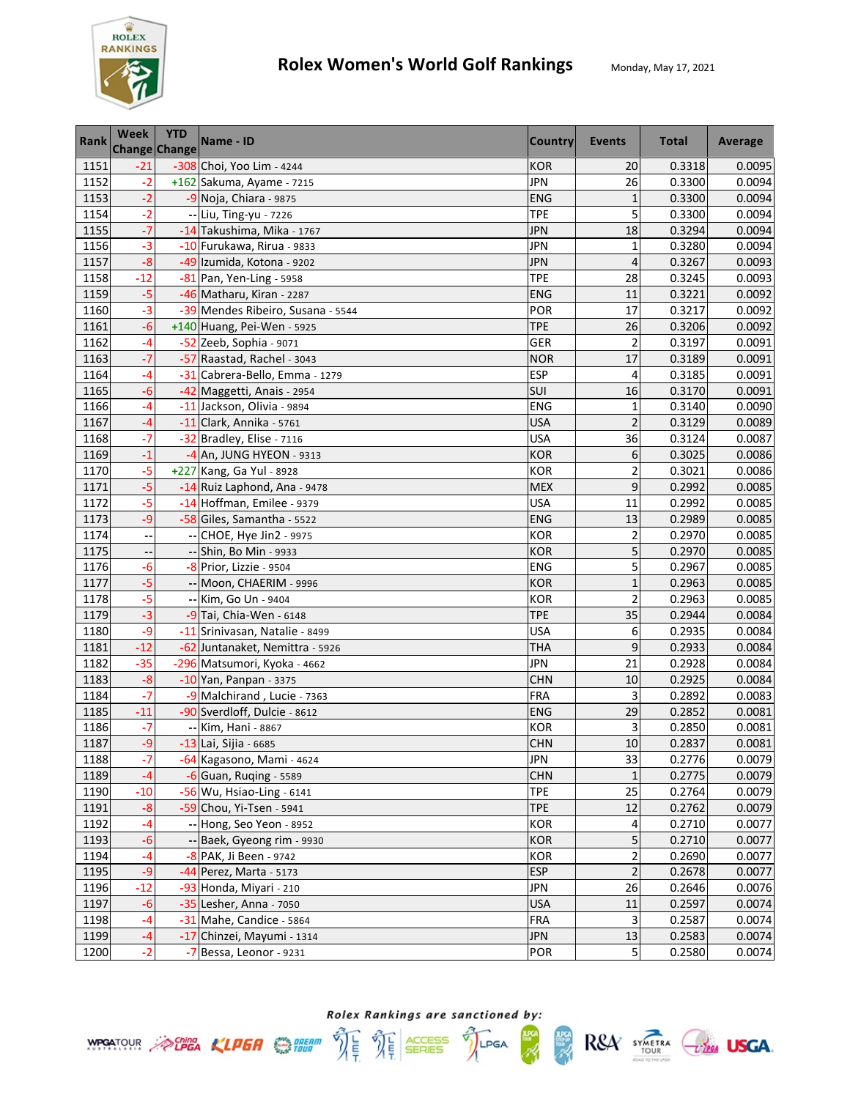

| <b>Rank</b> | Week  | <b>YTD</b><br><b>Change Change</b> | Name - ID                         | <b>Country</b> | Events                  | <b>Total</b> | Average |
|-------------|-------|------------------------------------|-----------------------------------|----------------|-------------------------|--------------|---------|
| 1151        | $-21$ |                                    | -308 Choi, Yoo Lim - 4244         | <b>KOR</b>     | 20                      | 0.3318       | 0.0095  |
| 1152        | $-2$  |                                    | +162 Sakuma, Ayame - 7215         | <b>JPN</b>     | 26                      | 0.3300       | 0.0094  |
| 1153        | $-2$  |                                    | -9 Noja, Chiara - 9875            | <b>ENG</b>     | 1                       | 0.3300       | 0.0094  |
| 1154        | $-2$  |                                    | -- Liu, Ting-yu - 7226            | <b>TPE</b>     | 5                       | 0.3300       | 0.0094  |
| 1155        | $-7$  |                                    | -14 Takushima, Mika - 1767        | <b>JPN</b>     | 18                      | 0.3294       | 0.0094  |
| 1156        | $-3$  |                                    | -10 Furukawa, Rirua - 9833        | JPN            | $\mathbf{1}$            | 0.3280       | 0.0094  |
| 1157        | $-8$  |                                    | -49 Izumida, Kotona - 9202        | <b>JPN</b>     | 4                       | 0.3267       | 0.0093  |
| 1158        | $-12$ |                                    | -81 Pan, Yen-Ling - 5958          | <b>TPE</b>     | 28                      | 0.3245       | 0.0093  |
| 1159        | $-5$  |                                    | -46 Matharu, Kiran - 2287         | <b>ENG</b>     | 11                      | 0.3221       | 0.0092  |
| 1160        | $-3$  |                                    | -39 Mendes Ribeiro, Susana - 5544 | POR            | 17                      | 0.3217       | 0.0092  |
| 1161        | $-6$  |                                    | +140 Huang, Pei-Wen - 5925        | <b>TPE</b>     | 26                      | 0.3206       | 0.0092  |
| 1162        | $-4$  |                                    | -52 Zeeb, Sophia - 9071           | GER            | $\overline{c}$          | 0.3197       | 0.0091  |
| 1163        | $-7$  |                                    | -57 Raastad, Rachel - 3043        | <b>NOR</b>     | 17                      | 0.3189       | 0.0091  |
| 1164        | $-4$  |                                    | -31 Cabrera-Bello, Emma - 1279    | <b>ESP</b>     | 4                       | 0.3185       | 0.0091  |
| 1165        | $-6$  |                                    | -42 Maggetti, Anais - 2954        | SUI            | 16                      | 0.3170       | 0.0091  |
| 1166        | $-4$  |                                    | -11 Jackson, Olivia - 9894        | <b>ENG</b>     | $\mathbf{1}$            | 0.3140       | 0.0090  |
| 1167        | $-4$  |                                    | $-11$ Clark, Annika - 5761        | <b>USA</b>     | $\overline{2}$          | 0.3129       | 0.0089  |
| 1168        | $-7$  |                                    | -32 Bradley, Elise - 7116         | <b>USA</b>     | 36                      | 0.3124       | 0.0087  |
| 1169        | $-1$  |                                    | -4 An, JUNG HYEON - 9313          | <b>KOR</b>     | 6                       | 0.3025       | 0.0086  |
| 1170        | $-5$  |                                    | +227 Kang, Ga Yul - 8928          | <b>KOR</b>     | $\overline{a}$          | 0.3021       | 0.0086  |
| 1171        | $-5$  |                                    | -14 Ruiz Laphond, Ana - 9478      | <b>MEX</b>     | 9                       | 0.2992       | 0.0085  |
| 1172        | $-5$  |                                    | -14 Hoffman, Emilee - 9379        | <b>USA</b>     | 11                      | 0.2992       | 0.0085  |
| 1173        | $-9$  |                                    | -58 Giles, Samantha - 5522        | <b>ENG</b>     | 13                      | 0.2989       | 0.0085  |
| 1174        |       |                                    | -- CHOE, Hye Jin2 - 9975          | <b>KOR</b>     | $\overline{\mathbf{c}}$ | 0.2970       | 0.0085  |
| 1175        |       |                                    | -- Shin, Bo Min - 9933            | <b>KOR</b>     | 5                       | 0.2970       | 0.0085  |
| 1176        | $-6$  |                                    | -8 Prior, Lizzie - 9504           | ENG            | 5                       | 0.2967       | 0.0085  |
| 1177        | $-5$  |                                    | -- Moon, CHAERIM - 9996           | <b>KOR</b>     | $\mathbf{1}$            | 0.2963       | 0.0085  |
| 1178        | $-5$  |                                    | -- Kim, Go Un - 9404              | <b>KOR</b>     | $\overline{c}$          | 0.2963       | 0.0085  |
| 1179        | $-3$  |                                    | -9 Tai, Chia-Wen - 6148           | <b>TPE</b>     | 35                      | 0.2944       | 0.0084  |
| 1180        | $-9$  |                                    | -11 Srinivasan, Natalie - 8499    | <b>USA</b>     | 6                       | 0.2935       | 0.0084  |
| 1181        | $-12$ |                                    | -62 Juntanaket, Nemittra - 5926   | <b>THA</b>     | 9                       | 0.2933       | 0.0084  |
| 1182        | $-35$ |                                    | -296 Matsumori, Kyoka - 4662      | <b>JPN</b>     | 21                      | 0.2928       | 0.0084  |
| 1183        | $-8$  |                                    | -10 Yan, Panpan - 3375            | <b>CHN</b>     | 10                      | 0.2925       | 0.0084  |
| 1184        | $-7$  |                                    | -9 Malchirand, Lucie - 7363       | <b>FRA</b>     | 3                       | 0.2892       | 0.0083  |
| 1185        | $-11$ |                                    | -90 Sverdloff, Dulcie - 8612      | <b>ENG</b>     | 29                      | 0.2852       | 0.0081  |
| 1186        | -7    |                                    | -- Kim, Hani - 8867               | <b>KOR</b>     | 3                       | 0.2850       | 0.0081  |
| 1187        | $-9$  |                                    | -13 Lai, Sijia - 6685             | <b>CHN</b>     | 10                      | 0.2837       | 0.0081  |
| 1188        | $-7$  |                                    | -64 Kagasono, Mami - 4624         | <b>JPN</b>     | 33                      | 0.2776       | 0.0079  |
| 1189        | $-4$  |                                    | $-6$ Guan, Ruqing - 5589          | <b>CHN</b>     | $\mathbf 1$             | 0.2775       | 0.0079  |
| 1190        | $-10$ |                                    | -56 Wu, Hsiao-Ling - 6141         | <b>TPE</b>     | 25                      | 0.2764       | 0.0079  |
| 1191        | $-8$  |                                    | -59 Chou, Yi-Tsen - 5941          | <b>TPE</b>     | 12                      | 0.2762       | 0.0079  |
| 1192        | -4    |                                    | -- Hong, Seo Yeon - 8952          | KOR            | 4                       | 0.2710       | 0.0077  |
| 1193        | $-6$  |                                    | -- Baek, Gyeong rim - 9930        | <b>KOR</b>     | 5                       | 0.2710       | 0.0077  |
| 1194        | $-4$  |                                    | -8 PAK, Ji Been - 9742            | <b>KOR</b>     | $\overline{\mathbf{c}}$ | 0.2690       | 0.0077  |
| 1195        | -9    |                                    | -44 Perez, Marta - 5173           | <b>ESP</b>     | $\overline{c}$          | 0.2678       | 0.0077  |
| 1196        | $-12$ |                                    | -93 Honda, Miyari - 210           | <b>JPN</b>     | 26                      | 0.2646       | 0.0076  |
| 1197        | $-6$  |                                    | -35 Lesher, Anna - 7050           | <b>USA</b>     | 11                      | 0.2597       | 0.0074  |
| 1198        | $-4$  |                                    | -31 Mahe, Candice - 5864          | <b>FRA</b>     | 3                       | 0.2587       | 0.0074  |
| 1199        | $-4$  |                                    | -17 Chinzei, Mayumi - 1314        | <b>JPN</b>     | 13                      | 0.2583       | 0.0074  |
| 1200        | $-2$  |                                    | -7 Bessa, Leonor - 9231           | POR            | 5                       | 0.2580       | 0.0074  |



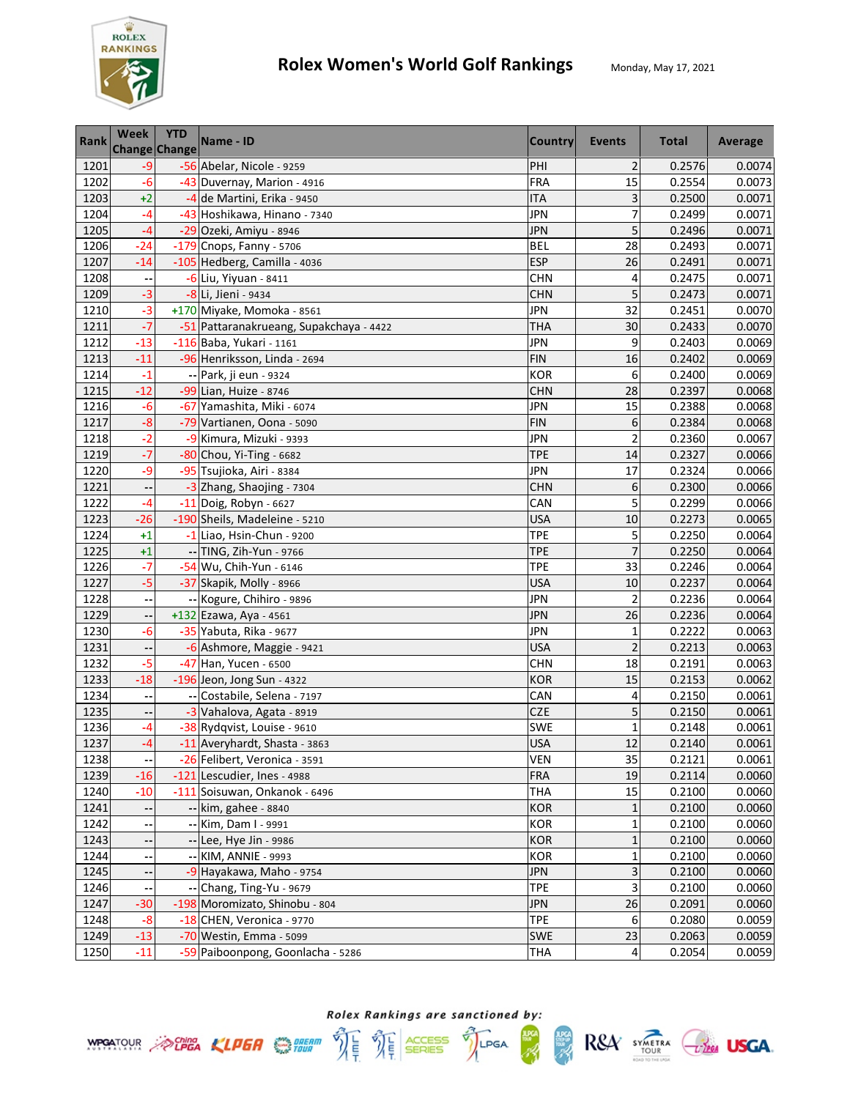

| <b>Rank</b> | Week                       | <b>YTD</b><br>Change Change | Name - ID                               | <b>Country</b> | Events                  | <b>Total</b> | Average |
|-------------|----------------------------|-----------------------------|-----------------------------------------|----------------|-------------------------|--------------|---------|
| 1201        | $-9$                       |                             | -56 Abelar, Nicole - 9259               | PHI            | $\overline{2}$          | 0.2576       | 0.0074  |
| 1202        | $-6$                       |                             | -43 Duvernay, Marion - 4916             | <b>FRA</b>     | 15                      | 0.2554       | 0.0073  |
| 1203        | $+2$                       |                             | -4 de Martini, Erika - 9450             | <b>ITA</b>     | 3                       | 0.2500       | 0.0071  |
| 1204        | $-4$                       |                             | -43 Hoshikawa, Hinano - 7340            | <b>JPN</b>     | 7                       | 0.2499       | 0.0071  |
| 1205        | $-4$                       |                             | -29 Ozeki, Amiyu - 8946                 | <b>JPN</b>     | 5                       | 0.2496       | 0.0071  |
| 1206        | $-24$                      |                             | -179 Cnops, Fanny - 5706                | <b>BEL</b>     | 28                      | 0.2493       | 0.0071  |
| 1207        | $-14$                      |                             | -105 Hedberg, Camilla - 4036            | <b>ESP</b>     | 26                      | 0.2491       | 0.0071  |
| 1208        |                            |                             | -6 Liu, Yiyuan - 8411                   | <b>CHN</b>     | 4                       | 0.2475       | 0.0071  |
| 1209        | $-3$                       |                             | -8 Li, Jieni - 9434                     | <b>CHN</b>     | 5                       | 0.2473       | 0.0071  |
| 1210        | $-3$                       |                             | +170 Miyake, Momoka - 8561              | <b>JPN</b>     | 32                      | 0.2451       | 0.0070  |
| 1211        | -7                         |                             | -51 Pattaranakrueang, Supakchaya - 4422 | <b>THA</b>     | 30                      | 0.2433       | 0.0070  |
| 1212        | $-13$                      |                             | -116 Baba, Yukari - 1161                | JPN            | 9                       | 0.2403       | 0.0069  |
| 1213        | $-11$                      |                             | -96 Henriksson, Linda - 2694            | <b>FIN</b>     | 16                      | 0.2402       | 0.0069  |
| 1214        | $-1$                       |                             | -- Park, ji eun - 9324                  | <b>KOR</b>     | 6                       | 0.2400       | 0.0069  |
| 1215        | $-12$                      |                             | -99 Lian, Huize - 8746                  | <b>CHN</b>     | 28                      | 0.2397       | 0.0068  |
| 1216        | $-6$                       |                             | -67 Yamashita, Miki - 6074              | <b>JPN</b>     | 15                      | 0.2388       | 0.0068  |
| 1217        | $-8$                       |                             | -79 Vartianen, Oona - 5090              | <b>FIN</b>     | 6                       | 0.2384       | 0.0068  |
| 1218        | $-2$                       |                             | -9 Kimura, Mizuki - 9393                | <b>JPN</b>     | $\overline{2}$          | 0.2360       | 0.0067  |
| 1219        | $-7$                       |                             | -80 Chou, Yi-Ting - 6682                | <b>TPE</b>     | 14                      | 0.2327       | 0.0066  |
| 1220        | $-9$                       |                             | -95 Tsujioka, Airi - 8384               | <b>JPN</b>     | 17                      | 0.2324       | 0.0066  |
| 1221        | ٠.                         |                             | -3 Zhang, Shaojing - 7304               | <b>CHN</b>     | 6                       | 0.2300       | 0.0066  |
| 1222        | -4                         |                             | -11 Doig, Robyn - 6627                  | CAN            | 5                       | 0.2299       | 0.0066  |
| 1223        | $-26$                      |                             | -190 Sheils, Madeleine - 5210           | <b>USA</b>     | 10                      | 0.2273       | 0.0065  |
| 1224        | $+1$                       |                             | -1 Liao, Hsin-Chun - 9200               | <b>TPE</b>     | 5                       | 0.2250       | 0.0064  |
| 1225        | $+1$                       |                             | -- TING, Zih-Yun - 9766                 | <b>TPE</b>     | $\overline{7}$          | 0.2250       | 0.0064  |
| 1226        | $-7$                       |                             | -54 Wu, Chih-Yun - 6146                 | <b>TPE</b>     | 33                      | 0.2246       | 0.0064  |
| 1227        | $-5$                       |                             | -37 Skapik, Molly - 8966                | <b>USA</b>     | 10                      | 0.2237       | 0.0064  |
| 1228        |                            |                             | -- Kogure, Chihiro - 9896               | JPN            | $\overline{\mathbf{c}}$ | 0.2236       | 0.0064  |
| 1229        | ٠.                         |                             | +132 Ezawa, Aya - 4561                  | <b>JPN</b>     | 26                      | 0.2236       | 0.0064  |
| 1230        | $-6$                       |                             | -35 Yabuta, Rika - 9677                 | <b>JPN</b>     | $\mathbf{1}$            | 0.2222       | 0.0063  |
| 1231        |                            |                             | -6 Ashmore, Maggie - 9421               | <b>USA</b>     | $\overline{c}$          | 0.2213       | 0.0063  |
| 1232        | $-5$                       |                             | -47 Han, Yucen - 6500                   | <b>CHN</b>     | 18                      | 0.2191       | 0.0063  |
| 1233        | $-18$                      |                             | -196 Jeon, Jong Sun - 4322              | <b>KOR</b>     | 15                      | 0.2153       | 0.0062  |
| 1234        | --                         |                             | -- Costabile, Selena - 7197             | CAN            | 4                       | 0.2150       | 0.0061  |
| 1235        |                            |                             | -3 Vahalova, Agata - 8919               | <b>CZE</b>     | 5                       | 0.2150       | 0.0061  |
| 1236        | -4                         |                             | -38 Rydqvist, Louise - 9610             | <b>SWE</b>     | $\mathbf{1}$            | 0.2148       | 0.0061  |
| 1237        | $-4$                       |                             | -11 Averyhardt, Shasta - 3863           | <b>USA</b>     | 12                      | 0.2140       | 0.0061  |
| 1238        | --                         |                             | -26 Felibert, Veronica - 3591           | VEN            | 35                      | 0.2121       | 0.0061  |
| 1239        | $-16$                      |                             | -121 Lescudier, Ines - 4988             | <b>FRA</b>     | 19                      | 0.2114       | 0.0060  |
| 1240        | $-10$                      |                             | -111 Soisuwan, Onkanok - 6496           | <b>THA</b>     | 15                      | 0.2100       | 0.0060  |
| 1241        |                            |                             | -- kim, gahee - 8840                    | <b>KOR</b>     | 1                       | 0.2100       | 0.0060  |
| 1242        |                            |                             | -- Kim, Dam I - 9991                    | KOR            | $\mathbf{1}$            | 0.2100       | 0.0060  |
| 1243        |                            |                             | -- Lee, Hye Jin - 9986                  | <b>KOR</b>     | $\mathbf{1}$            | 0.2100       | 0.0060  |
| 1244        |                            |                             | -- KIM, ANNIE - 9993                    | <b>KOR</b>     | $\mathbf 1$             | 0.2100       | 0.0060  |
| 1245        |                            |                             | -9 Hayakawa, Maho - 9754                | <b>JPN</b>     | 3                       | 0.2100       | 0.0060  |
| 1246        | $\overline{\phantom{a}}$ . |                             | $-$ Chang, Ting-Yu - 9679               | <b>TPE</b>     | 3                       | 0.2100       | 0.0060  |
| 1247        | $-30$                      |                             | -198 Moromizato, Shinobu - 804          | <b>JPN</b>     | 26                      | 0.2091       | 0.0060  |
| 1248        | $-8$                       |                             | -18 CHEN, Veronica - 9770               | <b>TPE</b>     | 6                       | 0.2080       | 0.0059  |
| 1249        | $-13$                      |                             | -70 Westin, Emma - 5099                 | SWE            | 23                      | 0.2063       | 0.0059  |
| 1250        | $-11$                      |                             | -59 Paiboonpong, Goonlacha - 5286       | <b>THA</b>     | 4                       | 0.2054       | 0.0059  |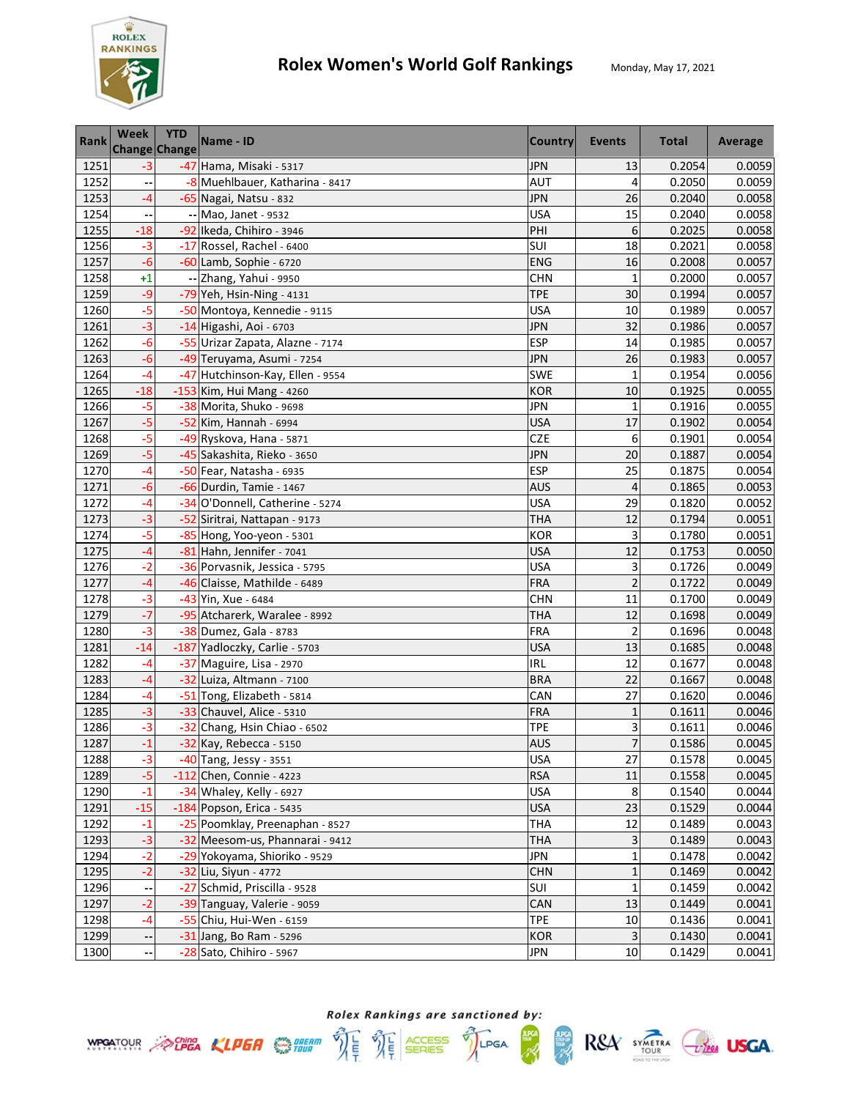

| <b>Rank</b> | Week  | <b>YTD</b><br><b>Change Change</b> | Name - ID                        | <b>Country</b> | <b>Events</b>  | <b>Total</b> | Average |
|-------------|-------|------------------------------------|----------------------------------|----------------|----------------|--------------|---------|
| 1251        | $-3$  |                                    | -47 Hama, Misaki - 5317          | <b>JPN</b>     | 13             | 0.2054       | 0.0059  |
| 1252        |       |                                    | -8 Muehlbauer, Katharina - 8417  | <b>AUT</b>     | 4              | 0.2050       | 0.0059  |
| 1253        | -4    |                                    | -65 Nagai, Natsu - 832           | JPN            | 26             | 0.2040       | 0.0058  |
| 1254        |       |                                    | -- Mao, Janet - 9532             | <b>USA</b>     | 15             | 0.2040       | 0.0058  |
| 1255        | $-18$ |                                    | -92 Ikeda, Chihiro - 3946        | PHI            | 6              | 0.2025       | 0.0058  |
| 1256        | $-3$  |                                    | -17 Rossel, Rachel - 6400        | SUI            | 18             | 0.2021       | 0.0058  |
| 1257        | $-6$  |                                    | -60 Lamb, Sophie - 6720          | <b>ENG</b>     | 16             | 0.2008       | 0.0057  |
| 1258        | $+1$  |                                    | -- Zhang, Yahui - 9950           | <b>CHN</b>     | $\mathbf{1}$   | 0.2000       | 0.0057  |
| 1259        | $-9$  |                                    | -79 Yeh, Hsin-Ning - 4131        | <b>TPE</b>     | 30             | 0.1994       | 0.0057  |
| 1260        | $-5$  |                                    | -50 Montoya, Kennedie - 9115     | <b>USA</b>     | 10             | 0.1989       | 0.0057  |
| 1261        | $-3$  |                                    | -14 Higashi, Aoi - 6703          | JPN            | 32             | 0.1986       | 0.0057  |
| 1262        | $-6$  |                                    | -55 Urizar Zapata, Alazne - 7174 | <b>ESP</b>     | 14             | 0.1985       | 0.0057  |
| 1263        | $-6$  |                                    | -49 Teruyama, Asumi - 7254       | <b>JPN</b>     | 26             | 0.1983       | 0.0057  |
| 1264        | $-4$  |                                    | -47 Hutchinson-Kay, Ellen - 9554 | <b>SWE</b>     | $\mathbf{1}$   | 0.1954       | 0.0056  |
| 1265        | $-18$ |                                    | -153 Kim, Hui Mang - 4260        | <b>KOR</b>     | 10             | 0.1925       | 0.0055  |
| 1266        | $-5$  |                                    | -38 Morita, Shuko - 9698         | <b>JPN</b>     | $\mathbf{1}$   | 0.1916       | 0.0055  |
| 1267        | $-5$  |                                    | -52 Kim, Hannah - 6994           | <b>USA</b>     | 17             | 0.1902       | 0.0054  |
| 1268        | $-5$  |                                    | -49 Ryskova, Hana - 5871         | <b>CZE</b>     | 6              | 0.1901       | 0.0054  |
| 1269        | $-5$  |                                    | -45 Sakashita, Rieko - 3650      | <b>JPN</b>     | 20             | 0.1887       | 0.0054  |
| 1270        | -4    |                                    | -50 Fear, Natasha - 6935         | <b>ESP</b>     | 25             | 0.1875       | 0.0054  |
| 1271        | $-6$  |                                    | -66 Durdin, Tamie - 1467         | <b>AUS</b>     | 4              | 0.1865       | 0.0053  |
| 1272        | $-4$  |                                    | -34 O'Donnell, Catherine - 5274  | <b>USA</b>     | 29             | 0.1820       | 0.0052  |
| 1273        | $-3$  |                                    | -52 Siritrai, Nattapan - 9173    | <b>THA</b>     | 12             | 0.1794       | 0.0051  |
| 1274        | $-5$  |                                    | -85 Hong, Yoo-yeon - 5301        | <b>KOR</b>     | 3              | 0.1780       | 0.0051  |
| 1275        | $-4$  |                                    | -81 Hahn, Jennifer - 7041        | <b>USA</b>     | 12             | 0.1753       | 0.0050  |
| 1276        | $-2$  |                                    | -36 Porvasnik, Jessica - 5795    | <b>USA</b>     | 3              | 0.1726       | 0.0049  |
| 1277        | -4    |                                    | -46 Claisse, Mathilde - 6489     | FRA            | $\overline{2}$ | 0.1722       | 0.0049  |
| 1278        | $-3$  |                                    | -43 Yin, Xue - 6484              | <b>CHN</b>     | 11             | 0.1700       | 0.0049  |
| 1279        | $-7$  |                                    | -95 Atcharerk, Waralee - 8992    | <b>THA</b>     | 12             | 0.1698       | 0.0049  |
| 1280        | $-3$  |                                    | -38 Dumez, Gala - 8783           | FRA            | $\overline{2}$ | 0.1696       | 0.0048  |
| 1281        | $-14$ |                                    | -187 Yadloczky, Carlie - 5703    | <b>USA</b>     | 13             | 0.1685       | 0.0048  |
| 1282        | $-4$  |                                    | -37 Maguire, Lisa - 2970         | IRL            | 12             | 0.1677       | 0.0048  |
| 1283        | $-4$  |                                    | -32 Luiza, Altmann - 7100        | <b>BRA</b>     | 22             | 0.1667       | 0.0048  |
| 1284        | -4    |                                    | -51 Tong, Elizabeth - 5814       | CAN            | 27             | 0.1620       | 0.0046  |
| 1285        | $-3$  |                                    | -33 Chauvel, Alice - 5310        | <b>FRA</b>     | $\mathbf{1}$   | 0.1611       | 0.0046  |
| 1286        | $-3$  |                                    | -32 Chang, Hsin Chiao - 6502     | <b>TPE</b>     | 3              | 0.1611       | 0.0046  |
| 1287        | $-1$  |                                    | -32 Kay, Rebecca - 5150          | <b>AUS</b>     | $\overline{7}$ | 0.1586       | 0.0045  |
| 1288        | $-3$  |                                    | -40 Tang, Jessy - 3551           | <b>USA</b>     | 27             | 0.1578       | 0.0045  |
| 1289        | $-5$  |                                    | -112 Chen, Connie - 4223         | <b>RSA</b>     | 11             | 0.1558       | 0.0045  |
| 1290        | $-1$  |                                    | -34 Whaley, Kelly - 6927         | <b>USA</b>     | 8              | 0.1540       | 0.0044  |
| 1291        | $-15$ |                                    | -184 Popson, Erica - 5435        | <b>USA</b>     | 23             | 0.1529       | 0.0044  |
| 1292        | $-1$  |                                    | -25 Poomklay, Preenaphan - 8527  | <b>THA</b>     | 12             | 0.1489       | 0.0043  |
| 1293        | $-3$  |                                    | -32 Meesom-us, Phannarai - 9412  | <b>THA</b>     | 3              | 0.1489       | 0.0043  |
| 1294        | $-2$  |                                    | -29 Yokoyama, Shioriko - 9529    | <b>JPN</b>     | $\mathbf 1$    | 0.1478       | 0.0042  |
| 1295        | $-2$  |                                    | -32 Liu, Siyun - 4772            | <b>CHN</b>     | $\mathbf{1}$   | 0.1469       | 0.0042  |
| 1296        |       |                                    | -27 Schmid, Priscilla - 9528     | SUI            | $\mathbf{1}$   | 0.1459       | 0.0042  |
| 1297        | $-2$  |                                    | -39 Tanguay, Valerie - 9059      | CAN            | 13             | 0.1449       | 0.0041  |
| 1298        | $-4$  |                                    | -55 Chiu, Hui-Wen - 6159         | <b>TPE</b>     | 10             | 0.1436       | 0.0041  |
| 1299        | --    |                                    | -31 Jang, Bo Ram - 5296          | <b>KOR</b>     | $\mathbf{3}$   | 0.1430       | 0.0041  |
| 1300        |       |                                    | -28 Sato, Chihiro - 5967         | JPN            | 10             | 0.1429       | 0.0041  |





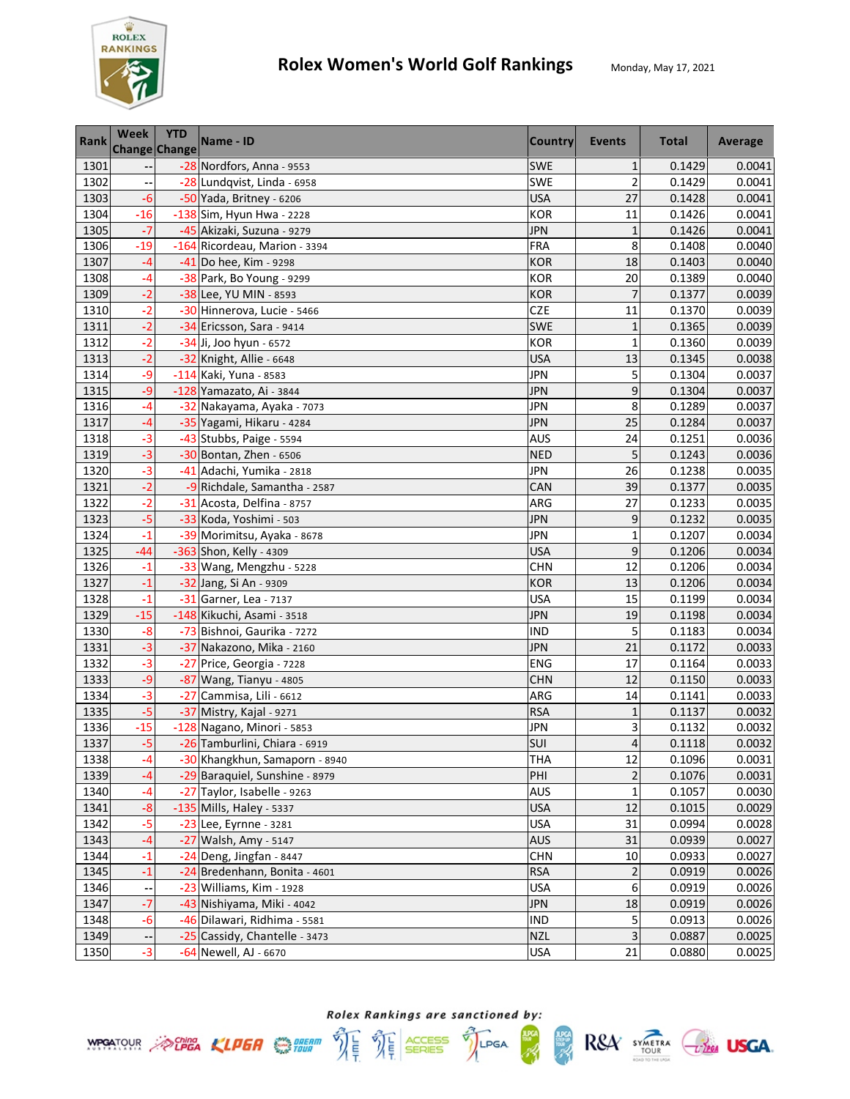

| <b>Rank</b> | <b>Week</b> | <b>YTD</b><br><b>Change Change</b> | Name - ID                      | <b>Country</b> | <b>Events</b>           | <b>Total</b> | Average |
|-------------|-------------|------------------------------------|--------------------------------|----------------|-------------------------|--------------|---------|
| 1301        |             |                                    | -28 Nordfors, Anna - 9553      | <b>SWE</b>     | $\mathbf{1}$            | 0.1429       | 0.0041  |
| 1302        |             |                                    | -28 Lundqvist, Linda - 6958    | <b>SWE</b>     | $\overline{c}$          | 0.1429       | 0.0041  |
| 1303        | $-6$        |                                    | -50 Yada, Britney - 6206       | <b>USA</b>     | 27                      | 0.1428       | 0.0041  |
| 1304        | $-16$       |                                    | -138 Sim, Hyun Hwa - 2228      | <b>KOR</b>     | 11                      | 0.1426       | 0.0041  |
| 1305        | $-7$        |                                    | -45 Akizaki, Suzuna - 9279     | <b>JPN</b>     | $\mathbf 1$             | 0.1426       | 0.0041  |
| 1306        | $-19$       |                                    | -164 Ricordeau, Marion - 3394  | FRA            | 8                       | 0.1408       | 0.0040  |
| 1307        | $-4$        |                                    | -41 Do hee, Kim - 9298         | <b>KOR</b>     | 18                      | 0.1403       | 0.0040  |
| 1308        | $-4$        |                                    | -38 Park, Bo Young - 9299      | <b>KOR</b>     | 20                      | 0.1389       | 0.0040  |
| 1309        | $-2$        |                                    | -38 Lee, YU MIN - 8593         | <b>KOR</b>     | $\overline{7}$          | 0.1377       | 0.0039  |
| 1310        | $-2$        |                                    | -30 Hinnerova, Lucie - 5466    | <b>CZE</b>     | 11                      | 0.1370       | 0.0039  |
| 1311        | $-2$        |                                    | -34 Ericsson, Sara - 9414      | <b>SWE</b>     | $\mathbf{1}$            | 0.1365       | 0.0039  |
| 1312        | $-2$        |                                    | -34 Ji, Joo hyun - 6572        | <b>KOR</b>     | $\mathbf{1}$            | 0.1360       | 0.0039  |
| 1313        | $-2$        |                                    | -32 Knight, Allie - 6648       | <b>USA</b>     | 13                      | 0.1345       | 0.0038  |
| 1314        | $-9$        |                                    | -114 Kaki, Yuna - 8583         | JPN            | 5                       | 0.1304       | 0.0037  |
| 1315        | $-9$        |                                    | -128 Yamazato, Ai - 3844       | <b>JPN</b>     | 9                       | 0.1304       | 0.0037  |
| 1316        | $-4$        |                                    | -32 Nakayama, Ayaka - 7073     | <b>JPN</b>     | 8                       | 0.1289       | 0.0037  |
| 1317        | $-4$        |                                    | -35 Yagami, Hikaru - 4284      | <b>JPN</b>     | 25                      | 0.1284       | 0.0037  |
| 1318        | $-3$        |                                    | -43 Stubbs, Paige - 5594       | <b>AUS</b>     | 24                      | 0.1251       | 0.0036  |
| 1319        | $-3$        |                                    | -30 Bontan, Zhen - 6506        | <b>NED</b>     | 5                       | 0.1243       | 0.0036  |
| 1320        | $-3$        |                                    | -41 Adachi, Yumika - 2818      | <b>JPN</b>     | 26                      | 0.1238       | 0.0035  |
| 1321        | $-2$        |                                    | -9 Richdale, Samantha - 2587   | CAN            | 39                      | 0.1377       | 0.0035  |
| 1322        | $-2$        |                                    | -31 Acosta, Delfina - 8757     | ARG            | 27                      | 0.1233       | 0.0035  |
| 1323        | $-5$        |                                    | -33 Koda, Yoshimi - 503        | JPN            | 9                       | 0.1232       | 0.0035  |
| 1324        | $-1$        |                                    | -39 Morimitsu, Ayaka - 8678    | JPN            | $\mathbf{1}$            | 0.1207       | 0.0034  |
| 1325        | $-44$       |                                    | -363 Shon, Kelly - 4309        | <b>USA</b>     | 9                       | 0.1206       | 0.0034  |
| 1326        | $-1$        |                                    | -33 Wang, Mengzhu - 5228       | <b>CHN</b>     | 12                      | 0.1206       | 0.0034  |
| 1327        | $-1$        |                                    | -32 Jang, Si An - 9309         | <b>KOR</b>     | 13                      | 0.1206       | 0.0034  |
| 1328        | $-1$        |                                    | -31 Garner, Lea - 7137         | <b>USA</b>     | 15                      | 0.1199       | 0.0034  |
| 1329        | $-15$       |                                    | -148 Kikuchi, Asami - 3518     | JPN            | 19                      | 0.1198       | 0.0034  |
| 1330        | $-8$        |                                    | -73 Bishnoi, Gaurika - 7272    | <b>IND</b>     | 5                       | 0.1183       | 0.0034  |
| 1331        | $-3$        |                                    | -37 Nakazono, Mika - 2160      | <b>JPN</b>     | 21                      | 0.1172       | 0.0033  |
| 1332        | $-3$        |                                    | -27 Price, Georgia - 7228      | <b>ENG</b>     | 17                      | 0.1164       | 0.0033  |
| 1333        | $-9$        |                                    | -87 Wang, Tianyu - 4805        | <b>CHN</b>     | 12                      | 0.1150       | 0.0033  |
| 1334        | $-3$        |                                    | -27 Cammisa, Lili - 6612       | ARG            | 14                      | 0.1141       | 0.0033  |
| 1335        | $-5$        |                                    | -37 Mistry, Kajal - 9271       | <b>RSA</b>     | $\mathbf{1}$            | 0.1137       | 0.0032  |
| 1336        | $-15$       |                                    | -128 Nagano, Minori - 5853     | <b>JPN</b>     | 3                       | 0.1132       | 0.0032  |
| 1337        | $-5$        |                                    | -26 Tamburlini, Chiara - 6919  | SUI            | $\overline{\mathbf{4}}$ | 0.1118       | 0.0032  |
| 1338        | -4          |                                    | -30 Khangkhun, Samaporn - 8940 | <b>THA</b>     | 12                      | 0.1096       | 0.0031  |
| 1339        | $-4$        |                                    | -29 Baraquiel, Sunshine - 8979 | PHI            | $\overline{\mathbf{c}}$ | 0.1076       | 0.0031  |
| 1340        | $-4$        |                                    | -27 Taylor, Isabelle - 9263    | <b>AUS</b>     | $\mathbf{1}$            | 0.1057       | 0.0030  |
| 1341        | $-8$        |                                    | -135 Mills, Haley - 5337       | <b>USA</b>     | 12                      | 0.1015       | 0.0029  |
| 1342        | $-5$        |                                    | -23 Lee, Eyrnne - 3281         | <b>USA</b>     | 31                      | 0.0994       | 0.0028  |
| 1343        | $-4$        |                                    | -27 Walsh, Amy - 5147          | <b>AUS</b>     | 31                      | 0.0939       | 0.0027  |
| 1344        | $-1$        |                                    | -24 Deng, Jingfan - 8447       | <b>CHN</b>     | 10                      | 0.0933       | 0.0027  |
| 1345        | $-1$        |                                    | -24 Bredenhann, Bonita - 4601  | <b>RSA</b>     | $\overline{2}$          | 0.0919       | 0.0026  |
| 1346        |             |                                    | -23 Williams, Kim - 1928       | <b>USA</b>     | 6                       | 0.0919       | 0.0026  |
| 1347        | $-7$        |                                    | -43 Nishiyama, Miki - 4042     | <b>JPN</b>     | 18                      | 0.0919       | 0.0026  |
| 1348        | $-6$        |                                    | -46 Dilawari, Ridhima - 5581   | <b>IND</b>     | 5                       | 0.0913       | 0.0026  |
| 1349        | ٠.          |                                    | -25 Cassidy, Chantelle - 3473  | <b>NZL</b>     | $\mathsf 3$             | 0.0887       | 0.0025  |
| 1350        | $-3$        |                                    | -64 Newell, AJ - 6670          | <b>USA</b>     | 21                      | 0.0880       | 0.0025  |





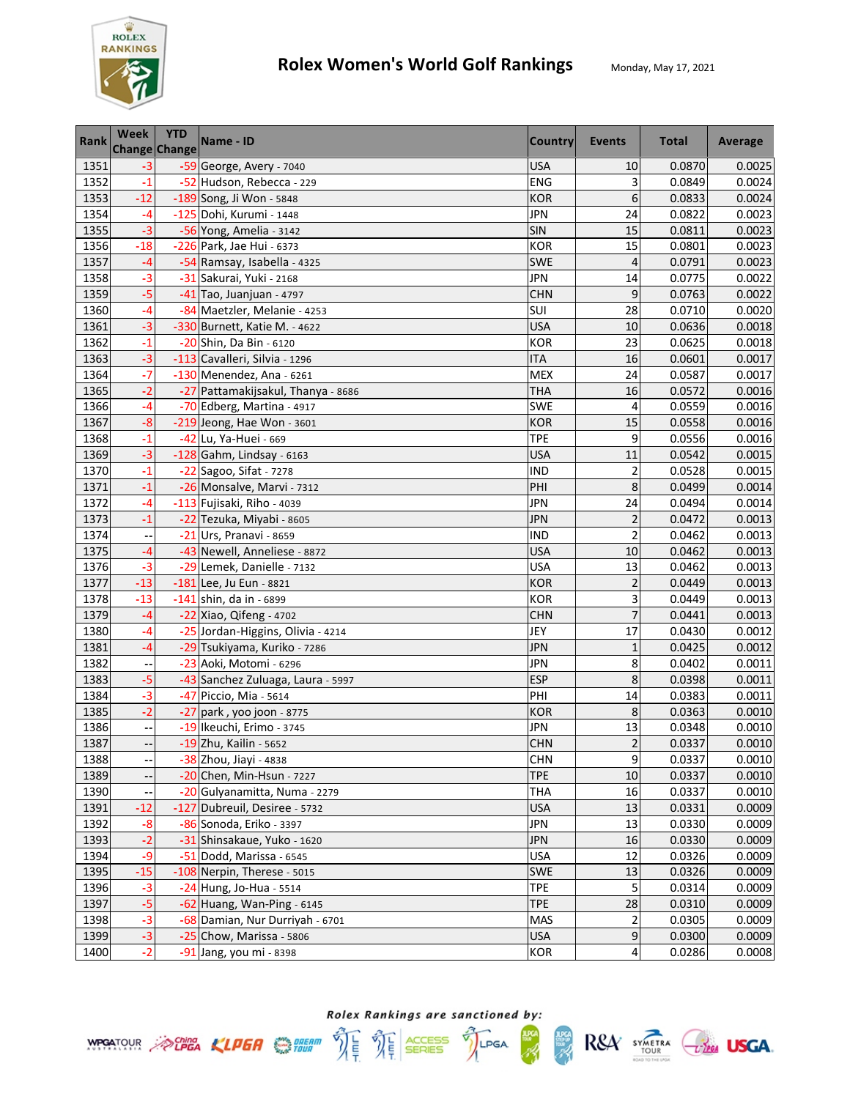

| <b>Rank</b> | <b>Week</b>              | <b>YTD</b><br>Change Change | Name - ID                          | <b>Country</b> | Events                  | <b>Total</b> | Average |
|-------------|--------------------------|-----------------------------|------------------------------------|----------------|-------------------------|--------------|---------|
| 1351        | $-3$                     |                             | -59 George, Avery - 7040           | <b>USA</b>     | 10                      | 0.0870       | 0.0025  |
| 1352        | $-1$                     |                             | -52 Hudson, Rebecca - 229          | ENG            | 3                       | 0.0849       | 0.0024  |
| 1353        | $-12$                    |                             | -189 Song, Ji Won - 5848           | <b>KOR</b>     | 6                       | 0.0833       | 0.0024  |
| 1354        | $-4$                     |                             | -125 Dohi, Kurumi - 1448           | <b>JPN</b>     | 24                      | 0.0822       | 0.0023  |
| 1355        | $-3$                     |                             | -56 Yong, Amelia - 3142            | SIN            | 15                      | 0.0811       | 0.0023  |
| 1356        | $-18$                    |                             | -226 Park, Jae Hui - 6373          | <b>KOR</b>     | 15                      | 0.0801       | 0.0023  |
| 1357        | $-4$                     |                             | -54 Ramsay, Isabella - 4325        | SWE            | 4                       | 0.0791       | 0.0023  |
| 1358        | $-3$                     |                             | -31 Sakurai, Yuki - 2168           | <b>JPN</b>     | 14                      | 0.0775       | 0.0022  |
| 1359        | $-5$                     |                             | -41 Tao, Juanjuan - 4797           | <b>CHN</b>     | 9                       | 0.0763       | 0.0022  |
| 1360        | -4                       |                             | -84 Maetzler, Melanie - 4253       | SUI            | 28                      | 0.0710       | 0.0020  |
| 1361        | $-3$                     |                             | -330 Burnett, Katie M. - 4622      | <b>USA</b>     | 10                      | 0.0636       | 0.0018  |
| 1362        | $-1$                     |                             | -20 Shin, Da Bin - 6120            | <b>KOR</b>     | 23                      | 0.0625       | 0.0018  |
| 1363        | $-3$                     |                             | -113 Cavalleri, Silvia - 1296      | <b>ITA</b>     | 16                      | 0.0601       | 0.0017  |
| 1364        | $-7$                     |                             | $-130$ Menendez, Ana - 6261        | <b>MEX</b>     | 24                      | 0.0587       | 0.0017  |
| 1365        | $-2$                     |                             | -27 Pattamakijsakul, Thanya - 8686 | <b>THA</b>     | 16                      | 0.0572       | 0.0016  |
| 1366        | $-4$                     |                             | -70 Edberg, Martina - 4917         | SWE            | 4                       | 0.0559       | 0.0016  |
| 1367        | $-8$                     |                             | -219 Jeong, Hae Won - 3601         | <b>KOR</b>     | 15                      | 0.0558       | 0.0016  |
| 1368        | $-1$                     |                             | -42 Lu, Ya-Huei - 669              | <b>TPE</b>     | 9                       | 0.0556       | 0.0016  |
| 1369        | $-3$                     |                             | -128 Gahm, Lindsay - 6163          | <b>USA</b>     | 11                      | 0.0542       | 0.0015  |
| 1370        | $-1$                     |                             | -22 Sagoo, Sifat - 7278            | <b>IND</b>     | $\overline{2}$          | 0.0528       | 0.0015  |
| 1371        | $-1$                     |                             | -26 Monsalve, Marvi - 7312         | PHI            | 8                       | 0.0499       | 0.0014  |
| 1372        | -4                       |                             | -113 Fujisaki, Riho - 4039         | <b>JPN</b>     | 24                      | 0.0494       | 0.0014  |
| 1373        | $-1$                     |                             | -22 Tezuka, Miyabi - 8605          | JPN            | $\overline{c}$          | 0.0472       | 0.0013  |
| 1374        |                          |                             | -21 Urs, Pranavi - 8659            | <b>IND</b>     | $\overline{c}$          | 0.0462       | 0.0013  |
| 1375        | $-4$                     |                             | -43 Newell, Anneliese - 8872       | <b>USA</b>     | 10                      | 0.0462       | 0.0013  |
| 1376        | $-3$                     |                             | -29 Lemek, Danielle - 7132         | <b>USA</b>     | 13                      | 0.0462       | 0.0013  |
| 1377        | $-13$                    |                             | -181 Lee, Ju Eun - 8821            | <b>KOR</b>     | $\overline{c}$          | 0.0449       | 0.0013  |
| 1378        | $-13$                    |                             | $-141$ shin, da in - 6899          | <b>KOR</b>     | 3                       | 0.0449       | 0.0013  |
| 1379        | $-4$                     |                             | -22 Xiao, Qifeng - 4702            | <b>CHN</b>     | $\overline{7}$          | 0.0441       | 0.0013  |
| 1380        | $-4$                     |                             | -25 Jordan-Higgins, Olivia - 4214  | JEY            | 17                      | 0.0430       | 0.0012  |
| 1381        | $-4$                     |                             | -29 Tsukiyama, Kuriko - 7286       | JPN            | $\mathbf{1}$            | 0.0425       | 0.0012  |
| 1382        |                          |                             | -23 Aoki, Motomi - 6296            | <b>JPN</b>     | 8                       | 0.0402       | 0.0011  |
| 1383        | $-5$                     |                             | -43 Sanchez Zuluaga, Laura - 5997  | <b>ESP</b>     | 8                       | 0.0398       | 0.0011  |
| 1384        | $-3$                     |                             | -47 Piccio, Mia - 5614             | PHI            | 14                      | 0.0383       | 0.0011  |
| 1385        | $-2$                     |                             | -27 park, yoo joon - 8775          | <b>KOR</b>     | 8                       | 0.0363       | 0.0010  |
| 1386        | --                       |                             | -19 Ikeuchi, Erimo - 3745          | <b>JPN</b>     | 13                      | 0.0348       | 0.0010  |
| 1387        | $\overline{\phantom{a}}$ |                             | -19 Zhu, Kailin - 5652             | <b>CHN</b>     | $\overline{2}$          | 0.0337       | 0.0010  |
| 1388        |                          |                             | -38 Zhou, Jiayi - 4838             | <b>CHN</b>     | 9                       | 0.0337       | 0.0010  |
| 1389        |                          |                             | -20 Chen, Min-Hsun - 7227          | <b>TPE</b>     | 10                      | 0.0337       | 0.0010  |
| 1390        |                          |                             | -20 Gulyanamitta, Numa - 2279      | <b>THA</b>     | 16                      | 0.0337       | 0.0010  |
| 1391        | $-12$                    |                             | -127 Dubreuil, Desiree - 5732      | <b>USA</b>     | 13                      | 0.0331       | 0.0009  |
| 1392        | $-8$                     |                             | -86 Sonoda, Eriko - 3397           | <b>JPN</b>     | 13                      | 0.0330       | 0.0009  |
| 1393        | $-2$                     |                             | -31 Shinsakaue, Yuko - 1620        | <b>JPN</b>     | 16                      | 0.0330       | 0.0009  |
| 1394        | $-9$                     |                             | -51 Dodd, Marissa - 6545           | <b>USA</b>     | 12                      | 0.0326       | 0.0009  |
| 1395        | $-15$                    |                             | -108 Nerpin, Therese - 5015        | SWE            | 13                      | 0.0326       | 0.0009  |
| 1396        | $-3$                     |                             | $-24$ Hung, Jo-Hua - 5514          | <b>TPE</b>     | 5                       | 0.0314       | 0.0009  |
| 1397        | $-5$                     |                             | -62 Huang, Wan-Ping - 6145         | <b>TPE</b>     | 28                      | 0.0310       | 0.0009  |
| 1398        | $-3$                     |                             | -68 Damian, Nur Durriyah - 6701    | MAS            | $\overline{\mathbf{c}}$ | 0.0305       | 0.0009  |
| 1399        | $-3$                     |                             | -25 Chow, Marissa - 5806           | <b>USA</b>     | 9                       | 0.0300       | 0.0009  |
| 1400        | $-2$                     |                             | -91 Jang, you mi - 8398            | KOR            | 4                       | 0.0286       | 0.0008  |